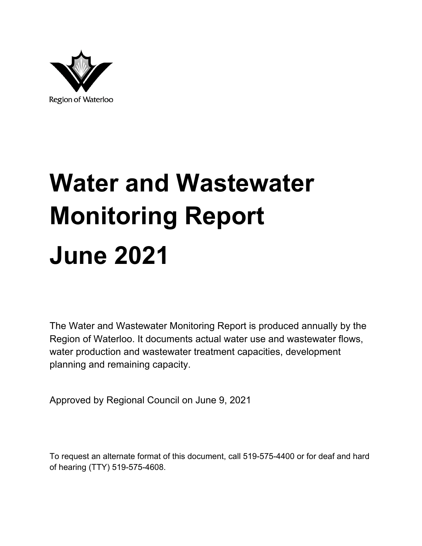

# **Water and Wastewater Monitoring Report June 2021**

The Water and Wastewater Monitoring Report is produced annually by the Region of Waterloo. It documents actual water use and wastewater flows, water production and wastewater treatment capacities, development planning and remaining capacity.

Approved by Regional Council on June 9, 2021

To request an alternate format of this document, call 519-575-4400 or for deaf and hard of hearing (TTY) 519-575-4608.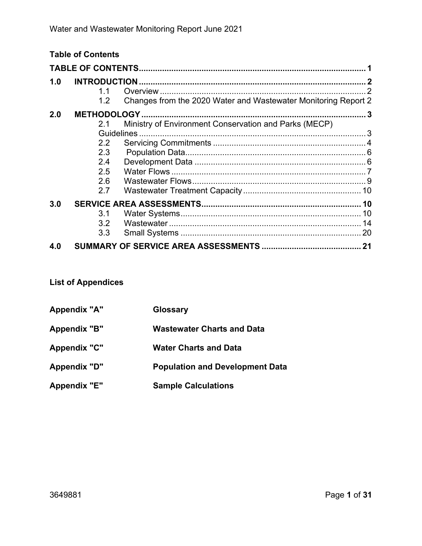|     | <b>Table of Contents</b>   |                                                                |   |
|-----|----------------------------|----------------------------------------------------------------|---|
|     |                            |                                                                |   |
| 1.0 | <b>INTRODUCTION.</b><br>11 |                                                                | 2 |
|     | 1.2                        | Changes from the 2020 Water and Wastewater Monitoring Report 2 |   |
| 2.0 |                            |                                                                |   |
|     | 21                         | Ministry of Environment Conservation and Parks (MECP)          |   |
|     |                            |                                                                |   |
|     | $2.2^{\circ}$              |                                                                |   |
|     | 2.3                        |                                                                |   |
|     | 2.4                        |                                                                |   |
|     | 2.5                        |                                                                |   |
|     | 2.6                        |                                                                |   |
|     | 2.7                        |                                                                |   |
| 3.0 |                            |                                                                |   |
|     | 3.1                        |                                                                |   |
|     | 3.2                        |                                                                |   |
|     | 3.3                        |                                                                |   |
| 4.0 |                            |                                                                |   |

### **List of Appendices**

| Appendix "A"        | Glossary                               |
|---------------------|----------------------------------------|
| <b>Appendix "B"</b> | <b>Wastewater Charts and Data</b>      |
| <b>Appendix "C"</b> | <b>Water Charts and Data</b>           |
| <b>Appendix "D"</b> | <b>Population and Development Data</b> |
| <b>Appendix "E"</b> | <b>Sample Calculations</b>             |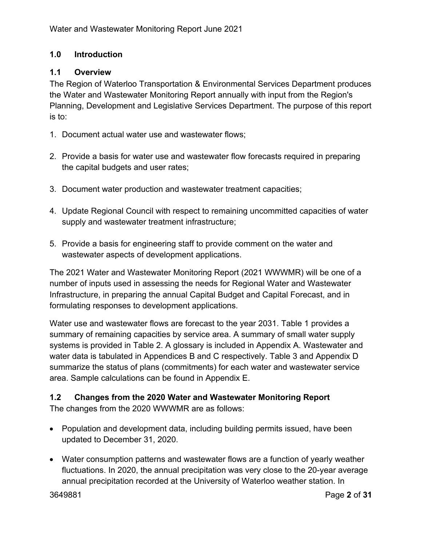### **1.0 Introduction**

### **1.1 Overview**

The Region of Waterloo Transportation & Environmental Services Department produces the Water and Wastewater Monitoring Report annually with input from the Region's Planning, Development and Legislative Services Department. The purpose of this report is to:

- 1. Document actual water use and wastewater flows;
- 2. Provide a basis for water use and wastewater flow forecasts required in preparing the capital budgets and user rates;
- 3. Document water production and wastewater treatment capacities;
- 4. Update Regional Council with respect to remaining uncommitted capacities of water supply and wastewater treatment infrastructure;
- 5. Provide a basis for engineering staff to provide comment on the water and wastewater aspects of development applications.

The 2021 Water and Wastewater Monitoring Report (2021 WWWMR) will be one of a number of inputs used in assessing the needs for Regional Water and Wastewater Infrastructure, in preparing the annual Capital Budget and Capital Forecast, and in formulating responses to development applications.

Water use and wastewater flows are forecast to the year 2031. Table 1 provides a summary of remaining capacities by service area. A summary of small water supply systems is provided in Table 2. A glossary is included in Appendix A. Wastewater and water data is tabulated in Appendices B and C respectively. Table 3 and Appendix D summarize the status of plans (commitments) for each water and wastewater service area. Sample calculations can be found in Appendix E.

# **1.2 Changes from the 2020 Water and Wastewater Monitoring Report**

The changes from the 2020 WWWMR are as follows:

- Population and development data, including building permits issued, have been updated to December 31, 2020.
- Water consumption patterns and wastewater flows are a function of yearly weather fluctuations. In 2020, the annual precipitation was very close to the 20-year average annual precipitation recorded at the University of Waterloo weather station. In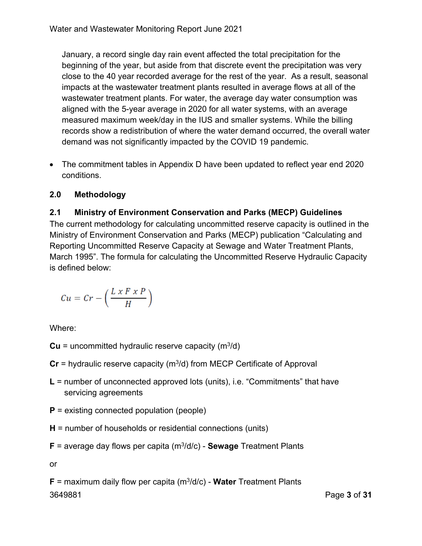January, a record single day rain event affected the total precipitation for the beginning of the year, but aside from that discrete event the precipitation was very close to the 40 year recorded average for the rest of the year. As a result, seasonal impacts at the wastewater treatment plants resulted in average flows at all of the wastewater treatment plants. For water, the average day water consumption was aligned with the 5-year average in 2020 for all water systems, with an average measured maximum week/day in the IUS and smaller systems. While the billing records show a redistribution of where the water demand occurred, the overall water demand was not significantly impacted by the COVID 19 pandemic.

 The commitment tables in Appendix D have been updated to reflect year end 2020 conditions.

### **2.0 Methodology**

### **2.1 Ministry of Environment Conservation and Parks (MECP) Guidelines**

The current methodology for calculating uncommitted reserve capacity is outlined in the Ministry of Environment Conservation and Parks (MECP) publication "Calculating and Reporting Uncommitted Reserve Capacity at Sewage and Water Treatment Plants, March 1995". The formula for calculating the Uncommitted Reserve Hydraulic Capacity is defined below:

$$
Cu = Cr - \left(\frac{L \times F \times P}{H}\right)
$$

Where:

- $Cu =$  uncommitted hydraulic reserve capacity  $(m^3/d)$
- $Cr =$  hydraulic reserve capacity ( $m<sup>3</sup>/d$ ) from MECP Certificate of Approval
- **L** = number of unconnected approved lots (units), i.e. "Commitments" that have servicing agreements
- **P** = existing connected population (people)
- **H** = number of households or residential connections (units)
- **F** = average day flows per capita (m3/d/c) **Sewage** Treatment Plants

or

3649881 Page **3** of **31 F** = maximum daily flow per capita (m3/d/c) - **Water** Treatment Plants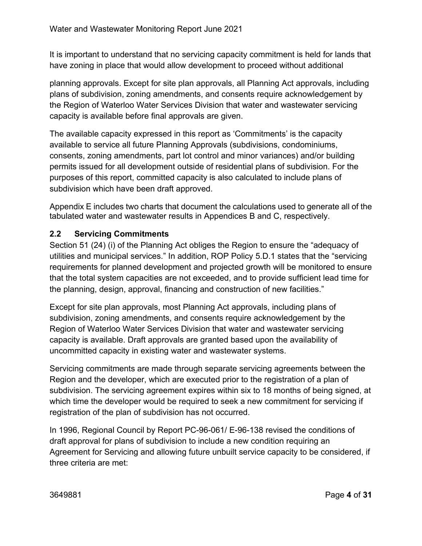It is important to understand that no servicing capacity commitment is held for lands that have zoning in place that would allow development to proceed without additional

planning approvals. Except for site plan approvals, all Planning Act approvals, including plans of subdivision, zoning amendments, and consents require acknowledgement by the Region of Waterloo Water Services Division that water and wastewater servicing capacity is available before final approvals are given.

The available capacity expressed in this report as 'Commitments' is the capacity available to service all future Planning Approvals (subdivisions, condominiums, consents, zoning amendments, part lot control and minor variances) and/or building permits issued for all development outside of residential plans of subdivision. For the purposes of this report, committed capacity is also calculated to include plans of subdivision which have been draft approved.

Appendix E includes two charts that document the calculations used to generate all of the tabulated water and wastewater results in Appendices B and C, respectively.

### **2.2 Servicing Commitments**

Section 51 (24) (i) of the Planning Act obliges the Region to ensure the "adequacy of utilities and municipal services." In addition, ROP Policy 5.D.1 states that the "servicing requirements for planned development and projected growth will be monitored to ensure that the total system capacities are not exceeded, and to provide sufficient lead time for the planning, design, approval, financing and construction of new facilities."

Except for site plan approvals, most Planning Act approvals, including plans of subdivision, zoning amendments, and consents require acknowledgement by the Region of Waterloo Water Services Division that water and wastewater servicing capacity is available. Draft approvals are granted based upon the availability of uncommitted capacity in existing water and wastewater systems.

Servicing commitments are made through separate servicing agreements between the Region and the developer, which are executed prior to the registration of a plan of subdivision. The servicing agreement expires within six to 18 months of being signed, at which time the developer would be required to seek a new commitment for servicing if registration of the plan of subdivision has not occurred.

In 1996, Regional Council by Report PC-96-061/ E-96-138 revised the conditions of draft approval for plans of subdivision to include a new condition requiring an Agreement for Servicing and allowing future unbuilt service capacity to be considered, if three criteria are met: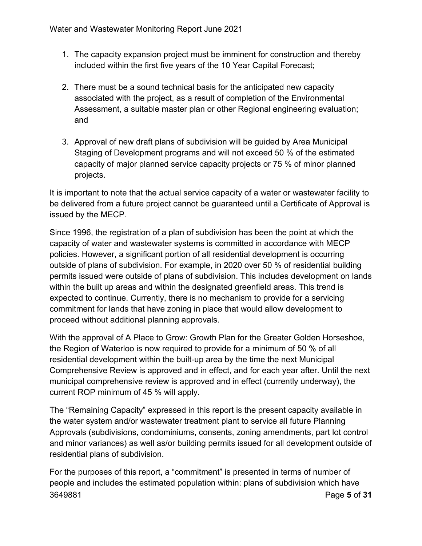- 1. The capacity expansion project must be imminent for construction and thereby included within the first five years of the 10 Year Capital Forecast;
- 2. There must be a sound technical basis for the anticipated new capacity associated with the project, as a result of completion of the Environmental Assessment, a suitable master plan or other Regional engineering evaluation; and
- 3. Approval of new draft plans of subdivision will be guided by Area Municipal Staging of Development programs and will not exceed 50 % of the estimated capacity of major planned service capacity projects or 75 % of minor planned projects.

It is important to note that the actual service capacity of a water or wastewater facility to be delivered from a future project cannot be guaranteed until a Certificate of Approval is issued by the MECP.

Since 1996, the registration of a plan of subdivision has been the point at which the capacity of water and wastewater systems is committed in accordance with MECP policies. However, a significant portion of all residential development is occurring outside of plans of subdivision. For example, in 2020 over 50 % of residential building permits issued were outside of plans of subdivision. This includes development on lands within the built up areas and within the designated greenfield areas. This trend is expected to continue. Currently, there is no mechanism to provide for a servicing commitment for lands that have zoning in place that would allow development to proceed without additional planning approvals.

With the approval of A Place to Grow: Growth Plan for the Greater Golden Horseshoe, the Region of Waterloo is now required to provide for a minimum of 50 % of all residential development within the built-up area by the time the next Municipal Comprehensive Review is approved and in effect, and for each year after. Until the next municipal comprehensive review is approved and in effect (currently underway), the current ROP minimum of 45 % will apply.

The "Remaining Capacity" expressed in this report is the present capacity available in the water system and/or wastewater treatment plant to service all future Planning Approvals (subdivisions, condominiums, consents, zoning amendments, part lot control and minor variances) as well as/or building permits issued for all development outside of residential plans of subdivision.

3649881 Page **5** of **31** For the purposes of this report, a "commitment" is presented in terms of number of people and includes the estimated population within: plans of subdivision which have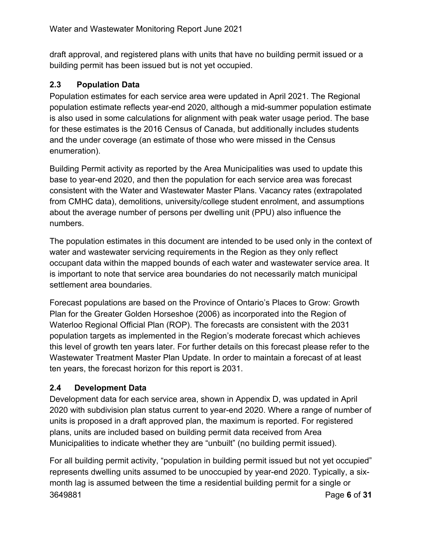draft approval, and registered plans with units that have no building permit issued or a building permit has been issued but is not yet occupied.

### **2.3 Population Data**

Population estimates for each service area were updated in April 2021. The Regional population estimate reflects year-end 2020, although a mid-summer population estimate is also used in some calculations for alignment with peak water usage period. The base for these estimates is the 2016 Census of Canada, but additionally includes students and the under coverage (an estimate of those who were missed in the Census enumeration).

Building Permit activity as reported by the Area Municipalities was used to update this base to year-end 2020, and then the population for each service area was forecast consistent with the Water and Wastewater Master Plans. Vacancy rates (extrapolated from CMHC data), demolitions, university/college student enrolment, and assumptions about the average number of persons per dwelling unit (PPU) also influence the numbers.

The population estimates in this document are intended to be used only in the context of water and wastewater servicing requirements in the Region as they only reflect occupant data within the mapped bounds of each water and wastewater service area. It is important to note that service area boundaries do not necessarily match municipal settlement area boundaries.

Forecast populations are based on the Province of Ontario's Places to Grow: Growth Plan for the Greater Golden Horseshoe (2006) as incorporated into the Region of Waterloo Regional Official Plan (ROP). The forecasts are consistent with the 2031 population targets as implemented in the Region's moderate forecast which achieves this level of growth ten years later. For further details on this forecast please refer to the Wastewater Treatment Master Plan Update. In order to maintain a forecast of at least ten years, the forecast horizon for this report is 2031.

### **2.4 Development Data**

Development data for each service area, shown in Appendix D, was updated in April 2020 with subdivision plan status current to year-end 2020. Where a range of number of units is proposed in a draft approved plan, the maximum is reported. For registered plans, units are included based on building permit data received from Area Municipalities to indicate whether they are "unbuilt" (no building permit issued).

3649881 Page **6** of **31** For all building permit activity, "population in building permit issued but not yet occupied" represents dwelling units assumed to be unoccupied by year-end 2020. Typically, a sixmonth lag is assumed between the time a residential building permit for a single or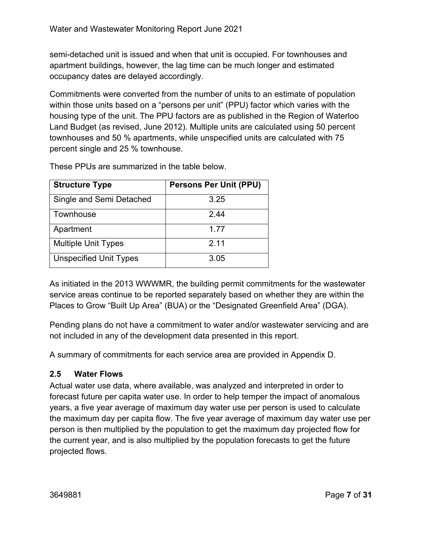semi-detached unit is issued and when that unit is occupied. For townhouses and apartment buildings, however, the lag time can be much longer and estimated occupancy dates are delayed accordingly.

Commitments were converted from the number of units to an estimate of population within those units based on a "persons per unit" (PPU) factor which varies with the housing type of the unit. The PPU factors are as published in the Region of Waterloo Land Budget (as revised, June 2012). Multiple units are calculated using 50 percent townhouses and 50 % apartments, while unspecified units are calculated with 75 percent single and 25 % townhouse.

| <b>Structure Type</b>         | <b>Persons Per Unit (PPU)</b> |
|-------------------------------|-------------------------------|
| Single and Semi Detached      | 3.25                          |
| Townhouse                     | 2 44                          |
| Apartment                     | 1.77                          |
| <b>Multiple Unit Types</b>    | 2.11                          |
| <b>Unspecified Unit Types</b> | 3.05                          |

These PPUs are summarized in the table below.

As initiated in the 2013 WWWMR, the building permit commitments for the wastewater service areas continue to be reported separately based on whether they are within the Places to Grow "Built Up Area" (BUA) or the "Designated Greenfield Area" (DGA).

Pending plans do not have a commitment to water and/or wastewater servicing and are not included in any of the development data presented in this report.

A summary of commitments for each service area are provided in Appendix D.

### **2.5 Water Flows**

Actual water use data, where available, was analyzed and interpreted in order to forecast future per capita water use. In order to help temper the impact of anomalous years, a five year average of maximum day water use per person is used to calculate the maximum day per capita flow. The five year average of maximum day water use per person is then multiplied by the population to get the maximum day projected flow for the current year, and is also multiplied by the population forecasts to get the future projected flows.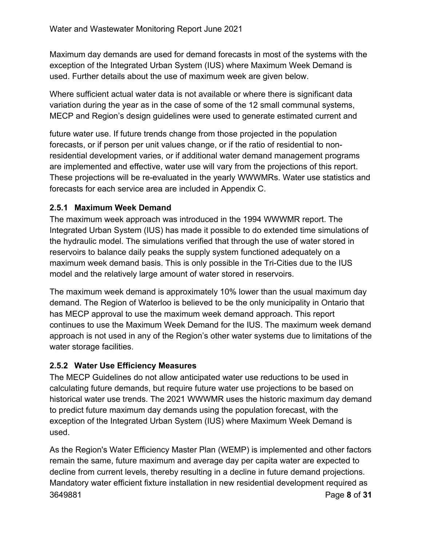Maximum day demands are used for demand forecasts in most of the systems with the exception of the Integrated Urban System (IUS) where Maximum Week Demand is used. Further details about the use of maximum week are given below.

Where sufficient actual water data is not available or where there is significant data variation during the year as in the case of some of the 12 small communal systems, MECP and Region's design guidelines were used to generate estimated current and

future water use. If future trends change from those projected in the population forecasts, or if person per unit values change, or if the ratio of residential to nonresidential development varies, or if additional water demand management programs are implemented and effective, water use will vary from the projections of this report. These projections will be re-evaluated in the yearly WWWMRs. Water use statistics and forecasts for each service area are included in Appendix C.

### **2.5.1 Maximum Week Demand**

The maximum week approach was introduced in the 1994 WWWMR report. The Integrated Urban System (IUS) has made it possible to do extended time simulations of the hydraulic model. The simulations verified that through the use of water stored in reservoirs to balance daily peaks the supply system functioned adequately on a maximum week demand basis. This is only possible in the Tri-Cities due to the IUS model and the relatively large amount of water stored in reservoirs.

The maximum week demand is approximately 10% lower than the usual maximum day demand. The Region of Waterloo is believed to be the only municipality in Ontario that has MECP approval to use the maximum week demand approach. This report continues to use the Maximum Week Demand for the IUS. The maximum week demand approach is not used in any of the Region's other water systems due to limitations of the water storage facilities.

### **2.5.2 Water Use Efficiency Measures**

The MECP Guidelines do not allow anticipated water use reductions to be used in calculating future demands, but require future water use projections to be based on historical water use trends. The 2021 WWWMR uses the historic maximum day demand to predict future maximum day demands using the population forecast, with the exception of the Integrated Urban System (IUS) where Maximum Week Demand is used.

3649881 Page **8** of **31** As the Region's Water Efficiency Master Plan (WEMP) is implemented and other factors remain the same, future maximum and average day per capita water are expected to decline from current levels, thereby resulting in a decline in future demand projections. Mandatory water efficient fixture installation in new residential development required as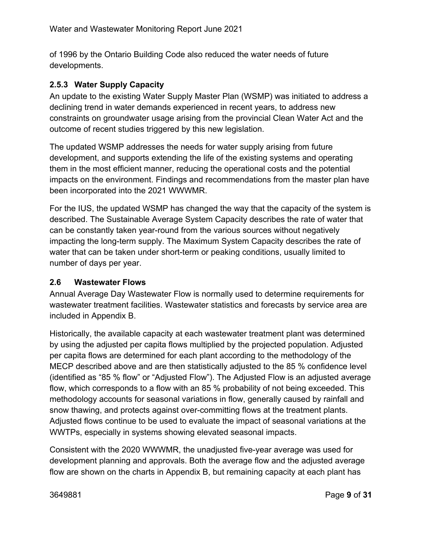of 1996 by the Ontario Building Code also reduced the water needs of future developments.

### **2.5.3 Water Supply Capacity**

An update to the existing Water Supply Master Plan (WSMP) was initiated to address a declining trend in water demands experienced in recent years, to address new constraints on groundwater usage arising from the provincial Clean Water Act and the outcome of recent studies triggered by this new legislation.

The updated WSMP addresses the needs for water supply arising from future development, and supports extending the life of the existing systems and operating them in the most efficient manner, reducing the operational costs and the potential impacts on the environment. Findings and recommendations from the master plan have been incorporated into the 2021 WWWMR.

For the IUS, the updated WSMP has changed the way that the capacity of the system is described. The Sustainable Average System Capacity describes the rate of water that can be constantly taken year-round from the various sources without negatively impacting the long-term supply. The Maximum System Capacity describes the rate of water that can be taken under short-term or peaking conditions, usually limited to number of days per year.

### **2.6 Wastewater Flows**

Annual Average Day Wastewater Flow is normally used to determine requirements for wastewater treatment facilities. Wastewater statistics and forecasts by service area are included in Appendix B.

Historically, the available capacity at each wastewater treatment plant was determined by using the adjusted per capita flows multiplied by the projected population. Adjusted per capita flows are determined for each plant according to the methodology of the MECP described above and are then statistically adjusted to the 85 % confidence level (identified as "85 % flow" or "Adjusted Flow"). The Adjusted Flow is an adjusted average flow, which corresponds to a flow with an 85 % probability of not being exceeded. This methodology accounts for seasonal variations in flow, generally caused by rainfall and snow thawing, and protects against over-committing flows at the treatment plants. Adjusted flows continue to be used to evaluate the impact of seasonal variations at the WWTPs, especially in systems showing elevated seasonal impacts.

Consistent with the 2020 WWWMR, the unadjusted five-year average was used for development planning and approvals. Both the average flow and the adjusted average flow are shown on the charts in Appendix B, but remaining capacity at each plant has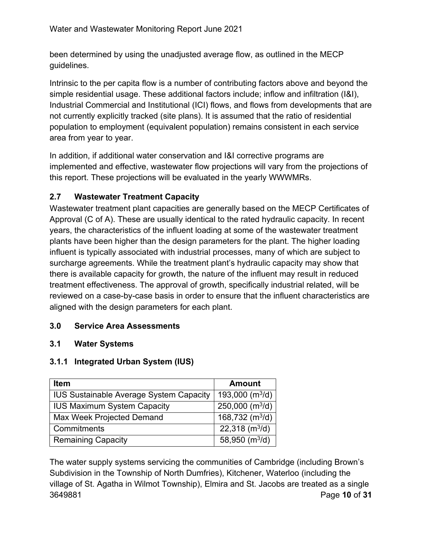been determined by using the unadjusted average flow, as outlined in the MECP guidelines.

Intrinsic to the per capita flow is a number of contributing factors above and beyond the simple residential usage. These additional factors include; inflow and infiltration (I&I), Industrial Commercial and Institutional (ICI) flows, and flows from developments that are not currently explicitly tracked (site plans). It is assumed that the ratio of residential population to employment (equivalent population) remains consistent in each service area from year to year.

In addition, if additional water conservation and I&I corrective programs are implemented and effective, wastewater flow projections will vary from the projections of this report. These projections will be evaluated in the yearly WWWMRs.

### **2.7 Wastewater Treatment Capacity**

Wastewater treatment plant capacities are generally based on the MECP Certificates of Approval (C of A). These are usually identical to the rated hydraulic capacity. In recent years, the characteristics of the influent loading at some of the wastewater treatment plants have been higher than the design parameters for the plant. The higher loading influent is typically associated with industrial processes, many of which are subject to surcharge agreements. While the treatment plant's hydraulic capacity may show that there is available capacity for growth, the nature of the influent may result in reduced treatment effectiveness. The approval of growth, specifically industrial related, will be reviewed on a case-by-case basis in order to ensure that the influent characteristics are aligned with the design parameters for each plant.

### **3.0 Service Area Assessments**

### **3.1 Water Systems**

### **3.1.1 Integrated Urban System (IUS)**

| <b>Item</b>                                    | <b>Amount</b>                           |
|------------------------------------------------|-----------------------------------------|
| <b>IUS Sustainable Average System Capacity</b> | 193,000 $(m^3/d)$                       |
| <b>IUS Maximum System Capacity</b>             | $250,000$ (m <sup>3</sup> /d)           |
| Max Week Projected Demand                      | 168,732 (m <sup>3</sup> /d)             |
| Commitments                                    | 22,318 $(m^3/d)$                        |
| <b>Remaining Capacity</b>                      | $\overline{58,950}$ (m <sup>3</sup> /d) |

3649881 Page **10** of **31** The water supply systems servicing the communities of Cambridge (including Brown's Subdivision in the Township of North Dumfries), Kitchener, Waterloo (including the village of St. Agatha in Wilmot Township), Elmira and St. Jacobs are treated as a single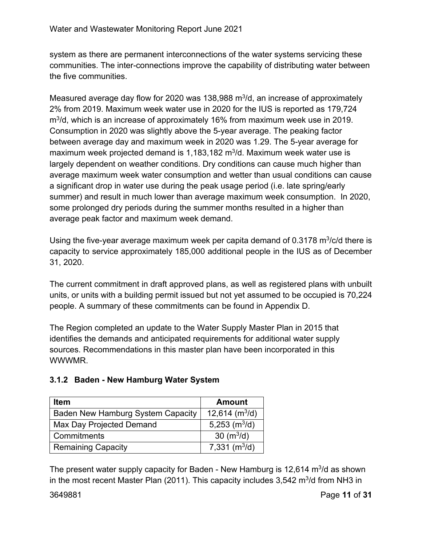system as there are permanent interconnections of the water systems servicing these communities. The inter-connections improve the capability of distributing water between the five communities.

Measured average day flow for 2020 was 138,988  $m^3/d$ , an increase of approximately 2% from 2019. Maximum week water use in 2020 for the IUS is reported as 179,724 m<sup>3</sup>/d, which is an increase of approximately 16% from maximum week use in 2019. Consumption in 2020 was slightly above the 5-year average. The peaking factor between average day and maximum week in 2020 was 1.29. The 5-year average for maximum week projected demand is  $1,183,182$  m<sup>3</sup>/d. Maximum week water use is largely dependent on weather conditions. Dry conditions can cause much higher than average maximum week water consumption and wetter than usual conditions can cause a significant drop in water use during the peak usage period (i.e. late spring/early summer) and result in much lower than average maximum week consumption. In 2020, some prolonged dry periods during the summer months resulted in a higher than average peak factor and maximum week demand.

Using the five-year average maximum week per capita demand of 0.3178  $\mathrm{m}^3$ /c/d there is capacity to service approximately 185,000 additional people in the IUS as of December 31, 2020.

The current commitment in draft approved plans, as well as registered plans with unbuilt units, or units with a building permit issued but not yet assumed to be occupied is 70,224 people. A summary of these commitments can be found in Appendix D.

The Region completed an update to the Water Supply Master Plan in 2015 that identifies the demands and anticipated requirements for additional water supply sources. Recommendations in this master plan have been incorporated in this **WWWMR** 

## **3.1.2 Baden - New Hamburg Water System**

| <b>Item</b>                              | <b>Amount</b>                |
|------------------------------------------|------------------------------|
| <b>Baden New Hamburg System Capacity</b> | $12,614$ (m <sup>3</sup> /d) |
| Max Day Projected Demand                 | $5,253$ (m <sup>3</sup> /d)  |
| Commitments                              | 30 ( $m^3/d$ )               |
| <b>Remaining Capacity</b>                | 7,331 $(m^3/d)$              |

The present water supply capacity for Baden - New Hamburg is  $12,614$  m<sup>3</sup>/d as shown in the most recent Master Plan (2011). This capacity includes  $3,542 \text{ m}^3$ /d from NH3 in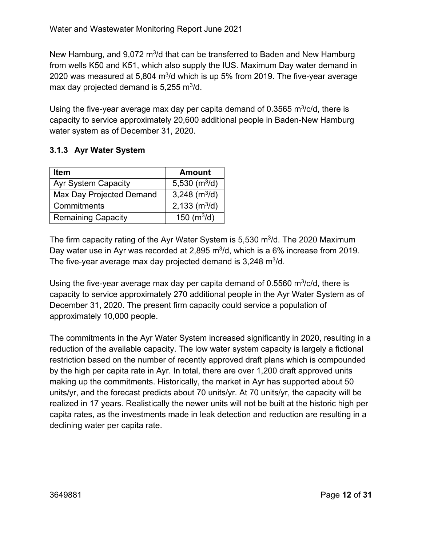New Hamburg, and 9,072 m<sup>3</sup>/d that can be transferred to Baden and New Hamburg from wells K50 and K51, which also supply the IUS. Maximum Day water demand in 2020 was measured at 5,804  $m^3/d$  which is up 5% from 2019. The five-year average max day projected demand is  $5,255 \text{ m}^3/\text{d}$ .

Using the five-year average max day per capita demand of 0.3565 m $3/c/d$ , there is capacity to service approximately 20,600 additional people in Baden-New Hamburg water system as of December 31, 2020.

### **3.1.3 Ayr Water System**

| <b>Item</b>                | <b>Amount</b>   |
|----------------------------|-----------------|
| <b>Ayr System Capacity</b> | 5,530 $(m^3/d)$ |
| Max Day Projected Demand   | 3,248 $(m^3/d)$ |
| Commitments                | 2,133 $(m^3/d)$ |
| <b>Remaining Capacity</b>  | 150 $(m^3/d)$   |

The firm capacity rating of the Ayr Water System is  $5,530$  m $\frac{3}{d}$ . The 2020 Maximum Day water use in Ayr was recorded at 2,895 m<sup>3</sup>/d, which is a 6% increase from 2019. The five-year average max day projected demand is  $3,248 \text{ m}^3/\text{d}$ .

Using the five-year average max day per capita demand of  $0.5560 \text{ m}^3/\text{c/d}$ , there is capacity to service approximately 270 additional people in the Ayr Water System as of December 31, 2020. The present firm capacity could service a population of approximately 10,000 people.

The commitments in the Ayr Water System increased significantly in 2020, resulting in a reduction of the available capacity. The low water system capacity is largely a fictional restriction based on the number of recently approved draft plans which is compounded by the high per capita rate in Ayr. In total, there are over 1,200 draft approved units making up the commitments. Historically, the market in Ayr has supported about 50 units/yr, and the forecast predicts about 70 units/yr. At 70 units/yr, the capacity will be realized in 17 years. Realistically the newer units will not be built at the historic high per capita rates, as the investments made in leak detection and reduction are resulting in a declining water per capita rate.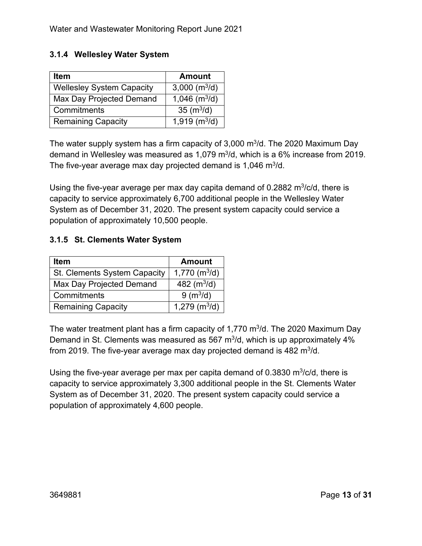### **3.1.4 Wellesley Water System**

| <b>Item</b>                      | <b>Amount</b>               |
|----------------------------------|-----------------------------|
| <b>Wellesley System Capacity</b> | 3,000 $(m^3/d)$             |
| Max Day Projected Demand         | 1,046 $\sqrt{(m^3/d)}$      |
| Commitments                      | 35 ( $m^3/d$ )              |
| <b>Remaining Capacity</b>        | $1,919$ (m <sup>3</sup> /d) |

The water supply system has a firm capacity of  $3,000 \text{ m}^3$ /d. The 2020 Maximum Day demand in Wellesley was measured as  $1,079$  m<sup>3</sup>/d, which is a 6% increase from 2019. The five-year average max day projected demand is  $1,046$  m $3/$ d.

Using the five-year average per max day capita demand of  $0.2882 \text{ m}^3/\text{c/d}$ , there is capacity to service approximately 6,700 additional people in the Wellesley Water System as of December 31, 2020. The present system capacity could service a population of approximately 10,500 people.

### **3.1.5 St. Clements Water System**

| <b>Item</b>                  | <b>Amount</b>               |
|------------------------------|-----------------------------|
| St. Clements System Capacity | $1,770$ (m <sup>3</sup> /d) |
| Max Day Projected Demand     | 482 $(m^3/d)$               |
| Commitments                  | 9 (m <sup>3</sup> /d)       |
| <b>Remaining Capacity</b>    | $1,279$ (m <sup>3</sup> /d) |

The water treatment plant has a firm capacity of 1,770  $m^3/d$ . The 2020 Maximum Day Demand in St. Clements was measured as 567  $m^3/d$ , which is up approximately 4% from 2019. The five-year average max day projected demand is 482  $m^3/d$ .

Using the five-year average per max per capita demand of  $0.3830 \text{ m}^3/\text{c/d}$ , there is capacity to service approximately 3,300 additional people in the St. Clements Water System as of December 31, 2020. The present system capacity could service a population of approximately 4,600 people.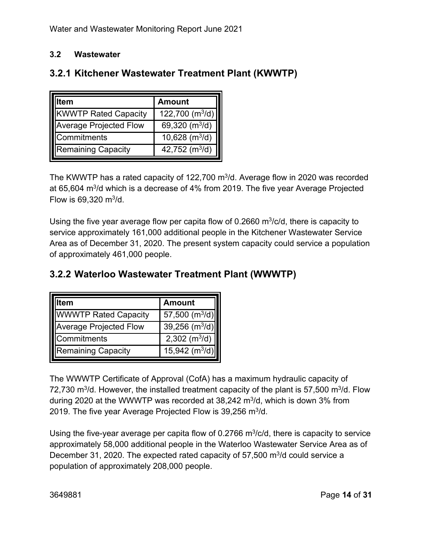### **3.2 Wastewater**

| em                            | <b>Amount</b>               |  |
|-------------------------------|-----------------------------|--|
| <b>KWWTP Rated Capacity</b>   | 122,700 (m <sup>3</sup> /d) |  |
| <b>Average Projected Flow</b> | 69,320 $(m^3/d)$            |  |
| Commitments                   | 10,628 $(m^3/d)$            |  |
| <b>Remaining Capacity</b>     | 42,752 ( $m^3/d$ )          |  |

### **3.2.1 Kitchener Wastewater Treatment Plant (KWWTP)**

The KWWTP has a rated capacity of 122,700 m<sup>3</sup>/d. Average flow in 2020 was recorded at 65,604 m<sup>3</sup>/d which is a decrease of 4% from 2019. The five year Average Projected Flow is  $69,320 \text{ m}^3/\text{d}$ .

Using the five year average flow per capita flow of 0.2660  $m^3/c/d$ , there is capacity to service approximately 161,000 additional people in the Kitchener Wastewater Service Area as of December 31, 2020. The present system capacity could service a population of approximately 461,000 people.

### **3.2.2 Waterloo Wastewater Treatment Plant (WWWTP)**

| tem                           | <b>Amount</b>               |
|-------------------------------|-----------------------------|
| <b>WWWTP Rated Capacity</b>   | 57,500 $(m^3/d)$            |
| <b>Average Projected Flow</b> | 39,256 $(m^3/d)$            |
| Commitments                   | $2,302$ (m <sup>3</sup> /d) |
| <b>Remaining Capacity</b>     | 15,942 $(m^3/d)$            |

The WWWTP Certificate of Approval (CofA) has a maximum hydraulic capacity of 72,730 m<sup>3</sup>/d. However, the installed treatment capacity of the plant is 57,500 m<sup>3</sup>/d. Flow during 2020 at the WWWTP was recorded at  $38,242 \text{ m}^3/\text{d}$ , which is down 3% from 2019. The five year Average Projected Flow is 39,256 m<sup>3</sup>/d.

Using the five-year average per capita flow of 0.2766  $m^3/c/d$ , there is capacity to service approximately 58,000 additional people in the Waterloo Wastewater Service Area as of December 31, 2020. The expected rated capacity of 57,500 m<sup>3</sup>/d could service a population of approximately 208,000 people.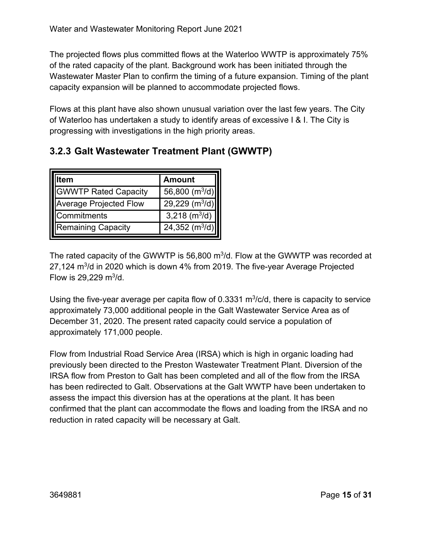The projected flows plus committed flows at the Waterloo WWTP is approximately 75% of the rated capacity of the plant. Background work has been initiated through the Wastewater Master Plan to confirm the timing of a future expansion. Timing of the plant capacity expansion will be planned to accommodate projected flows.

Flows at this plant have also shown unusual variation over the last few years. The City of Waterloo has undertaken a study to identify areas of excessive I & I. The City is progressing with investigations in the high priority areas.

|                               | <b>Amount</b>                |
|-------------------------------|------------------------------|
| <b>GWWTP Rated Capacity</b>   | 56,800 (m <sup>3</sup> /d)   |
| <b>Average Projected Flow</b> | $29,229$ (m <sup>3</sup> /d) |
| Commitments                   | 3,218 $(m^3/d)$              |
| <b>Remaining Capacity</b>     | $24,352$ (m <sup>3</sup> /d  |

### **3.2.3 Galt Wastewater Treatment Plant (GWWTP)**

The rated capacity of the GWWTP is 56,800  $m^3/d$ . Flow at the GWWTP was recorded at 27,124 m3/d in 2020 which is down 4% from 2019. The five-year Average Projected Flow is  $29,229 \text{ m}^3/\text{d}$ .

Using the five-year average per capita flow of 0.3331  $m^3/c/d$ , there is capacity to service approximately 73,000 additional people in the Galt Wastewater Service Area as of December 31, 2020. The present rated capacity could service a population of approximately 171,000 people.

Flow from Industrial Road Service Area (IRSA) which is high in organic loading had previously been directed to the Preston Wastewater Treatment Plant. Diversion of the IRSA flow from Preston to Galt has been completed and all of the flow from the IRSA has been redirected to Galt. Observations at the Galt WWTP have been undertaken to assess the impact this diversion has at the operations at the plant. It has been confirmed that the plant can accommodate the flows and loading from the IRSA and no reduction in rated capacity will be necessary at Galt.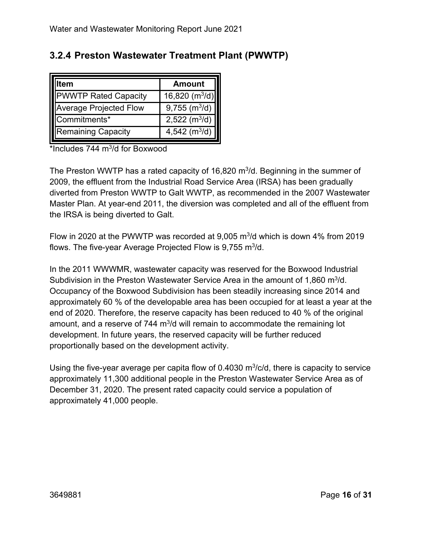| 3.2.4 Preston Wastewater Treatment Plant (PWWTP) |  |  |
|--------------------------------------------------|--|--|
|--------------------------------------------------|--|--|

| lem                           | <b>Amount</b>               |
|-------------------------------|-----------------------------|
| <b>PWWTP Rated Capacity</b>   | 16,820 $(m^3/d)$            |
| <b>Average Projected Flow</b> | $9,755$ (m <sup>3</sup> /d) |
| Commitments*                  | $2,522 \, (m^3/d)$          |
| <b>Remaining Capacity</b>     | 4,542 $(m^3/d)$             |

 $*$ Includes 744 m $3$ /d for Boxwood

The Preston WWTP has a rated capacity of 16,820  $m^3/d$ . Beginning in the summer of 2009, the effluent from the Industrial Road Service Area (IRSA) has been gradually diverted from Preston WWTP to Galt WWTP, as recommended in the 2007 Wastewater Master Plan. At year-end 2011, the diversion was completed and all of the effluent from the IRSA is being diverted to Galt.

Flow in 2020 at the PWWTP was recorded at 9,005  $\mathrm{m}^3$ /d which is down 4% from 2019 flows. The five-year Average Projected Flow is  $9,755$  m<sup>3</sup>/d.

In the 2011 WWWMR, wastewater capacity was reserved for the Boxwood Industrial Subdivision in the Preston Wastewater Service Area in the amount of 1,860 m<sup>3</sup>/d. Occupancy of the Boxwood Subdivision has been steadily increasing since 2014 and approximately 60 % of the developable area has been occupied for at least a year at the end of 2020. Therefore, the reserve capacity has been reduced to 40 % of the original amount, and a reserve of 744  $\mathrm{m}^3$ /d will remain to accommodate the remaining lot development. In future years, the reserved capacity will be further reduced proportionally based on the development activity.

Using the five-year average per capita flow of  $0.4030 \text{ m}^3$ /c/d, there is capacity to service approximately 11,300 additional people in the Preston Wastewater Service Area as of December 31, 2020. The present rated capacity could service a population of approximately 41,000 people.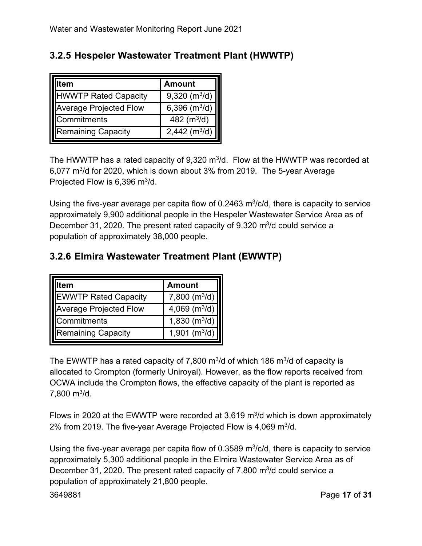| 3.2.5 Hespeler Wastewater Treatment Plant (HWWTP) |
|---------------------------------------------------|
|---------------------------------------------------|

| tem                           | <b>Amount</b>               |
|-------------------------------|-----------------------------|
| <b>HWWTP Rated Capacity</b>   | $9,320$ (m <sup>3</sup> /d) |
| <b>Average Projected Flow</b> | 6,396 $(m^3/d)$             |
| Commitments                   | 482 $(m^3/d)$               |
| <b>Remaining Capacity</b>     | 2,442 ( $m^3/d$ )           |

The HWWTP has a rated capacity of  $9,320 \text{ m}^3$ /d. Flow at the HWWTP was recorded at 6,077 m3/d for 2020, which is down about 3% from 2019. The 5-year Average Projected Flow is  $6,396$  m<sup>3</sup>/d.

Using the five-year average per capita flow of 0.2463  $m^3/c/d$ , there is capacity to service approximately 9,900 additional people in the Hespeler Wastewater Service Area as of December 31, 2020. The present rated capacity of  $9,320 \text{ m}^3$  could service a population of approximately 38,000 people.

|                               | <b>Amount</b>               |
|-------------------------------|-----------------------------|
| <b>EWWTP Rated Capacity</b>   | 7,800 (m <sup>3</sup> /d)   |
| <b>Average Projected Flow</b> | 4,069 $(m^3/d)$             |
| Commitments                   | $1,830$ (m <sup>3</sup> /d) |
| <b>Remaining Capacity</b>     | 1,901 $(m^3/d)$             |

### **3.2.6 Elmira Wastewater Treatment Plant (EWWTP)**

The EWWTP has a rated capacity of 7,800  $\text{m}^3$ /d of which 186  $\text{m}^3$ /d of capacity is allocated to Crompton (formerly Uniroyal). However, as the flow reports received from OCWA include the Crompton flows, the effective capacity of the plant is reported as  $7,800 \text{ m}^3/\text{d}$ .

Flows in 2020 at the EWWTP were recorded at 3,619  $\mathrm{m}^3$ /d which is down approximately 2% from 2019. The five-year Average Projected Flow is 4,069 m<sup>3</sup>/d.

Using the five-year average per capita flow of 0.3589  $m^3/c/d$ , there is capacity to service approximately 5,300 additional people in the Elmira Wastewater Service Area as of December 31, 2020. The present rated capacity of 7,800  $\mathrm{m}^3$ /d could service a population of approximately 21,800 people.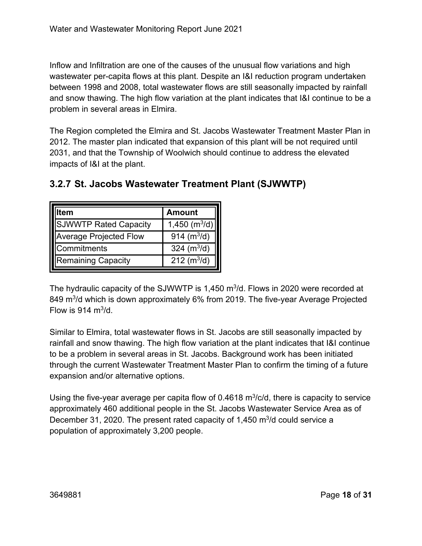Inflow and Infiltration are one of the causes of the unusual flow variations and high wastewater per-capita flows at this plant. Despite an I&I reduction program undertaken between 1998 and 2008, total wastewater flows are still seasonally impacted by rainfall and snow thawing. The high flow variation at the plant indicates that I&I continue to be a problem in several areas in Elmira.

The Region completed the Elmira and St. Jacobs Wastewater Treatment Master Plan in 2012. The master plan indicated that expansion of this plant will be not required until 2031, and that the Township of Woolwich should continue to address the elevated impacts of I&I at the plant.

| em                            | <b>Amount</b>     |
|-------------------------------|-------------------|
| <b>SJWWTP Rated Capacity</b>  | 1,450 ( $m^3/d$ ) |
| <b>Average Projected Flow</b> | 914 $(m^3/d)$     |
| <b>ICommitments</b>           | 324 $(m^3/d)$     |
| Remaining Capacity            | 212 $(m^3/d)$     |

### **3.2.7 St. Jacobs Wastewater Treatment Plant (SJWWTP)**

The hydraulic capacity of the SJWWTP is 1,450  $m<sup>3</sup>/d$ . Flows in 2020 were recorded at 849 m<sup>3</sup>/d which is down approximately 6% from 2019. The five-year Average Projected Flow is 914  $m^3/d$ .

Similar to Elmira, total wastewater flows in St. Jacobs are still seasonally impacted by rainfall and snow thawing. The high flow variation at the plant indicates that I&I continue to be a problem in several areas in St. Jacobs. Background work has been initiated through the current Wastewater Treatment Master Plan to confirm the timing of a future expansion and/or alternative options.

Using the five-year average per capita flow of 0.4618  $m^3/c/d$ , there is capacity to service approximately 460 additional people in the St. Jacobs Wastewater Service Area as of December 31, 2020. The present rated capacity of 1,450  $\mathrm{m}^3$ /d could service a population of approximately 3,200 people.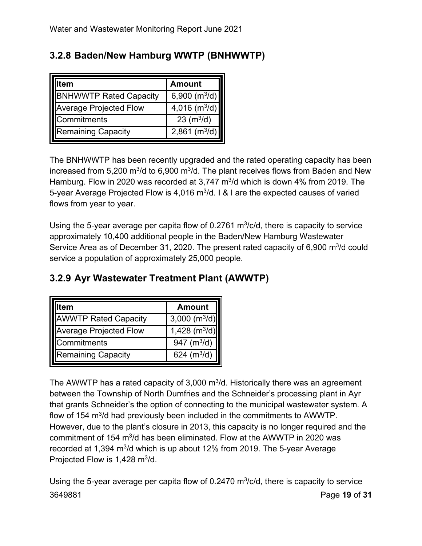| tem                           | <b>Amount</b>               |
|-------------------------------|-----------------------------|
| <b>BNHWWTP Rated Capacity</b> | 6,900 $(m^3/d)$             |
| <b>Average Projected Flow</b> | $4,016$ (m <sup>3</sup> /d) |
| Commitments                   | 23 (m <sup>3</sup> /d)      |
| Remaining Capacity            | $2,861$ (m <sup>3</sup> /d) |

### **3.2.8 Baden/New Hamburg WWTP (BNHWWTP)**

The BNHWWTP has been recently upgraded and the rated operating capacity has been increased from 5,200 m<sup>3</sup>/d to 6,900 m<sup>3</sup>/d. The plant receives flows from Baden and New Hamburg. Flow in 2020 was recorded at  $3.747 \text{ m}^3$  which is down 4% from 2019. The 5-year Average Projected Flow is 4,016 m<sup>3</sup>/d. I & I are the expected causes of varied flows from year to year.

Using the 5-year average per capita flow of 0.2761  $m^3/c/d$ , there is capacity to service approximately 10,400 additional people in the Baden/New Hamburg Wastewater Service Area as of December 31, 2020. The present rated capacity of  $6,900 \text{ m}^3$ /d could service a population of approximately 25,000 people.

### **3.2.9 Ayr Wastewater Treatment Plant (AWWTP)**

| tem                           | <b>Amount</b>   |
|-------------------------------|-----------------|
| <b>AWWTP Rated Capacity</b>   | 3,000 $(m^3/d)$ |
| <b>Average Projected Flow</b> | 1,428 $(m^3/d)$ |
| Commitments                   | 947 $(m^3/d)$   |
| <b>Remaining Capacity</b>     | 624 $(m^3/d)$   |

The AWWTP has a rated capacity of  $3,000 \text{ m}^3$ /d. Historically there was an agreement between the Township of North Dumfries and the Schneider's processing plant in Ayr that grants Schneider's the option of connecting to the municipal wastewater system. A flow of 154 m<sup>3</sup>/d had previously been included in the commitments to AWWTP. However, due to the plant's closure in 2013, this capacity is no longer required and the commitment of 154  $m^3/d$  has been eliminated. Flow at the AWWTP in 2020 was recorded at 1,394  $m^3/d$  which is up about 12% from 2019. The 5-year Average Projected Flow is 1,428 m<sup>3</sup>/d.

3649881 Page **19** of **31** Using the 5-year average per capita flow of 0.2470  $m^3/c/d$ , there is capacity to service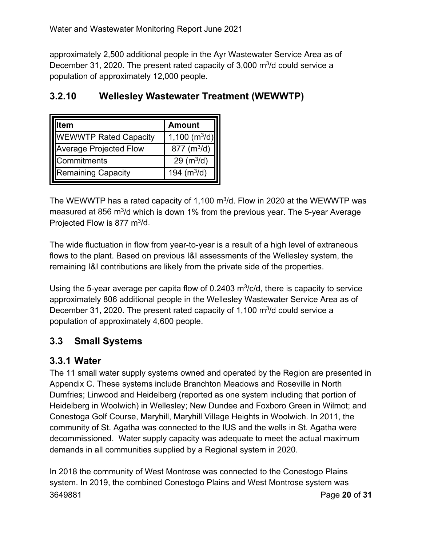approximately 2,500 additional people in the Ayr Wastewater Service Area as of December 31, 2020. The present rated capacity of  $3,000 \text{ m}^3$  could service a population of approximately 12,000 people.

### **3.2.10 Wellesley Wastewater Treatment (WEWWTP)**

| tem                           | <b>Amount</b>   |
|-------------------------------|-----------------|
| <b>WEWWTP Rated Capacity</b>  | 1,100 $(m^3/d)$ |
| <b>Average Projected Flow</b> | 877 $(m^3/d)$   |
| Commitments                   | 29 $(m^3/d)$    |
| Remaining Capacity            | 194 $(m^3/d)$   |

The WEWWTP has a rated capacity of 1,100 m<sup>3</sup>/d. Flow in 2020 at the WEWWTP was measured at 856 m<sup>3</sup>/d which is down 1% from the previous year. The 5-year Average Projected Flow is 877  $m^3/d$ .

The wide fluctuation in flow from year-to-year is a result of a high level of extraneous flows to the plant. Based on previous I&I assessments of the Wellesley system, the remaining I&I contributions are likely from the private side of the properties.

Using the 5-year average per capita flow of 0.2403  $m^3/c/d$ , there is capacity to service approximately 806 additional people in the Wellesley Wastewater Service Area as of December 31, 2020. The present rated capacity of 1,100  $\mathrm{m}^3$ /d could service a population of approximately 4,600 people.

### **3.3 Small Systems**

### **3.3.1 Water**

The 11 small water supply systems owned and operated by the Region are presented in Appendix C. These systems include Branchton Meadows and Roseville in North Dumfries; Linwood and Heidelberg (reported as one system including that portion of Heidelberg in Woolwich) in Wellesley; New Dundee and Foxboro Green in Wilmot; and Conestoga Golf Course, Maryhill, Maryhill Village Heights in Woolwich. In 2011, the community of St. Agatha was connected to the IUS and the wells in St. Agatha were decommissioned. Water supply capacity was adequate to meet the actual maximum demands in all communities supplied by a Regional system in 2020.

3649881 Page **20** of **31** In 2018 the community of West Montrose was connected to the Conestogo Plains system. In 2019, the combined Conestogo Plains and West Montrose system was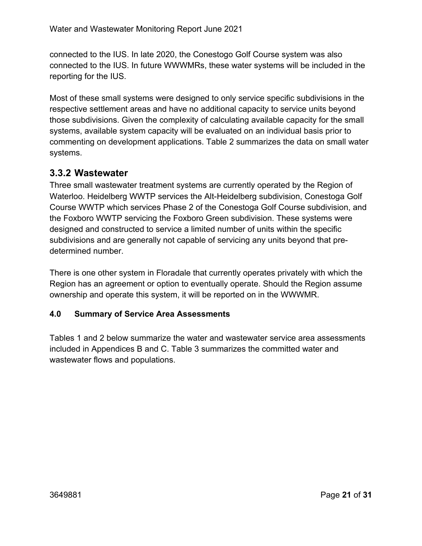connected to the IUS. In late 2020, the Conestogo Golf Course system was also connected to the IUS. In future WWWMRs, these water systems will be included in the reporting for the IUS.

Most of these small systems were designed to only service specific subdivisions in the respective settlement areas and have no additional capacity to service units beyond those subdivisions. Given the complexity of calculating available capacity for the small systems, available system capacity will be evaluated on an individual basis prior to commenting on development applications. Table 2 summarizes the data on small water systems.

### **3.3.2 Wastewater**

Three small wastewater treatment systems are currently operated by the Region of Waterloo. Heidelberg WWTP services the Alt-Heidelberg subdivision, Conestoga Golf Course WWTP which services Phase 2 of the Conestoga Golf Course subdivision, and the Foxboro WWTP servicing the Foxboro Green subdivision. These systems were designed and constructed to service a limited number of units within the specific subdivisions and are generally not capable of servicing any units beyond that predetermined number.

There is one other system in Floradale that currently operates privately with which the Region has an agreement or option to eventually operate. Should the Region assume ownership and operate this system, it will be reported on in the WWWMR.

### **4.0 Summary of Service Area Assessments**

Tables 1 and 2 below summarize the water and wastewater service area assessments included in Appendices B and C. Table 3 summarizes the committed water and wastewater flows and populations.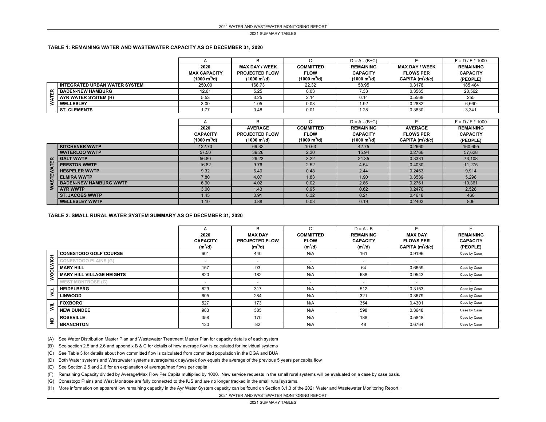2021 SUMMARY TABLES

#### **TABLE 1: REMAINING WATER AND WASTEWATER CAPACITY AS OF DECEMBER 31, 2020**

|  |                                 |                               |                               |                               | $D = A - (B+C)$               |                        | $F = D / E * 1000$ |
|--|---------------------------------|-------------------------------|-------------------------------|-------------------------------|-------------------------------|------------------------|--------------------|
|  |                                 | 2020                          | <b>MAX DAY / WEEK</b>         | <b>COMMITTED</b>              | <b>REMAINING</b>              | <b>MAX DAY / WEEK</b>  | <b>REMAINING</b>   |
|  |                                 | <b>MAX CAPACITY</b>           | <b>PROJECTED FLOW</b>         | <b>FLOW</b>                   | <b>CAPACITY</b>               | <b>FLOWS PER</b>       | <b>CAPACITY</b>    |
|  |                                 | $(1000 \text{ m}^3/\text{d})$ | $(1000 \text{ m}^3/\text{d})$ | $(1000 \text{ m}^3/\text{d})$ | $(1000 \text{ m}^3/\text{d})$ | $CAPITA$ ( $m^3/d/c$ ) | (PEOPLE)           |
|  | I INTEGRATED URBAN WATER SYSTEM | 250.00                        | 168.73                        | 22.32                         | 58.95                         | 0.3178                 | 185,484            |
|  | <b>BADEN-NEW HAMBURG</b>        | 12.61                         | 5.25                          | 0.03                          | 7.33                          | 0.3565                 | 20.562             |
|  | AYR WATER SYSTEM (H)            | 5.53                          | 3.25                          | 2.14                          | 0.14                          | 0.5568                 | 255                |
|  | <b>WELLESLEY</b>                | 3.00                          | 1.05                          | 0.03                          | 1.92                          | 0.2882                 | 6,660              |
|  | <b>ST. CLEMENTS</b>             | 1.77                          | 0.48                          | 0.01                          | 1.28                          | 0.3830                 | 3,341              |

|    |                               |                               |                               |                               | $D = A - (B + C)$             |                        | $F = D / E * 1000$ |
|----|-------------------------------|-------------------------------|-------------------------------|-------------------------------|-------------------------------|------------------------|--------------------|
|    |                               | 2020                          | <b>AVERAGE</b>                | <b>COMMITTED</b>              | <b>REMAINING</b>              | <b>AVERAGE</b>         | <b>REMAINING</b>   |
|    |                               | <b>CAPACITY</b>               | <b>PROJECTED FLOW</b>         | <b>FLOW</b>                   | <b>CAPACITY</b>               | <b>FLOWS PER</b>       | <b>CAPACITY</b>    |
|    |                               | $(1000 \text{ m}^3/\text{d})$ | $(1000 \text{ m}^3/\text{d})$ | $(1000 \text{ m}^3/\text{d})$ | $(1000 \text{ m}^3/\text{d})$ | $CAPITA$ ( $m^3/d/c$ ) | (PEOPLE)           |
|    | <b>KITCHENER WWTP</b>         | 122.70                        | 69.32                         | 10.63                         | 42.75                         | 0.2660                 | 160.695            |
|    | <b>WATERLOO WWTP</b>          | 57.50                         | 39.26                         | 2.30                          | 15.94                         | 0.2766                 | 57,628             |
| ER | <b>GALT WWTP</b>              | 56.80                         | 29.23                         | 3.22                          | 24.35                         | 0.3331                 | 73,108             |
| F  | <b>PRESTON WWTP</b>           | 16.82                         | 9.76                          | 2.52                          | 4.54                          | 0.4030                 | 11.275             |
| ᇟ  | <b>HESPELER WWTP</b>          | 9.32                          | 6.40                          | 0.48                          | 2.44                          | 0.2463                 | 9.914              |
| 5  | <b>ELMIRA WWTP</b>            | 7.80                          | 4.07                          | 1.83                          | 1.90                          | 0.3589                 | 5,298              |
|    | <b>BADEN-NEW HAMBURG WWTP</b> | 6.90                          | 4.02                          | 0.02                          | 2.86                          | 0.2761                 | 10,361             |
|    | <b>AYR WWTP</b>               | 3.00                          | 1.43                          | 0.95                          | 0.62                          | 0.2470                 | 2,528              |
|    | <b>ST. JACOBS WWTP</b>        | 1.45                          | 0.91                          | 0.32                          | 0.21                          | 0.4618                 | 460                |
|    | <b>WELLESLEY WWTP</b>         | 1.10                          | 0.88                          | 0.03                          | 0.19                          | 0.2403                 | 806                |

#### **TABLE 2: SMALL RURAL WATER SYSTEM SUMMARY AS OF DECEMBER 31, 2020**

|                |                                  |                          | R.                       | ⌒                        | $D = A - B$              |                          |                          |
|----------------|----------------------------------|--------------------------|--------------------------|--------------------------|--------------------------|--------------------------|--------------------------|
|                |                                  | 2020                     | <b>MAX DAY</b>           | <b>COMMITTED</b>         | <b>REMAINING</b>         | <b>MAX DAY</b>           | <b>REMAINING</b>         |
|                |                                  | <b>CAPACITY</b>          | <b>PROJECTED FLOW</b>    | <b>FLOW</b>              | <b>CAPACITY</b>          | <b>FLOWS PER</b>         | <b>CAPACITY</b>          |
|                |                                  | $(m^3/d)$                | $(m^3/d)$                | $(m^3/d)$                | $(m^3/d)$                | CAPITA $(m^3/d/c)$       | (PEOPLE)                 |
|                | <b>CONESTOGO GOLF COURSE</b>     | 601                      | 440                      | N/A                      | 161                      | 0.9196                   | Case by Case             |
|                | <b>CONESTOGO PLAINS (G)</b>      | $\overline{\phantom{a}}$ | $\overline{\phantom{a}}$ | $\overline{\phantom{a}}$ | $\overline{\phantom{a}}$ | $\overline{\phantom{0}}$ | $\overline{\phantom{a}}$ |
| <b>OLWICH</b>  | <b>MARY HILL</b>                 | 157                      | 93                       | N/A                      | 64                       | 0.6659                   | Case by Case             |
| Š              | <b>MARY HILL VILLAGE HEIGHTS</b> | 820                      | 182                      | N/A                      | 638                      | 0.9543                   | Case by Case             |
|                | <b>WEST MONTROSE (G)</b>         | $\overline{\phantom{a}}$ | $\overline{\phantom{a}}$ | $\overline{\phantom{a}}$ | $\overline{\phantom{a}}$ | $\overline{\phantom{0}}$ | $\sim$                   |
| WEL            | <b>HEIDELBERG</b>                | 829                      | 317                      | N/A                      | 512                      | 0.3153                   | Case by Case             |
|                | <b>LINWOOD</b>                   | 605                      | 284                      | N/A                      | 321                      | 0.3679                   | Case by Case             |
|                | <b>FOXBORO</b>                   | 527                      | 173                      | N/A                      | 354                      | 0.4301                   | Case by Case             |
| ξ              | <b>NEW DUNDEE</b>                | 983                      | 385                      | N/A                      | 598                      | 0.3648                   | Case by Case             |
| $\overline{2}$ | <b>ROSEVILLE</b>                 | 358                      | 170                      | N/A                      | 188                      | 0.5848                   | Case by Case             |
|                | <b>BRANCHTON</b>                 | 130                      | 82                       | N/A                      | 48                       | 0.6764                   | Case by Case             |

(A) See Water Distribution Master Plan and Wastewater Treatment Master Plan for capacity details of each system

(B) See section 2.5 and 2.6 and appendix B & C for details of how average flow is calculated for individual systems

(C) See Table 3 for details about how committed flow is calculated from committed population in the DGA and BUA

(D) Both Water systems and Wastewater systems average/max day/week flow equals the average of the previous 5 years per capita flow

(E) See Section 2.5 and 2.6 for an explanation of average/max flows per capita

(F) Remaining Capacity divided by Average/Max Flow Per Capita multiplied by 1000. New service requests in the small rural systems will be evaluated on a case by case basis.

(G) Conestogo Plains and West Montrose are fully connected to the IUS and are no longer tracked in the small rural systems.

(H) More information on apparent low remaining capacity in the Ayr Water System capacity can be found on Section 3.1.3 of the 2021 Water and Wastewater Monitoring Report.

2021 WATER AND WASTEWATER MONITORING REPORT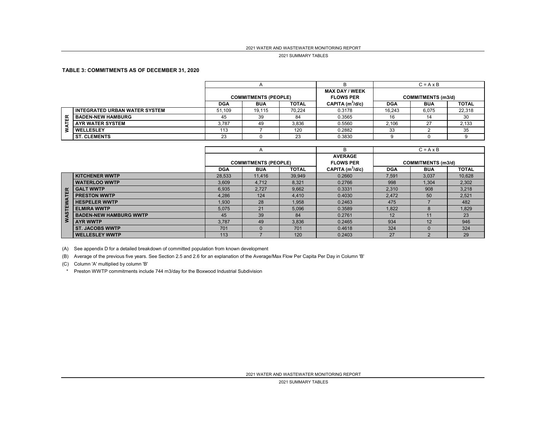#### 2021 SUMMARY TABLES

#### **TABLE 3: COMMITMENTS AS OF DECEMBER 31, 2020**

|    |                                  |            |                             |              |                        | $C = A \times B$ |                           |              |
|----|----------------------------------|------------|-----------------------------|--------------|------------------------|------------------|---------------------------|--------------|
|    |                                  |            |                             |              | <b>MAX DAY / WEEK</b>  |                  |                           |              |
|    |                                  |            | <b>COMMITMENTS (PEOPLE)</b> |              | <b>FLOWS PER</b>       |                  | <b>COMMITMENTS (m3/d)</b> |              |
|    |                                  | <b>DGA</b> | <b>BUA</b>                  | <b>TOTAL</b> | $CAPITA$ ( $m^3/d/c$ ) | <b>DGA</b>       | <b>BUA</b>                | <b>TOTAL</b> |
| 띥  | I INTEGRATED URBAN WATER SYSTEM. | 51.109     | 19.115                      | 70.224       | 0.3178                 | 16.243           | 6,075                     | 22,318       |
|    | <b>BADEN-NEW HAMBURG</b>         | 45         | 39                          | 84           | 0.3565                 | 16               |                           | 30           |
| ᄫ  | <b>AYR WATER SYSTEM</b>          | 3.787      | 49                          | 3.836        | 0.5560                 | 2.106            | 27                        | 2,133        |
| 3. | <b>WELLESLEY</b>                 | 113        |                             | 120          | 0.2882                 | 33               |                           | 35           |
|    | <b>ST. CLEMENTS</b>              | 23         |                             | 23           | 0.3830                 |                  |                           |              |

|          |                               |                             | A          |              | в                  | $C = A \times B$ |                           |              |
|----------|-------------------------------|-----------------------------|------------|--------------|--------------------|------------------|---------------------------|--------------|
|          |                               |                             |            |              | <b>AVERAGE</b>     |                  |                           |              |
|          |                               | <b>COMMITMENTS (PEOPLE)</b> |            |              | <b>FLOWS PER</b>   |                  | <b>COMMITMENTS (m3/d)</b> |              |
|          |                               | <b>DGA</b>                  | <b>BUA</b> | <b>TOTAL</b> | CAPITA $(m^3/d/c)$ | <b>DGA</b>       | <b>BUA</b>                | <b>TOTAL</b> |
|          | <b>KITCHENER WWTP</b>         | 28.533                      | 11,416     | 39.949       | 0.2660             | 7.591            | 3,037                     | 10,628       |
|          | <b>WATERLOO WWTP</b>          | 3,609                       | 4.712      | 8,321        | 0.2766             | 998              | 1.304                     | 2,302        |
| $\alpha$ | <b>GALT WWTP</b>              | 6,935                       | 2,727      | 9,662        | 0.3331             | 2,310            | 908                       | 3,218        |
| w.       | <b>PRESTON WWTP</b>           | 4.286                       | 124        | 4.410        | 0.4030             | 2,472            | 50                        | 2,521        |
|          | <b>HESPELER WWTP</b>          | 1,930                       | 28         | 1.958        | 0.2463             | 475              |                           | 482          |
| 57       | <b>ELMIRA WWTP</b>            | 5.075                       | 21         | 5.096        | 0.3589             | 1.822            |                           | 1.829        |
|          | <b>BADEN-NEW HAMBURG WWTP</b> | 45                          | 39         | 84           | 0.2761             | 12               |                           | 23           |
|          | <b>AYR WWTP</b>               | 3.787                       | 49         | 3,836        | 0.2465             | 934              | 12 <sup>°</sup>           | 946          |
|          | <b>ST. JACOBS WWTP</b>        | 701                         | $\Omega$   | 701          | 0.4618             | 324              |                           | 324          |
|          | <b>WELLESLEY WWTP</b>         | 113                         |            | 120          | 0.2403             | 27               |                           | 29           |

(A) See appendix D for a detailed breakdown of committed population from known development

(B) Average of the previous five years. See Section 2.5 and 2.6 for an explanation of the Average/Max Flow Per Capita Per Day in Column 'B'

(C) Column 'A' multiplied by column 'B'

\* Preston WWTP commitments include 744 m3/day for the Boxwood Industrial Subdivision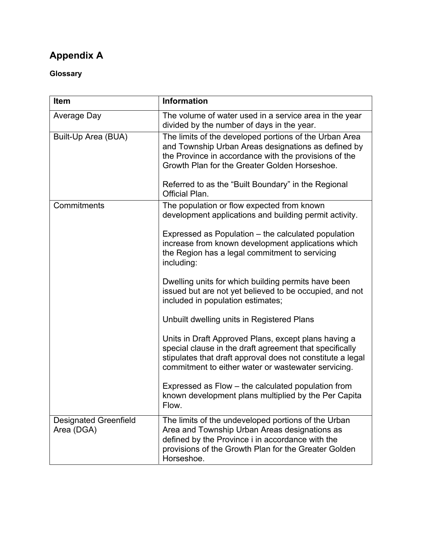### **Appendix A**

### **Glossary**

| Item                                       | <b>Information</b>                                                                                                                                                                                                                   |
|--------------------------------------------|--------------------------------------------------------------------------------------------------------------------------------------------------------------------------------------------------------------------------------------|
| <b>Average Day</b>                         | The volume of water used in a service area in the year<br>divided by the number of days in the year.                                                                                                                                 |
| Built-Up Area (BUA)                        | The limits of the developed portions of the Urban Area<br>and Township Urban Areas designations as defined by<br>the Province in accordance with the provisions of the<br>Growth Plan for the Greater Golden Horseshoe.              |
|                                            | Referred to as the "Built Boundary" in the Regional<br>Official Plan.                                                                                                                                                                |
| Commitments                                | The population or flow expected from known<br>development applications and building permit activity.                                                                                                                                 |
|                                            | Expressed as Population – the calculated population<br>increase from known development applications which<br>the Region has a legal commitment to servicing<br>including:                                                            |
|                                            | Dwelling units for which building permits have been<br>issued but are not yet believed to be occupied, and not<br>included in population estimates;                                                                                  |
|                                            | Unbuilt dwelling units in Registered Plans                                                                                                                                                                                           |
|                                            | Units in Draft Approved Plans, except plans having a<br>special clause in the draft agreement that specifically<br>stipulates that draft approval does not constitute a legal<br>commitment to either water or wastewater servicing. |
|                                            | Expressed as Flow – the calculated population from<br>known development plans multiplied by the Per Capita<br>Flow.                                                                                                                  |
| <b>Designated Greenfield</b><br>Area (DGA) | The limits of the undeveloped portions of the Urban<br>Area and Township Urban Areas designations as<br>defined by the Province i in accordance with the<br>provisions of the Growth Plan for the Greater Golden<br>Horseshoe.       |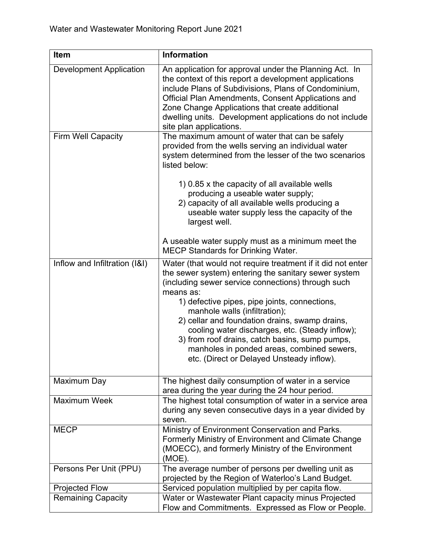| Item                           | <b>Information</b>                                                                                                                                                                                                                                                                                                                                                                                                                                                                                                         |
|--------------------------------|----------------------------------------------------------------------------------------------------------------------------------------------------------------------------------------------------------------------------------------------------------------------------------------------------------------------------------------------------------------------------------------------------------------------------------------------------------------------------------------------------------------------------|
| <b>Development Application</b> | An application for approval under the Planning Act. In<br>the context of this report a development applications<br>include Plans of Subdivisions, Plans of Condominium,<br>Official Plan Amendments, Consent Applications and<br>Zone Change Applications that create additional<br>dwelling units. Development applications do not include<br>site plan applications.                                                                                                                                                     |
| <b>Firm Well Capacity</b>      | The maximum amount of water that can be safely<br>provided from the wells serving an individual water<br>system determined from the lesser of the two scenarios<br>listed below:                                                                                                                                                                                                                                                                                                                                           |
|                                | 1) 0.85 x the capacity of all available wells<br>producing a useable water supply;<br>2) capacity of all available wells producing a<br>useable water supply less the capacity of the<br>largest well.                                                                                                                                                                                                                                                                                                                     |
|                                | A useable water supply must as a minimum meet the<br><b>MECP Standards for Drinking Water.</b>                                                                                                                                                                                                                                                                                                                                                                                                                             |
| Inflow and Infiltration (I&I)  | Water (that would not require treatment if it did not enter<br>the sewer system) entering the sanitary sewer system<br>(including sewer service connections) through such<br>means as:<br>1) defective pipes, pipe joints, connections,<br>manhole walls (infiltration);<br>2) cellar and foundation drains, swamp drains,<br>cooling water discharges, etc. (Steady inflow);<br>3) from roof drains, catch basins, sump pumps,<br>manholes in ponded areas, combined sewers,<br>etc. (Direct or Delayed Unsteady inflow). |
| Maximum Day                    | The highest daily consumption of water in a service<br>area during the year during the 24 hour period.                                                                                                                                                                                                                                                                                                                                                                                                                     |
| <b>Maximum Week</b>            | The highest total consumption of water in a service area<br>during any seven consecutive days in a year divided by<br>seven.                                                                                                                                                                                                                                                                                                                                                                                               |
| <b>MECP</b>                    | Ministry of Environment Conservation and Parks.<br>Formerly Ministry of Environment and Climate Change<br>(MOECC), and formerly Ministry of the Environment<br>$(MOE)$ .                                                                                                                                                                                                                                                                                                                                                   |
| Persons Per Unit (PPU)         | The average number of persons per dwelling unit as<br>projected by the Region of Waterloo's Land Budget.                                                                                                                                                                                                                                                                                                                                                                                                                   |
| <b>Projected Flow</b>          | Serviced population multiplied by per capita flow.                                                                                                                                                                                                                                                                                                                                                                                                                                                                         |
| <b>Remaining Capacity</b>      | Water or Wastewater Plant capacity minus Projected<br>Flow and Commitments. Expressed as Flow or People.                                                                                                                                                                                                                                                                                                                                                                                                                   |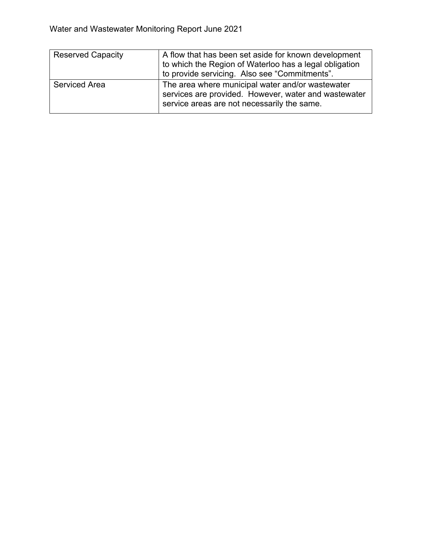| <b>Reserved Capacity</b> | A flow that has been set aside for known development<br>to which the Region of Waterloo has a legal obligation<br>to provide servicing. Also see "Commitments". |
|--------------------------|-----------------------------------------------------------------------------------------------------------------------------------------------------------------|
| <b>Serviced Area</b>     | The area where municipal water and/or wastewater<br>services are provided. However, water and wastewater<br>service areas are not necessarily the same.         |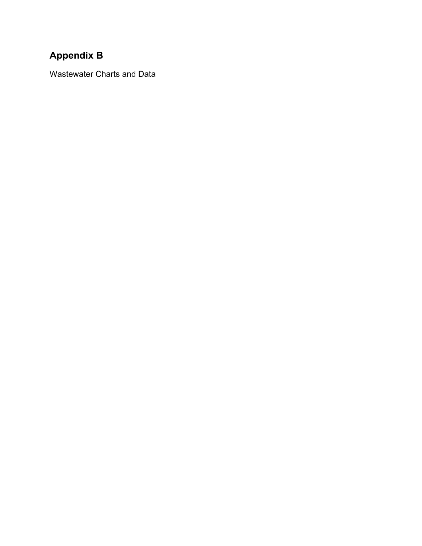### **Appendix B**

Wastewater Charts and Data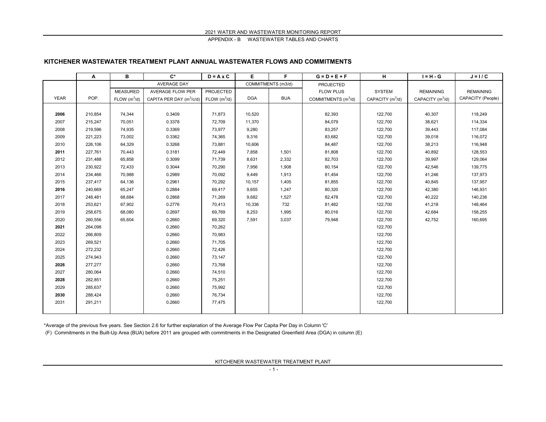#### **KITCHENER WASTEWATER TREATMENT PLANT ANNUAL WASTEWATER FLOWS AND COMMITMENTS**

|             | Α       | в               | $C^*$                                | $D = A \times C$ | Е          | F.                 | $G = D + E + F$                 | н                  | $I = H - G$                  | $J = I / C$       |
|-------------|---------|-----------------|--------------------------------------|------------------|------------|--------------------|---------------------------------|--------------------|------------------------------|-------------------|
|             |         |                 | <b>AVERAGE DAY</b>                   |                  |            | COMMITMENTS (m3/d) | <b>PROJECTED</b>                |                    |                              |                   |
|             |         | <b>MEASURED</b> | AVERAGE FLOW PER                     | PROJECTED        |            |                    | <b>FLOW PLUS</b>                | <b>SYSTEM</b>      | <b>REMAINING</b>             | <b>REMAINING</b>  |
| <b>YEAR</b> | POP.    | FLOW $(m^3/d)$  | CAPITA PER DAY (m <sup>3</sup> /c/d) | FLOW $(m^3/d)$   | <b>DGA</b> | <b>BUA</b>         | COMMITMENTS (m <sup>3</sup> /d) | CAPACITY $(m^3/d)$ | CAPACITY (m <sup>3</sup> /d) | CAPACITY (People) |
|             |         |                 |                                      |                  |            |                    |                                 |                    |                              |                   |
| 2006        | 210,854 | 74,344          | 0.3409                               | 71,873           | 10,520     |                    | 82,393                          | 122,700            | 40,307                       | 118,249           |
| 2007        | 215,247 | 70,051          | 0.3378                               | 72,709           | 11,370     |                    | 84,079                          | 122,700            | 38,621                       | 114,334           |
| 2008        | 219,596 | 74,935          | 0.3369                               | 73,977           | 9,280      |                    | 83,257                          | 122,700            | 39,443                       | 117,084           |
| 2009        | 221,223 | 73,002          | 0.3362                               | 74,365           | 9,316      |                    | 83,682                          | 122,700            | 39,018                       | 116,072           |
| 2010        | 226,106 | 64,329          | 0.3268                               | 73,881           | 10,606     |                    | 84,487                          | 122,700            | 38,213                       | 116,948           |
| 2011        | 227,761 | 70,443          | 0.3181                               | 72,449           | 7,858      | 1,501              | 81,808                          | 122,700            | 40,892                       | 128,553           |
| 2012        | 231,488 | 65,858          | 0.3099                               | 71,739           | 8,631      | 2,332              | 82,703                          | 122,700            | 39,997                       | 129,064           |
| 2013        | 230,922 | 72,433          | 0.3044                               | 70,290           | 7,956      | 1,908              | 80,154                          | 122,700            | 42,546                       | 139,775           |
| 2014        | 234,466 | 70,988          | 0.2989                               | 70,092           | 9,449      | 1,913              | 81,454                          | 122,700            | 41,246                       | 137,973           |
| 2015        | 237,417 | 64,136          | 0.2961                               | 70,292           | 10,157     | 1,405              | 81,855                          | 122,700            | 40,845                       | 137,957           |
| 2016        | 240,669 | 65,247          | 0.2884                               | 69,417           | 9,655      | 1,247              | 80,320                          | 122,700            | 42,380                       | 146,931           |
| 2017        | 248,481 | 68,684          | 0.2868                               | 71,269           | 9,682      | 1,527              | 82,478                          | 122,700            | 40,222                       | 140,236           |
| 2018        | 253,621 | 67,902          | 0.2776                               | 70,413           | 10,336     | 732                | 81,482                          | 122,700            | 41,218                       | 148,464           |
| 2019        | 258,675 | 68,080          | 0.2697                               | 69,769           | 8,253      | 1,995              | 80,016                          | 122,700            | 42,684                       | 158,255           |
| 2020        | 260,556 | 65.604          | 0.2660                               | 69,320           | 7,591      | 3,037              | 79,948                          | 122,700            | 42,752                       | 160,695           |
| 2021        | 264,098 |                 | 0.2660                               | 70,262           |            |                    |                                 | 122,700            |                              |                   |
| 2022        | 266,809 |                 | 0.2660                               | 70,983           |            |                    |                                 | 122,700            |                              |                   |
| 2023        | 269,521 |                 | 0.2660                               | 71,705           |            |                    |                                 | 122,700            |                              |                   |
| 2024        | 272,232 |                 | 0.2660                               | 72,426           |            |                    |                                 | 122,700            |                              |                   |
| 2025        | 274,943 |                 | 0.2660                               | 73,147           |            |                    |                                 | 122,700            |                              |                   |
| 2026        | 277,277 |                 | 0.2660                               | 73,768           |            |                    |                                 | 122,700            |                              |                   |
| 2027        | 280,064 |                 | 0.2660                               | 74,510           |            |                    |                                 | 122,700            |                              |                   |
| 2028        | 282,851 |                 | 0.2660                               | 75,251           |            |                    |                                 | 122,700            |                              |                   |
| 2029        | 285,637 |                 | 0.2660                               | 75,992           |            |                    |                                 | 122,700            |                              |                   |
| 2030        | 288,424 |                 | 0.2660                               | 76,734           |            |                    |                                 | 122,700            |                              |                   |
| 2031        | 291,211 |                 | 0.2660                               | 77,475           |            |                    |                                 | 122,700            |                              |                   |
|             |         |                 |                                      |                  |            |                    |                                 |                    |                              |                   |

\*Average of the previous five years. See Section 2.6 for further explanation of the Average Flow Per Capita Per Day in Column 'C'

(F) Commitments in the Built-Up Area (BUA) before 2011 are grouped with commitments in the Designated Greenfield Area (DGA) in column (E)

KITCHENER WASTEWATER TREATMENT PLANT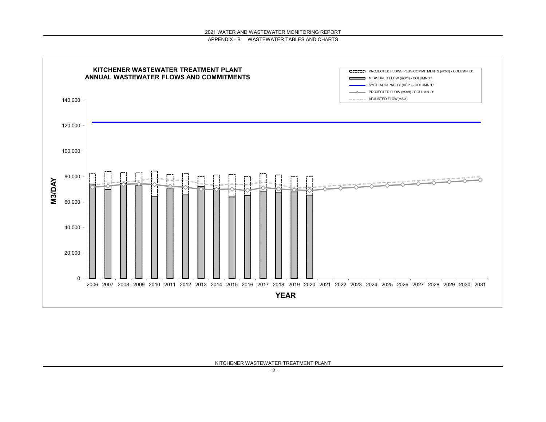

KITCHENER WASTEWATER TREATMENT PLANT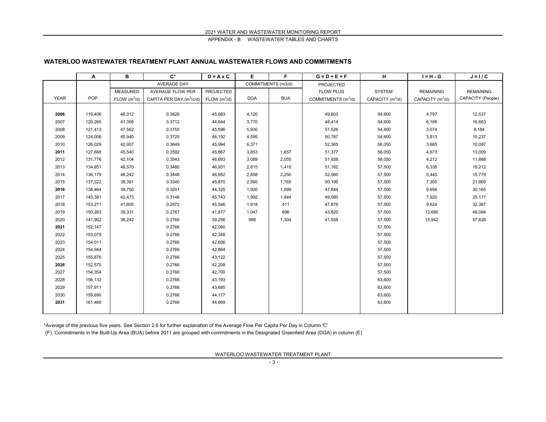#### **WATERLOO WASTEWATER TREATMENT PLANT ANNUAL WASTEWATER FLOWS AND COMMITMENTS**

|             | Α       | в               | $\mathbf{C}^*$             | $D = A \times C$         | Е          | F                  | $G = D + E + F$                 | н                  | $I = H - G$        | $J = I / C$       |
|-------------|---------|-----------------|----------------------------|--------------------------|------------|--------------------|---------------------------------|--------------------|--------------------|-------------------|
|             |         |                 | <b>AVERAGE DAY</b>         |                          |            | COMMITMENTS (m3/d) | PROJECTED                       |                    |                    |                   |
|             |         | <b>MEASURED</b> | AVERAGE FLOW PER           | PROJECTED                |            |                    | <b>FLOW PLUS</b>                | <b>SYSTEM</b>      | <b>REMAINING</b>   | <b>REMAINING</b>  |
| <b>YEAR</b> | POP.    | FLOW $(m^3/d)$  | CAPITA PER DAY $(m^3/c/d)$ | FLOW (m <sup>3</sup> /d) | <b>DGA</b> | <b>BUA</b>         | COMMITMENTS (m <sup>3</sup> /d) | CAPACITY $(m^3/d)$ | CAPACITY $(m^3/d)$ | CAPACITY (People) |
|             |         |                 |                            |                          |            |                    |                                 |                    |                    |                   |
| 2006        | 119,406 | 46,012          | 0.3826                     | 45,683                   | 4,120      |                    | 49,803                          | 54,600             | 4,797              | 12,537            |
| 2007        | 120,265 | 41,358          | 0.3712                     | 44,644                   | 3,770      |                    | 48,414                          | 54,600             | 6,186              | 16,663            |
| 2008        | 121,413 | 47,562          | 0.3755                     | 45,596                   | 5,930      |                    | 51,526                          | 54,600             | 3,074              | 8,184             |
| 2009        | 124,006 | 45,940          | 0.3725                     | 46,192                   | 4,595      |                    | 50,787                          | 54,600             | 3,813              | 10,237            |
| 2010        | 126,029 | 42,007          | 0.3649                     | 45,994                   | 6,371      |                    | 52,365                          | 56,050             | 3,685              | 10,097            |
| 2011        | 127,688 | 45,540          | 0.3592                     | 45,867                   | 3,853      | 1,657              | 51,377                          | 56,050             | 4,673              | 13,009            |
| 2012        | 131,776 | 42,104          | 0.3543                     | 46,693                   | 3,089      | 2,055              | 51,838                          | 56,050             | 4,212              | 11,888            |
| 2013        | 134,851 | 48,570          | 0.3480                     | 46,931                   | 2,815      | 1,415              | 51,162                          | 57,500             | 6,338              | 18,212            |
| 2014        | 136,179 | 48,242          | 0.3448                     | 46,952                   | 2,858      | 2,250              | 52,060                          | 57,500             | 5,440              | 15,779            |
| 2015        | 137,322 | 38,391          | 0.3340                     | 45,870                   | 2,560      | 1,765              | 50,195                          | 57,500             | 7,305              | 21,869            |
| 2016        | 138,464 | 39,750          | 0.3201                     | 44,325                   | 1,920      | 1,599              | 47,844                          | 57,500             | 9,656              | 30,165            |
| 2017        | 145,381 | 42,473          | 0.3146                     | 45,743                   | 1,992      | 1,844              | 49,580                          | 57,500             | 7,920              | 25,171            |
| 2018        | 153,271 | 41,805          | 0.2972                     | 45,546                   | 1,918      | 411                | 47,876                          | 57,500             | 9,624              | 32,387            |
| 2019        | 150,283 | 39,331          | 0.2787                     | 41,877                   | 1,047      | 896                | 43,820                          | 57,500             | 13,680             | 49,094            |
| 2020        | 141,902 | 38,242          | 0.2766                     | 39,256                   | 998        | 1,304              | 41,558                          | 57,500             | 15,942             | 57,628            |
| 2021        | 152,147 |                 | 0.2766                     | 42,090                   |            |                    |                                 | 57,500             |                    |                   |
| 2022        | 153,079 |                 | 0.2766                     | 42,348                   |            |                    |                                 | 57,500             |                    |                   |
| 2023        | 154,011 |                 | 0.2766                     | 42,606                   |            |                    |                                 | 57,500             |                    |                   |
| 2024        | 154,944 |                 | 0.2766                     | 42,864                   |            |                    |                                 | 57,500             |                    |                   |
| 2025        | 155,876 |                 | 0.2766                     | 43,122                   |            |                    |                                 | 57,500             |                    |                   |
| 2026        | 152,575 |                 | 0.2766                     | 42,208                   |            |                    |                                 | 57,500             |                    |                   |
| 2027        | 154,354 |                 | 0.2766                     | 42,700                   |            |                    |                                 | 57,500             |                    |                   |
| 2028        | 156,133 |                 | 0.2766                     | 43,193                   |            |                    |                                 | 63,600             |                    |                   |
| 2029        | 157,911 |                 | 0.2766                     | 43,685                   |            |                    |                                 | 63,600             |                    |                   |
| 2030        | 159,690 |                 | 0.2766                     | 44,177                   |            |                    |                                 | 63,600             |                    |                   |
| 2031        | 161,469 |                 | 0.2766                     | 44,669                   |            |                    |                                 | 63,600             |                    |                   |
|             |         |                 |                            |                          |            |                    |                                 |                    |                    |                   |

\*Average of the previous five years. See Section 2.6 for further explanation of the Average Flow Per Capita Per Day in Column 'C'

(F) Commitments in the Built-Up Area (BUA) before 2011 are grouped with commitments in the Designated Greenfield Area (DGA) in column (E)

WATERLOO WASTEWATER TREATMENT PLANT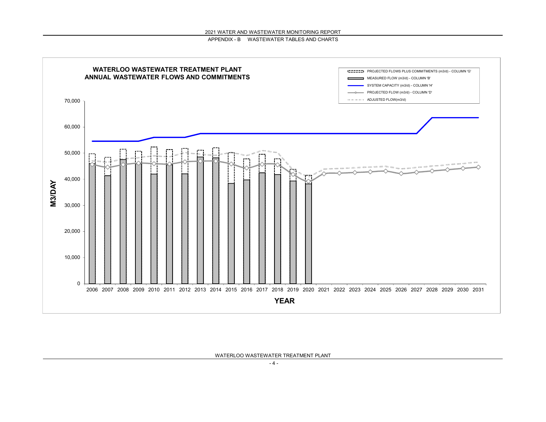

WATERLOO WASTEWATER TREATMENT PLANT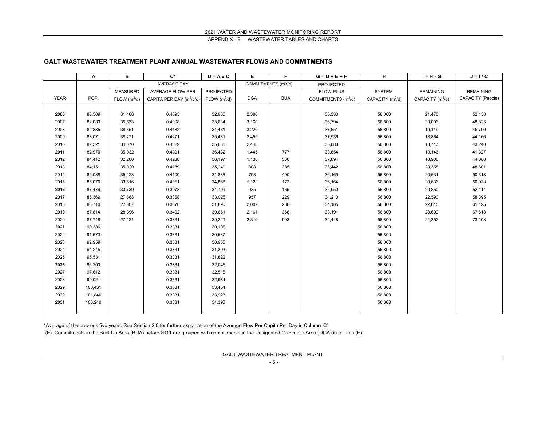#### **GALT WASTEWATER TREATMENT PLANT ANNUAL WASTEWATER FLOWS AND COMMITMENTS**

|             | Α       | в               | $\mathbf{C}^*$             | $D = A \times C$         | E.         | F                  | $G = D + E + F$                 | н                  | $I = H - G$        | $J = I / C$       |
|-------------|---------|-----------------|----------------------------|--------------------------|------------|--------------------|---------------------------------|--------------------|--------------------|-------------------|
|             |         |                 | <b>AVERAGE DAY</b>         |                          |            | COMMITMENTS (m3/d) | PROJECTED                       |                    |                    |                   |
|             |         | <b>MEASURED</b> | AVERAGE FLOW PER           | PROJECTED                |            |                    | <b>FLOW PLUS</b>                | <b>SYSTEM</b>      | <b>REMAINING</b>   | <b>REMAINING</b>  |
| <b>YEAR</b> | POP.    | FLOW $(m^3/d)$  | CAPITA PER DAY $(m^3/c/d)$ | FLOW (m <sup>3</sup> /d) | <b>DGA</b> | <b>BUA</b>         | COMMITMENTS (m <sup>3</sup> /d) | CAPACITY $(m^3/d)$ | CAPACITY $(m^3/d)$ | CAPACITY (People) |
|             |         |                 |                            |                          |            |                    |                                 |                    |                    |                   |
| 2006        | 80,509  | 31,488          | 0.4093                     | 32,950                   | 2,380      |                    | 35,330                          | 56,800             | 21,470             | 52,458            |
| 2007        | 82,083  | 35,533          | 0.4098                     | 33,634                   | 3,160      |                    | 36,794                          | 56,800             | 20,006             | 48,825            |
| 2008        | 82,335  | 38,351          | 0.4182                     | 34,431                   | 3,220      |                    | 37,651                          | 56,800             | 19,149             | 45,790            |
| 2009        | 83,071  | 38,271          | 0.4271                     | 35,481                   | 2,455      |                    | 37,936                          | 56,800             | 18,864             | 44,166            |
| 2010        | 82,321  | 34,070          | 0.4329                     | 35,635                   | 2,448      |                    | 38,083                          | 56,800             | 18,717             | 43,240            |
| 2011        | 82,970  | 35,032          | 0.4391                     | 36,432                   | 1,445      | 777                | 38,654                          | 56,800             | 18,146             | 41,327            |
| 2012        | 84,412  | 32,200          | 0.4288                     | 36,197                   | 1,138      | 560                | 37,894                          | 56,800             | 18,906             | 44,088            |
| 2013        | 84,151  | 35,020          | 0.4189                     | 35,249                   | 808        | 385                | 36,442                          | 56,800             | 20,358             | 48,601            |
| 2014        | 85,088  | 35,423          | 0.4100                     | 34,886                   | 793        | 490                | 36,169                          | 56,800             | 20,631             | 50,318            |
| 2015        | 86,070  | 33,516          | 0.4051                     | 34,868                   | 1,123      | 173                | 36,164                          | 56,800             | 20,636             | 50,938            |
| 2016        | 87,479  | 33,739          | 0.3978                     | 34,799                   | 985        | 165                | 35,950                          | 56,800             | 20,850             | 52,414            |
| 2017        | 85,369  | 27,888          | 0.3868                     | 33,025                   | 957        | 229                | 34,210                          | 56,800             | 22,590             | 58,395            |
| 2018        | 86,716  | 27,807          | 0.3678                     | 31,890                   | 2,007      | 288                | 34,185                          | 56,800             | 22,615             | 61,495            |
| 2019        | 87,814  | 28,396          | 0.3492                     | 30,661                   | 2,161      | 368                | 33,191                          | 56,800             | 23,609             | 67,618            |
| 2020        | 87,748  | 27,124          | 0.3331                     | 29,229                   | 2,310      | 908                | 32,448                          | 56,800             | 24,352             | 73,108            |
| 2021        | 90,386  |                 | 0.3331                     | 30,108                   |            |                    |                                 | 56,800             |                    |                   |
| 2022        | 91,673  |                 | 0.3331                     | 30,537                   |            |                    |                                 | 56,800             |                    |                   |
| 2023        | 92,959  |                 | 0.3331                     | 30,965                   |            |                    |                                 | 56,800             |                    |                   |
| 2024        | 94,245  |                 | 0.3331                     | 31,393                   |            |                    |                                 | 56,800             |                    |                   |
| 2025        | 95,531  |                 | 0.3331                     | 31,822                   |            |                    |                                 | 56,800             |                    |                   |
| 2026        | 96,203  |                 | 0.3331                     | 32,046                   |            |                    |                                 | 56,800             |                    |                   |
| 2027        | 97,612  |                 | 0.3331                     | 32,515                   |            |                    |                                 | 56,800             |                    |                   |
| 2028        | 99,021  |                 | 0.3331                     | 32,984                   |            |                    |                                 | 56,800             |                    |                   |
| 2029        | 100,431 |                 | 0.3331                     | 33,454                   |            |                    |                                 | 56,800             |                    |                   |
| 2030        | 101,840 |                 | 0.3331                     | 33,923                   |            |                    |                                 | 56,800             |                    |                   |
| 2031        | 103,249 |                 | 0.3331                     | 34,393                   |            |                    |                                 | 56,800             |                    |                   |
|             |         |                 |                            |                          |            |                    |                                 |                    |                    |                   |

\*Average of the previous five years. See Section 2.6 for further explanation of the Average Flow Per Capita Per Day in Column 'C'

(F) Commitments in the Built-Up Area (BUA) before 2011 are grouped with commitments in the Designated Greenfield Area (DGA) in column (E)

GALT WASTEWATER TREATMENT PLANT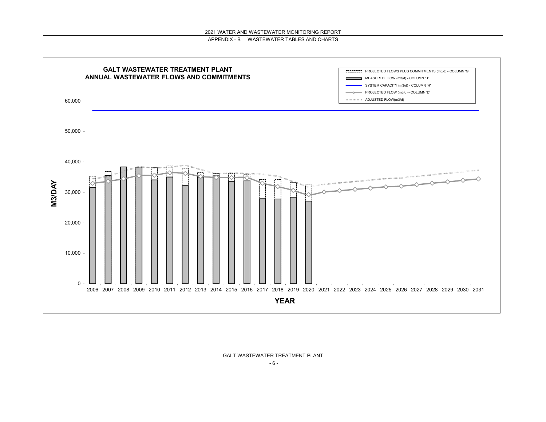

GALT WASTEWATER TREATMENT PLANT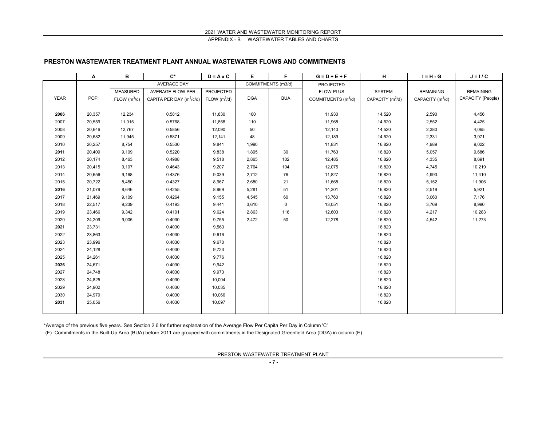#### **PRESTON WASTEWATER TREATMENT PLANT ANNUAL WASTEWATER FLOWS AND COMMITMENTS**

|             | Α      | В               | $\mathbf{C}^*$                       | $D = A \times C$         | E          | F                  | $G = D + E + F$                 | н                  | $I = H - G$        | $J = I / C$       |
|-------------|--------|-----------------|--------------------------------------|--------------------------|------------|--------------------|---------------------------------|--------------------|--------------------|-------------------|
|             |        |                 | <b>AVERAGE DAY</b>                   |                          |            | COMMITMENTS (m3/d) | PROJECTED                       |                    |                    |                   |
|             |        | <b>MEASURED</b> | <b>AVERAGE FLOW PER</b>              | PROJECTED                |            |                    | <b>FLOW PLUS</b>                | <b>SYSTEM</b>      | <b>REMAINING</b>   | <b>REMAINING</b>  |
| <b>YEAR</b> | POP.   | FLOW $(m^3/d)$  | CAPITA PER DAY (m <sup>3</sup> /c/d) | FLOW (m <sup>3</sup> /d) | <b>DGA</b> | <b>BUA</b>         | COMMITMENTS (m <sup>3</sup> /d) | CAPACITY $(m^3/d)$ | CAPACITY $(m^3/d)$ | CAPACITY (People) |
|             |        |                 |                                      |                          |            |                    |                                 |                    |                    |                   |
| 2006        | 20,357 | 12,234          | 0.5812                               | 11,830                   | 100        |                    | 11,930                          | 14,520             | 2,590              | 4,456             |
| 2007        | 20,559 | 11,015          | 0.5768                               | 11,858                   | 110        |                    | 11,968                          | 14,520             | 2,552              | 4,425             |
| 2008        | 20,646 | 12,767          | 0.5856                               | 12,090                   | 50         |                    | 12,140                          | 14,520             | 2,380              | 4,065             |
| 2009        | 20,682 | 11,945          | 0.5871                               | 12,141                   | 48         |                    | 12,189                          | 14,520             | 2,331              | 3,971             |
| 2010        | 20,257 | 8,754           | 0.5530                               | 9,841                    | 1,990      |                    | 11,831                          | 16,820             | 4,989              | 9,022             |
| 2011        | 20,409 | 9,109           | 0.5220                               | 9,838                    | 1,895      | 30                 | 11,763                          | 16,820             | 5,057              | 9,686             |
| 2012        | 20,174 | 8,463           | 0.4988                               | 9,518                    | 2,865      | 102                | 12,485                          | 16,820             | 4,335              | 8,691             |
| 2013        | 20,415 | 9,107           | 0.4643                               | 9,207                    | 2,764      | 104                | 12,075                          | 16,820             | 4,745              | 10,219            |
| 2014        | 20,656 | 9,168           | 0.4376                               | 9,039                    | 2,712      | 76                 | 11,827                          | 16,820             | 4,993              | 11,410            |
| 2015        | 20,722 | 8,450           | 0.4327                               | 8,967                    | 2,680      | 21                 | 11,668                          | 16,820             | 5,152              | 11,906            |
| 2016        | 21,079 | 8,646           | 0.4255                               | 8,969                    | 5,281      | 51                 | 14,301                          | 16,820             | 2,519              | 5,921             |
| 2017        | 21,469 | 9,109           | 0.4264                               | 9,155                    | 4,545      | 60                 | 13,760                          | 16,820             | 3,060              | 7,176             |
| 2018        | 22,517 | 9,239           | 0.4193                               | 9,441                    | 3,610      | $\mathbf 0$        | 13,051                          | 16,820             | 3,769              | 8,990             |
| 2019        | 23,466 | 9,342           | 0.4101                               | 9,624                    | 2,863      | 116                | 12,603                          | 16,820             | 4,217              | 10,283            |
| 2020        | 24,209 | 9,005           | 0.4030                               | 9,755                    | 2,472      | 50                 | 12,278                          | 16,820             | 4,542              | 11,273            |
| 2021        | 23,731 |                 | 0.4030                               | 9,563                    |            |                    |                                 | 16,820             |                    |                   |
| 2022        | 23,863 |                 | 0.4030                               | 9,616                    |            |                    |                                 | 16,820             |                    |                   |
| 2023        | 23,996 |                 | 0.4030                               | 9,670                    |            |                    |                                 | 16,820             |                    |                   |
| 2024        | 24,128 |                 | 0.4030                               | 9,723                    |            |                    |                                 | 16,820             |                    |                   |
| 2025        | 24,261 |                 | 0.4030                               | 9,776                    |            |                    |                                 | 16,820             |                    |                   |
| 2026        | 24,671 |                 | 0.4030                               | 9,942                    |            |                    |                                 | 16,820             |                    |                   |
| 2027        | 24,748 |                 | 0.4030                               | 9,973                    |            |                    |                                 | 16,820             |                    |                   |
| 2028        | 24,825 |                 | 0.4030                               | 10,004                   |            |                    |                                 | 16,820             |                    |                   |
| 2029        | 24,902 |                 | 0.4030                               | 10,035                   |            |                    |                                 | 16,820             |                    |                   |
| 2030        | 24,979 |                 | 0.4030                               | 10,066                   |            |                    |                                 | 16,820             |                    |                   |
| 2031        | 25,056 |                 | 0.4030                               | 10,097                   |            |                    |                                 | 16,820             |                    |                   |
|             |        |                 |                                      |                          |            |                    |                                 |                    |                    |                   |

\*Average of the previous five years. See Section 2.6 for further explanation of the Average Flow Per Capita Per Day in Column 'C'

(F) Commitments in the Built-Up Area (BUA) before 2011 are grouped with commitments in the Designated Greenfield Area (DGA) in column (E)

PRESTON WASTEWATER TREATMENT PLANT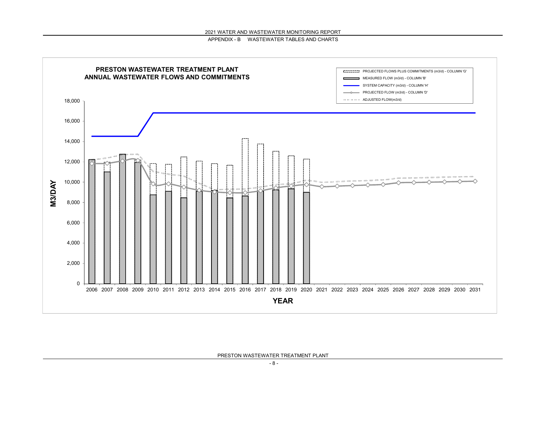



PRESTON WASTEWATER TREATMENT PLANT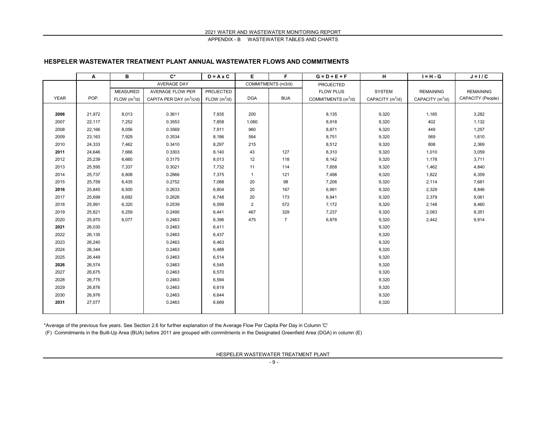#### **HESPELER WASTEWATER TREATMENT PLANT ANNUAL WASTEWATER FLOWS AND COMMITMENTS**

|             | Α      | В               | $\mathbf{C}^*$             | $D = A \times C$         | Е              | F                  | $G = D + E + F$       | н                  | $I = H - G$        | $J = I / C$       |
|-------------|--------|-----------------|----------------------------|--------------------------|----------------|--------------------|-----------------------|--------------------|--------------------|-------------------|
|             |        |                 | AVERAGE DAY                |                          |                | COMMITMENTS (m3/d) | PROJECTED             |                    |                    |                   |
|             |        | <b>MEASURED</b> | <b>AVERAGE FLOW PER</b>    | PROJECTED                |                |                    | <b>FLOW PLUS</b>      | <b>SYSTEM</b>      | <b>REMAINING</b>   | <b>REMAINING</b>  |
| <b>YEAR</b> | POP.   | FLOW $(m^3/d)$  | CAPITA PER DAY $(m^3/c/d)$ | FLOW (m <sup>3</sup> /d) | <b>DGA</b>     | <b>BUA</b>         | COMMITMENTS $(m^3/d)$ | CAPACITY $(m^3/d)$ | CAPACITY $(m^3/d)$ | CAPACITY (People) |
|             |        |                 |                            |                          |                |                    |                       |                    |                    |                   |
| 2006        | 21,972 | 8,013           | 0.3611                     | 7,935                    | 200            |                    | 8,135                 | 9,320              | 1,185              | 3,282             |
| 2007        | 22,117 | 7,252           | 0.3553                     | 7,858                    | 1,060          |                    | 8,918                 | 9,320              | 402                | 1,132             |
| 2008        | 22,166 | 8,056           | 0.3569                     | 7,911                    | 960            |                    | 8,871                 | 9,320              | 449                | 1,257             |
| 2009        | 23,163 | 7,929           | 0.3534                     | 8,186                    | 564            |                    | 8,751                 | 9,320              | 569                | 1,610             |
| 2010        | 24,333 | 7,462           | 0.3410                     | 8,297                    | 215            |                    | 8,512                 | 9,320              | 808                | 2,369             |
| 2011        | 24,646 | 7,666           | 0.3303                     | 8,140                    | 43             | 127                | 8,310                 | 9,320              | 1,010              | 3,059             |
| 2012        | 25,239 | 6,660           | 0.3175                     | 8,013                    | 12             | 118                | 8,142                 | 9,320              | 1,178              | 3,711             |
| 2013        | 25,595 | 7,337           | 0.3021                     | 7,732                    | 11             | 114                | 7,858                 | 9,320              | 1,462              | 4,840             |
| 2014        | 25,737 | 6,808           | 0.2866                     | 7,375                    | $\mathbf{1}$   | 121                | 7,498                 | 9,320              | 1,822              | 6,359             |
| 2015        | 25,759 | 6,435           | 0.2752                     | 7,088                    | 20             | 98                 | 7,206                 | 9,320              | 2,114              | 7,681             |
| 2016        | 25,845 | 6,500           | 0.2633                     | 6,804                    | 20             | 167                | 6,991                 | 9,320              | 2,329              | 8,846             |
| 2017        | 25,699 | 6,692           | 0.2626                     | 6,748                    | 20             | 173                | 6,941                 | 9,320              | 2,379              | 9,061             |
| 2018        | 25,991 | 6,320           | 0.2539                     | 6,599                    | $\overline{2}$ | 572                | 7,172                 | 9,320              | 2,148              | 8,460             |
| 2019        | 25,821 | 6,259           | 0.2495                     | 6,441                    | 467            | 329                | 7,237                 | 9,320              | 2,083              | 8,351             |
| 2020        | 25,970 | 6,077           | 0.2463                     | 6,396                    | 475            | $\overline{7}$     | 6,878                 | 9,320              | 2,442              | 9,914             |
| 2021        | 26,030 |                 | 0.2463                     | 6,411                    |                |                    |                       | 9,320              |                    |                   |
| 2022        | 26,135 |                 | 0.2463                     | 6,437                    |                |                    |                       | 9,320              |                    |                   |
| 2023        | 26,240 |                 | 0.2463                     | 6,463                    |                |                    |                       | 9,320              |                    |                   |
| 2024        | 26,344 |                 | 0.2463                     | 6,488                    |                |                    |                       | 9,320              |                    |                   |
| 2025        | 26,449 |                 | 0.2463                     | 6,514                    |                |                    |                       | 9,320              |                    |                   |
| 2026        | 26,574 |                 | 0.2463                     | 6,545                    |                |                    |                       | 9,320              |                    |                   |
| 2027        | 26,675 |                 | 0.2463                     | 6,570                    |                |                    |                       | 9,320              |                    |                   |
| 2028        | 26,775 |                 | 0.2463                     | 6,594                    |                |                    |                       | 9,320              |                    |                   |
| 2029        | 26,876 |                 | 0.2463                     | 6,619                    |                |                    |                       | 9,320              |                    |                   |
| 2030        | 26,976 |                 | 0.2463                     | 6,644                    |                |                    |                       | 9,320              |                    |                   |
| 2031        | 27,077 |                 | 0.2463                     | 6,669                    |                |                    |                       | 9,320              |                    |                   |
|             |        |                 |                            |                          |                |                    |                       |                    |                    |                   |

\*Average of the previous five years. See Section 2.6 for further explanation of the Average Flow Per Capita Per Day in Column 'C'

(F) Commitments in the Built-Up Area (BUA) before 2011 are grouped with commitments in the Designated Greenfield Area (DGA) in column (E)

HESPELER WASTEWATER TREATMENT PLANT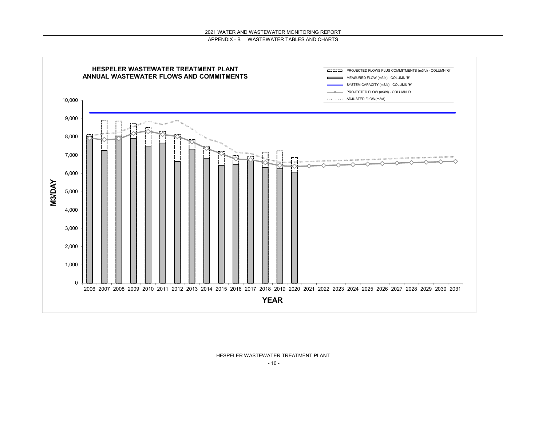



HESPELER WASTEWATER TREATMENT PLANT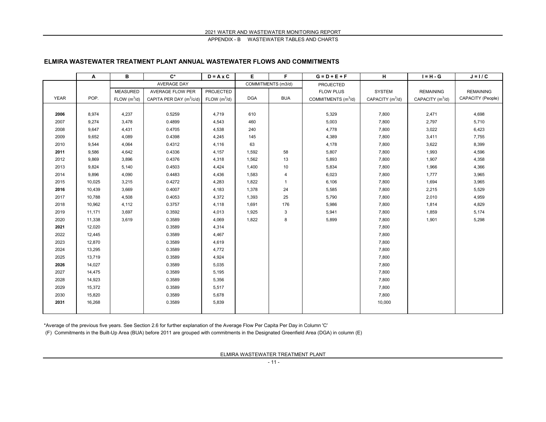#### **ELMIRA WASTEWATER TREATMENT PLANT ANNUAL WASTEWATER FLOWS AND COMMITMENTS**

|             | Α      | в                        | $C^*$                                | $D = A \times C$ | Е          | F                  | $G = D + E + F$                 | н                  | $I = H - G$        | $J = I / C$       |
|-------------|--------|--------------------------|--------------------------------------|------------------|------------|--------------------|---------------------------------|--------------------|--------------------|-------------------|
|             |        |                          | AVERAGE DAY                          |                  |            | COMMITMENTS (m3/d) | <b>PROJECTED</b>                |                    |                    |                   |
|             |        | <b>MEASURED</b>          | <b>AVERAGE FLOW PER</b>              | <b>PROJECTED</b> |            |                    | <b>FLOW PLUS</b>                | <b>SYSTEM</b>      | <b>REMAINING</b>   | <b>REMAINING</b>  |
| <b>YEAR</b> | POP.   | FLOW (m <sup>3</sup> /d) | CAPITA PER DAY (m <sup>3</sup> /c/d) | FLOW $(m^3/d)$   | <b>DGA</b> | <b>BUA</b>         | COMMITMENTS (m <sup>3</sup> /d) | CAPACITY $(m^3/d)$ | CAPACITY $(m^3/d)$ | CAPACITY (People) |
|             |        |                          |                                      |                  |            |                    |                                 |                    |                    |                   |
| 2006        | 8,974  | 4,237                    | 0.5259                               | 4,719            | 610        |                    | 5,329                           | 7,800              | 2,471              | 4,698             |
| 2007        | 9,274  | 3,478                    | 0.4899                               | 4,543            | 460        |                    | 5,003                           | 7,800              | 2,797              | 5,710             |
| 2008        | 9,647  | 4,431                    | 0.4705                               | 4,538            | 240        |                    | 4,778                           | 7,800              | 3,022              | 6,423             |
| 2009        | 9,652  | 4,089                    | 0.4398                               | 4,245            | 145        |                    | 4,389                           | 7,800              | 3,411              | 7,755             |
| 2010        | 9,544  | 4,064                    | 0.4312                               | 4,116            | 63         |                    | 4,178                           | 7,800              | 3,622              | 8,399             |
| 2011        | 9,586  | 4,642                    | 0.4336                               | 4,157            | 1,592      | 58                 | 5,807                           | 7,800              | 1,993              | 4,596             |
| 2012        | 9,869  | 3,896                    | 0.4376                               | 4,318            | 1,562      | 13                 | 5,893                           | 7,800              | 1,907              | 4,358             |
| 2013        | 9,824  | 5,140                    | 0.4503                               | 4,424            | 1,400      | 10                 | 5,834                           | 7,800              | 1,966              | 4,366             |
| 2014        | 9,896  | 4,090                    | 0.4483                               | 4,436            | 1,583      | 4                  | 6,023                           | 7,800              | 1,777              | 3,965             |
| 2015        | 10,025 | 3,215                    | 0.4272                               | 4,283            | 1,822      | $\mathbf{1}$       | 6,106                           | 7,800              | 1,694              | 3,965             |
| 2016        | 10,439 | 3,669                    | 0.4007                               | 4,183            | 1,378      | 24                 | 5,585                           | 7,800              | 2,215              | 5,529             |
| 2017        | 10,788 | 4,508                    | 0.4053                               | 4,372            | 1,393      | 25                 | 5,790                           | 7,800              | 2,010              | 4,959             |
| 2018        | 10,962 | 4,112                    | 0.3757                               | 4,118            | 1,691      | 176                | 5,986                           | 7,800              | 1,814              | 4,829             |
| 2019        | 11,171 | 3,697                    | 0.3592                               | 4,013            | 1,925      | 3                  | 5,941                           | 7,800              | 1,859              | 5,174             |
| 2020        | 11,338 | 3,619                    | 0.3589                               | 4,069            | 1,822      | 8                  | 5,899                           | 7,800              | 1,901              | 5,298             |
| 2021        | 12,020 |                          | 0.3589                               | 4,314            |            |                    |                                 | 7,800              |                    |                   |
| 2022        | 12,445 |                          | 0.3589                               | 4,467            |            |                    |                                 | 7,800              |                    |                   |
| 2023        | 12,870 |                          | 0.3589                               | 4,619            |            |                    |                                 | 7,800              |                    |                   |
| 2024        | 13,295 |                          | 0.3589                               | 4,772            |            |                    |                                 | 7,800              |                    |                   |
| 2025        | 13,719 |                          | 0.3589                               | 4,924            |            |                    |                                 | 7,800              |                    |                   |
| 2026        | 14,027 |                          | 0.3589                               | 5,035            |            |                    |                                 | 7,800              |                    |                   |
| 2027        | 14,475 |                          | 0.3589                               | 5,195            |            |                    |                                 | 7,800              |                    |                   |
| 2028        | 14,923 |                          | 0.3589                               | 5,356            |            |                    |                                 | 7,800              |                    |                   |
| 2029        | 15,372 |                          | 0.3589                               | 5,517            |            |                    |                                 | 7,800              |                    |                   |
| 2030        | 15,820 |                          | 0.3589                               | 5,678            |            |                    |                                 | 7,800              |                    |                   |
| 2031        | 16,268 |                          | 0.3589                               | 5,839            |            |                    |                                 | 10,000             |                    |                   |
|             |        |                          |                                      |                  |            |                    |                                 |                    |                    |                   |

\*Average of the previous five years. See Section 2.6 for further explanation of the Average Flow Per Capita Per Day in Column 'C'

(F) Commitments in the Built-Up Area (BUA) before 2011 are grouped with commitments in the Designated Greenfield Area (DGA) in column (E)

ELMIRA WASTEWATER TREATMENT PLANT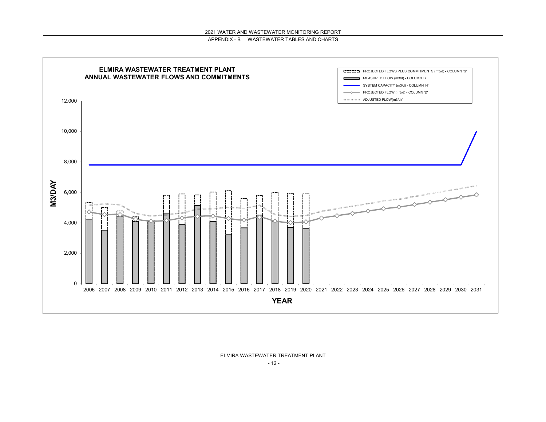

ELMIRA WASTEWATER TREATMENT PLANT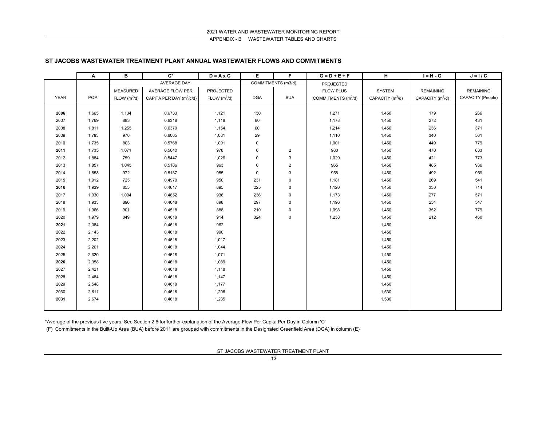#### **ST JACOBS WASTEWATER TREATMENT PLANT ANNUAL WASTEWATER FLOWS AND COMMITMENTS**

|             | Α     | B                        | $C^*$                                | $D = A \times C$         | E           | F.                 | $G = D + E + F$                 | н                  | $I = H - G$        | $J = I / C$       |
|-------------|-------|--------------------------|--------------------------------------|--------------------------|-------------|--------------------|---------------------------------|--------------------|--------------------|-------------------|
|             |       |                          | <b>AVERAGE DAY</b>                   |                          |             | COMMITMENTS (m3/d) | PROJECTED                       |                    |                    |                   |
|             |       | <b>MEASURED</b>          | AVERAGE FLOW PER                     | PROJECTED                |             |                    | <b>FLOW PLUS</b>                | SYSTEM             | <b>REMAINING</b>   | <b>REMAINING</b>  |
| <b>YEAR</b> | POP.  | FLOW (m <sup>3</sup> /d) | CAPITA PER DAY (m <sup>3</sup> /c/d) | FLOW (m <sup>3</sup> /d) | <b>DGA</b>  | <b>BUA</b>         | COMMITMENTS (m <sup>3</sup> /d) | CAPACITY $(m^3/d)$ | CAPACITY $(m^3/d)$ | CAPACITY (People) |
|             |       |                          |                                      |                          |             |                    |                                 |                    |                    |                   |
| 2006        | 1,665 | 1,134                    | 0.6733                               | 1,121                    | 150         |                    | 1,271                           | 1,450              | 179                | 266               |
| 2007        | 1,769 | 883                      | 0.6318                               | 1,118                    | 60          |                    | 1,178                           | 1,450              | 272                | 431               |
| 2008        | 1,811 | 1,255                    | 0.6370                               | 1,154                    | 60          |                    | 1,214                           | 1,450              | 236                | 371               |
| 2009        | 1,783 | 976                      | 0.6065                               | 1,081                    | 29          |                    | 1,110                           | 1,450              | 340                | 561               |
| 2010        | 1,735 | 803                      | 0.5768                               | 1,001                    | $\pmb{0}$   |                    | 1,001                           | 1,450              | 449                | 779               |
| 2011        | 1,735 | 1,071                    | 0.5640                               | 978                      | $\mathbf 0$ | $\sqrt{2}$         | 980                             | 1,450              | 470                | 833               |
| 2012        | 1,884 | 759                      | 0.5447                               | 1,026                    | 0           | $\sqrt{3}$         | 1,029                           | 1,450              | 421                | 773               |
| 2013        | 1,857 | 1,045                    | 0.5186                               | 963                      | $\mathbf 0$ | $\sqrt{2}$         | 965                             | 1,450              | 485                | 936               |
| 2014        | 1,858 | 972                      | 0.5137                               | 955                      | $\mathbf 0$ | $\sqrt{3}$         | 958                             | 1,450              | 492                | 959               |
| 2015        | 1,912 | 725                      | 0.4970                               | 950                      | 231         | $\pmb{0}$          | 1,181                           | 1,450              | 269                | 541               |
| 2016        | 1,939 | 855                      | 0.4617                               | 895                      | 225         | $\pmb{0}$          | 1,120                           | 1,450              | 330                | 714               |
| 2017        | 1,930 | 1,004                    | 0.4852                               | 936                      | 236         | $\mathbf 0$        | 1,173                           | 1,450              | 277                | 571               |
| 2018        | 1,933 | 890                      | 0.4648                               | 898                      | 297         | $\pmb{0}$          | 1,196                           | 1,450              | 254                | 547               |
| 2019        | 1,966 | 901                      | 0.4518                               | 888                      | 210         | 0                  | 1,098                           | 1,450              | 352                | 779               |
| 2020        | 1,979 | 849                      | 0.4618                               | 914                      | 324         | $\pmb{0}$          | 1,238                           | 1,450              | 212                | 460               |
| 2021        | 2,084 |                          | 0.4618                               | 962                      |             |                    |                                 | 1,450              |                    |                   |
| 2022        | 2,143 |                          | 0.4618                               | 990                      |             |                    |                                 | 1,450              |                    |                   |
| 2023        | 2,202 |                          | 0.4618                               | 1,017                    |             |                    |                                 | 1,450              |                    |                   |
| 2024        | 2,261 |                          | 0.4618                               | 1,044                    |             |                    |                                 | 1,450              |                    |                   |
| 2025        | 2,320 |                          | 0.4618                               | 1,071                    |             |                    |                                 | 1,450              |                    |                   |
| 2026        | 2,358 |                          | 0.4618                               | 1,089                    |             |                    |                                 | 1,450              |                    |                   |
| 2027        | 2,421 |                          | 0.4618                               | 1,118                    |             |                    |                                 | 1,450              |                    |                   |
| 2028        | 2,484 |                          | 0.4618                               | 1,147                    |             |                    |                                 | 1,450              |                    |                   |
| 2029        | 2,548 |                          | 0.4618                               | 1,177                    |             |                    |                                 | 1,450              |                    |                   |
| 2030        | 2,611 |                          | 0.4618                               | 1,206                    |             |                    |                                 | 1,530              |                    |                   |
| 2031        | 2,674 |                          | 0.4618                               | 1,235                    |             |                    |                                 | 1,530              |                    |                   |
|             |       |                          |                                      |                          |             |                    |                                 |                    |                    |                   |

\*Average of the previous five years. See Section 2.6 for further explanation of the Average Flow Per Capita Per Day in Column 'C'

(F) Commitments in the Built-Up Area (BUA) before 2011 are grouped with commitments in the Designated Greenfield Area (DGA) in column (E)

ST JACOBS WASTEWATER TREATMENT PLANT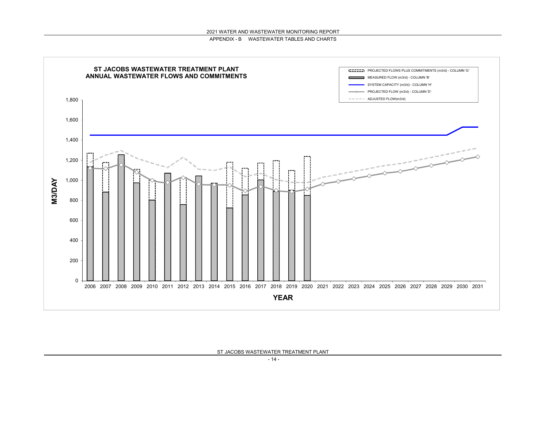



ST JACOBS WASTEWATER TREATMENT PLANT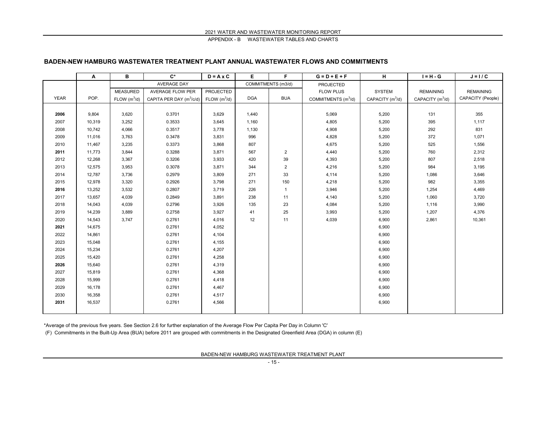#### **BADEN-NEW HAMBURG WASTEWATER TREATMENT PLANT ANNUAL WASTEWATER FLOWS AND COMMITMENTS**

|             | Α      | в               | $C^*$                      | $D = A \times C$         | Е          | F                  | $G = D + E + F$       | н                  | $I = H - G$        | $J = I / C$       |
|-------------|--------|-----------------|----------------------------|--------------------------|------------|--------------------|-----------------------|--------------------|--------------------|-------------------|
|             |        |                 | <b>AVERAGE DAY</b>         |                          |            | COMMITMENTS (m3/d) | PROJECTED             |                    |                    |                   |
|             |        | <b>MEASURED</b> | <b>AVERAGE FLOW PER</b>    | PROJECTED                |            |                    | <b>FLOW PLUS</b>      | <b>SYSTEM</b>      | <b>REMAINING</b>   | <b>REMAINING</b>  |
| <b>YEAR</b> | POP.   | FLOW $(m^3/d)$  | CAPITA PER DAY $(m^3/c/d)$ | FLOW (m <sup>3</sup> /d) | <b>DGA</b> | <b>BUA</b>         | COMMITMENTS $(m^3/d)$ | CAPACITY $(m^3/d)$ | CAPACITY $(m^3/d)$ | CAPACITY (People) |
|             |        |                 |                            |                          |            |                    |                       |                    |                    |                   |
| 2006        | 9,804  | 3,620           | 0.3701                     | 3,629                    | 1,440      |                    | 5,069                 | 5,200              | 131                | 355               |
| 2007        | 10,319 | 3,252           | 0.3533                     | 3,645                    | 1,160      |                    | 4,805                 | 5,200              | 395                | 1,117             |
| 2008        | 10,742 | 4,066           | 0.3517                     | 3,778                    | 1,130      |                    | 4,908                 | 5,200              | 292                | 831               |
| 2009        | 11,016 | 3,763           | 0.3478                     | 3,831                    | 996        |                    | 4,828                 | 5,200              | 372                | 1,071             |
| 2010        | 11,467 | 3,235           | 0.3373                     | 3,868                    | 807        |                    | 4,675                 | 5,200              | 525                | 1,556             |
| 2011        | 11,773 | 3,844           | 0.3288                     | 3,871                    | 567        | 2                  | 4,440                 | 5,200              | 760                | 2,312             |
| 2012        | 12,268 | 3,367           | 0.3206                     | 3,933                    | 420        | 39                 | 4,393                 | 5,200              | 807                | 2,518             |
| 2013        | 12,575 | 3,953           | 0.3078                     | 3,871                    | 344        | 2                  | 4,216                 | 5,200              | 984                | 3,195             |
| 2014        | 12,787 | 3,736           | 0.2979                     | 3,809                    | 271        | 33                 | 4,114                 | 5,200              | 1,086              | 3,646             |
| 2015        | 12,978 | 3,320           | 0.2926                     | 3,798                    | 271        | 150                | 4,218                 | 5,200              | 982                | 3,355             |
| 2016        | 13,252 | 3,532           | 0.2807                     | 3,719                    | 226        | $\mathbf{1}$       | 3,946                 | 5,200              | 1,254              | 4,469             |
| 2017        | 13,657 | 4,039           | 0.2849                     | 3,891                    | 238        | 11                 | 4,140                 | 5,200              | 1,060              | 3,720             |
| 2018        | 14,043 | 4,039           | 0.2796                     | 3,926                    | 135        | 23                 | 4,084                 | 5,200              | 1,116              | 3,990             |
| 2019        | 14,239 | 3,889           | 0.2758                     | 3,927                    | 41         | 25                 | 3,993                 | 5,200              | 1,207              | 4,376             |
| 2020        | 14,543 | 3,747           | 0.2761                     | 4,016                    | 12         | 11                 | 4,039                 | 6,900              | 2,861              | 10,361            |
| 2021        | 14,675 |                 | 0.2761                     | 4,052                    |            |                    |                       | 6,900              |                    |                   |
| 2022        | 14,861 |                 | 0.2761                     | 4,104                    |            |                    |                       | 6,900              |                    |                   |
| 2023        | 15,048 |                 | 0.2761                     | 4,155                    |            |                    |                       | 6,900              |                    |                   |
| 2024        | 15,234 |                 | 0.2761                     | 4,207                    |            |                    |                       | 6,900              |                    |                   |
| 2025        | 15,420 |                 | 0.2761                     | 4,258                    |            |                    |                       | 6,900              |                    |                   |
| 2026        | 15,640 |                 | 0.2761                     | 4,319                    |            |                    |                       | 6,900              |                    |                   |
| 2027        | 15,819 |                 | 0.2761                     | 4,368                    |            |                    |                       | 6,900              |                    |                   |
| 2028        | 15,999 |                 | 0.2761                     | 4,418                    |            |                    |                       | 6,900              |                    |                   |
| 2029        | 16,178 |                 | 0.2761                     | 4,467                    |            |                    |                       | 6,900              |                    |                   |
| 2030        | 16,358 |                 | 0.2761                     | 4,517                    |            |                    |                       | 6,900              |                    |                   |
| 2031        | 16,537 |                 | 0.2761                     | 4,566                    |            |                    |                       | 6,900              |                    |                   |
|             |        |                 |                            |                          |            |                    |                       |                    |                    |                   |

\*Average of the previous five years. See Section 2.6 for further explanation of the Average Flow Per Capita Per Day in Column 'C'

(F) Commitments in the Built-Up Area (BUA) before 2011 are grouped with commitments in the Designated Greenfield Area (DGA) in column (E)

BADEN-NEW HAMBURG WASTEWATER TREATMENT PLANT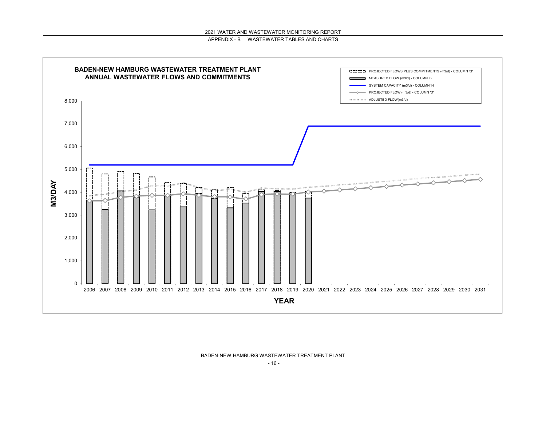

BADEN-NEW HAMBURG WASTEWATER TREATMENT PLANT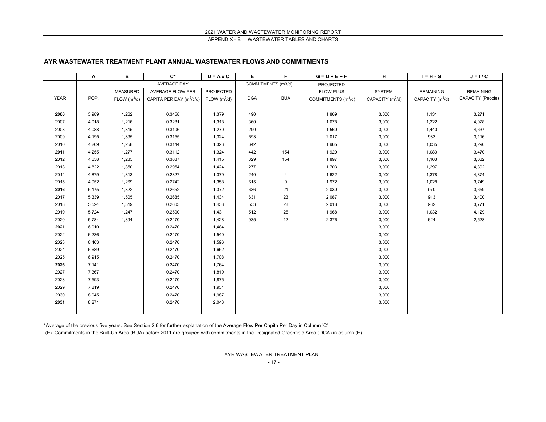#### **AYR WASTEWATER TREATMENT PLANT ANNUAL WASTEWATER FLOWS AND COMMITMENTS**

|             | Α     | в               | $\mathbf{C}^*$                       | $D = A \times C$ | Е          | F.                 | $G = D + E + F$                 | н                  | $I = H - G$        | $J = I / C$       |
|-------------|-------|-----------------|--------------------------------------|------------------|------------|--------------------|---------------------------------|--------------------|--------------------|-------------------|
|             |       |                 | <b>AVERAGE DAY</b>                   |                  |            | COMMITMENTS (m3/d) | PROJECTED                       |                    |                    |                   |
|             |       | <b>MEASURED</b> | <b>AVERAGE FLOW PER</b>              | PROJECTED        |            |                    | <b>FLOW PLUS</b>                | SYSTEM             | <b>REMAINING</b>   | <b>REMAINING</b>  |
| <b>YEAR</b> | POP.  | FLOW $(m^3/d)$  | CAPITA PER DAY (m <sup>3</sup> /c/d) | FLOW $(m^3/d)$   | <b>DGA</b> | <b>BUA</b>         | COMMITMENTS (m <sup>3</sup> /d) | CAPACITY $(m^3/d)$ | CAPACITY $(m^3/d)$ | CAPACITY (People) |
|             |       |                 |                                      |                  |            |                    |                                 |                    |                    |                   |
| 2006        | 3,989 | 1,262           | 0.3458                               | 1,379            | 490        |                    | 1,869                           | 3,000              | 1,131              | 3,271             |
| 2007        | 4,018 | 1,216           | 0.3281                               | 1,318            | 360        |                    | 1,678                           | 3,000              | 1,322              | 4,028             |
| 2008        | 4,088 | 1,315           | 0.3106                               | 1,270            | 290        |                    | 1,560                           | 3,000              | 1,440              | 4,637             |
| 2009        | 4,195 | 1,395           | 0.3155                               | 1,324            | 693        |                    | 2,017                           | 3,000              | 983                | 3,116             |
| 2010        | 4,209 | 1,258           | 0.3144                               | 1,323            | 642        |                    | 1,965                           | 3,000              | 1,035              | 3,290             |
| 2011        | 4,255 | 1,277           | 0.3112                               | 1,324            | 442        | 154                | 1,920                           | 3,000              | 1,080              | 3,470             |
| 2012        | 4,658 | 1,235           | 0.3037                               | 1,415            | 329        | 154                | 1,897                           | 3,000              | 1,103              | 3,632             |
| 2013        | 4,822 | 1,350           | 0.2954                               | 1,424            | 277        | $\mathbf{1}$       | 1,703                           | 3,000              | 1,297              | 4,392             |
| 2014        | 4,879 | 1,313           | 0.2827                               | 1,379            | 240        | 4                  | 1,622                           | 3,000              | 1,378              | 4,874             |
| 2015        | 4,952 | 1,269           | 0.2742                               | 1,358            | 615        | $\mathsf{O}$       | 1,972                           | 3,000              | 1,028              | 3,749             |
| 2016        | 5,175 | 1,322           | 0.2652                               | 1,372            | 636        | 21                 | 2,030                           | 3,000              | 970                | 3,659             |
| 2017        | 5,339 | 1,505           | 0.2685                               | 1,434            | 631        | 23                 | 2,087                           | 3,000              | 913                | 3,400             |
| 2018        | 5,524 | 1,319           | 0.2603                               | 1,438            | 553        | 28                 | 2,018                           | 3,000              | 982                | 3,771             |
| 2019        | 5,724 | 1,247           | 0.2500                               | 1,431            | 512        | 25                 | 1,968                           | 3,000              | 1,032              | 4,129             |
| 2020        | 5,784 | 1,394           | 0.2470                               | 1,428            | 935        | 12                 | 2,376                           | 3,000              | 624                | 2,528             |
| 2021        | 6,010 |                 | 0.2470                               | 1,484            |            |                    |                                 | 3,000              |                    |                   |
| 2022        | 6,236 |                 | 0.2470                               | 1,540            |            |                    |                                 | 3,000              |                    |                   |
| 2023        | 6,463 |                 | 0.2470                               | 1,596            |            |                    |                                 | 3,000              |                    |                   |
| 2024        | 6,689 |                 | 0.2470                               | 1,652            |            |                    |                                 | 3,000              |                    |                   |
| 2025        | 6,915 |                 | 0.2470                               | 1,708            |            |                    |                                 | 3,000              |                    |                   |
| 2026        | 7,141 |                 | 0.2470                               | 1,764            |            |                    |                                 | 3,000              |                    |                   |
| 2027        | 7,367 |                 | 0.2470                               | 1,819            |            |                    |                                 | 3,000              |                    |                   |
| 2028        | 7,593 |                 | 0.2470                               | 1,875            |            |                    |                                 | 3,000              |                    |                   |
| 2029        | 7,819 |                 | 0.2470                               | 1,931            |            |                    |                                 | 3,000              |                    |                   |
| 2030        | 8,045 |                 | 0.2470                               | 1,987            |            |                    |                                 | 3,000              |                    |                   |
| 2031        | 8,271 |                 | 0.2470                               | 2,043            |            |                    |                                 | 3,000              |                    |                   |
|             |       |                 |                                      |                  |            |                    |                                 |                    |                    |                   |

\*Average of the previous five years. See Section 2.6 for further explanation of the Average Flow Per Capita Per Day in Column 'C'

(F) Commitments in the Built-Up Area (BUA) before 2011 are grouped with commitments in the Designated Greenfield Area (DGA) in column (E)

AYR WASTEWATER TREATMENT PLANT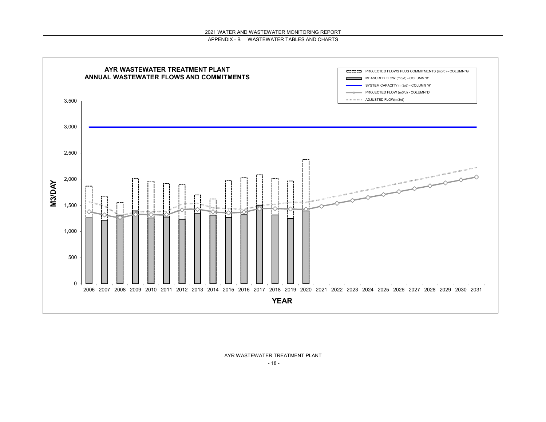

AYR WASTEWATER TREATMENT PLANT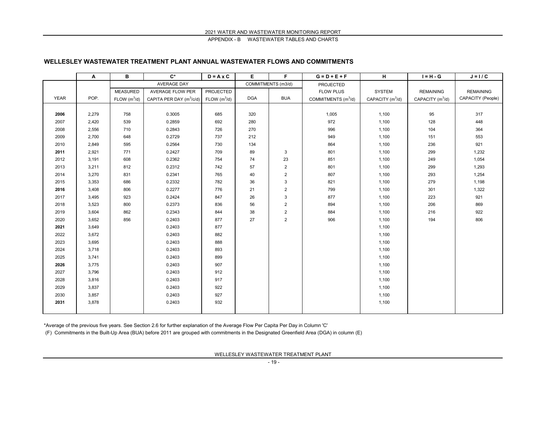#### **WELLESLEY WASTEWATER TREATMENT PLANT ANNUAL WASTEWATER FLOWS AND COMMITMENTS**

|             | Α     | в               | $C^*$                                | $D = A \times C$         | Е          | F                       | $G = D + E + F$                 | н                  | $I = H - G$        | $J = I / C$       |
|-------------|-------|-----------------|--------------------------------------|--------------------------|------------|-------------------------|---------------------------------|--------------------|--------------------|-------------------|
|             |       |                 | <b>AVERAGE DAY</b>                   |                          |            | COMMITMENTS (m3/d)      | PROJECTED                       |                    |                    |                   |
|             |       | <b>MEASURED</b> | <b>AVERAGE FLOW PER</b>              | PROJECTED                |            |                         | <b>FLOW PLUS</b>                | SYSTEM             | <b>REMAINING</b>   | <b>REMAINING</b>  |
| <b>YEAR</b> | POP.  | FLOW $(m^3/d)$  | CAPITA PER DAY (m <sup>3</sup> /c/d) | FLOW (m <sup>3</sup> /d) | <b>DGA</b> | <b>BUA</b>              | COMMITMENTS (m <sup>3</sup> /d) | CAPACITY $(m^3/d)$ | CAPACITY $(m^3/d)$ | CAPACITY (People) |
|             |       |                 |                                      |                          |            |                         |                                 |                    |                    |                   |
| 2006        | 2,279 | 758             | 0.3005                               | 685                      | 320        |                         | 1,005                           | 1,100              | 95                 | 317               |
| 2007        | 2,420 | 539             | 0.2859                               | 692                      | 280        |                         | 972                             | 1,100              | 128                | 448               |
| 2008        | 2,556 | 710             | 0.2843                               | 726                      | 270        |                         | 996                             | 1,100              | 104                | 364               |
| 2009        | 2,700 | 648             | 0.2729                               | 737                      | 212        |                         | 949                             | 1,100              | 151                | 553               |
| 2010        | 2,849 | 595             | 0.2564                               | 730                      | 134        |                         | 864                             | 1,100              | 236                | 921               |
| 2011        | 2,921 | 771             | 0.2427                               | 709                      | 89         | $\mathbf{3}$            | 801                             | 1,100              | 299                | 1,232             |
| 2012        | 3,191 | 608             | 0.2362                               | 754                      | 74         | 23                      | 851                             | 1,100              | 249                | 1,054             |
| 2013        | 3,211 | 812             | 0.2312                               | 742                      | 57         | $\overline{2}$          | 801                             | 1,100              | 299                | 1,293             |
| 2014        | 3,270 | 831             | 0.2341                               | 765                      | 40         | $\overline{\mathbf{c}}$ | 807                             | 1,100              | 293                | 1,254             |
| 2015        | 3,353 | 686             | 0.2332                               | 782                      | 36         | 3                       | 821                             | 1,100              | 279                | 1,198             |
| 2016        | 3,408 | 806             | 0.2277                               | 776                      | 21         | $\overline{\mathbf{c}}$ | 799                             | 1,100              | 301                | 1,322             |
| 2017        | 3,495 | 923             | 0.2424                               | 847                      | 26         | 3                       | 877                             | 1,100              | 223                | 921               |
| 2018        | 3,523 | 800             | 0.2373                               | 836                      | 56         | $\overline{2}$          | 894                             | 1,100              | 206                | 869               |
| 2019        | 3,604 | 862             | 0.2343                               | 844                      | 38         | $\overline{\mathbf{c}}$ | 884                             | 1,100              | 216                | 922               |
| 2020        | 3,652 | 856             | 0.2403                               | 877                      | 27         | 2                       | 906                             | 1,100              | 194                | 806               |
| 2021        | 3,649 |                 | 0.2403                               | 877                      |            |                         |                                 | 1,100              |                    |                   |
| 2022        | 3,672 |                 | 0.2403                               | 882                      |            |                         |                                 | 1,100              |                    |                   |
| 2023        | 3,695 |                 | 0.2403                               | 888                      |            |                         |                                 | 1,100              |                    |                   |
| 2024        | 3,718 |                 | 0.2403                               | 893                      |            |                         |                                 | 1,100              |                    |                   |
| 2025        | 3,741 |                 | 0.2403                               | 899                      |            |                         |                                 | 1,100              |                    |                   |
| 2026        | 3,775 |                 | 0.2403                               | 907                      |            |                         |                                 | 1,100              |                    |                   |
| 2027        | 3,796 |                 | 0.2403                               | 912                      |            |                         |                                 | 1,100              |                    |                   |
| 2028        | 3,816 |                 | 0.2403                               | 917                      |            |                         |                                 | 1,100              |                    |                   |
| 2029        | 3,837 |                 | 0.2403                               | 922                      |            |                         |                                 | 1,100              |                    |                   |
| 2030        | 3,857 |                 | 0.2403                               | 927                      |            |                         |                                 | 1,100              |                    |                   |
| 2031        | 3,878 |                 | 0.2403                               | 932                      |            |                         |                                 | 1,100              |                    |                   |
|             |       |                 |                                      |                          |            |                         |                                 |                    |                    |                   |

\*Average of the previous five years. See Section 2.6 for further explanation of the Average Flow Per Capita Per Day in Column 'C'

(F) Commitments in the Built-Up Area (BUA) before 2011 are grouped with commitments in the Designated Greenfield Area (DGA) in column (E)

WELLESLEY WASTEWATER TREATMENT PLANT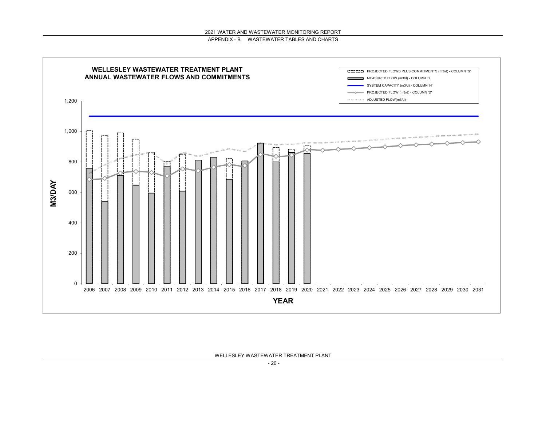

WELLESLEY WASTEWATER TREATMENT PLANT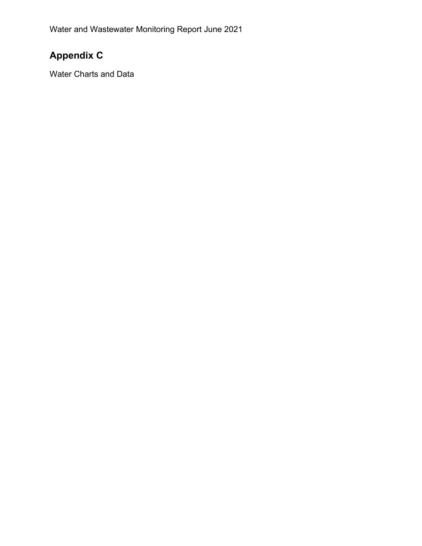# **Appendix C**

Water Charts and Data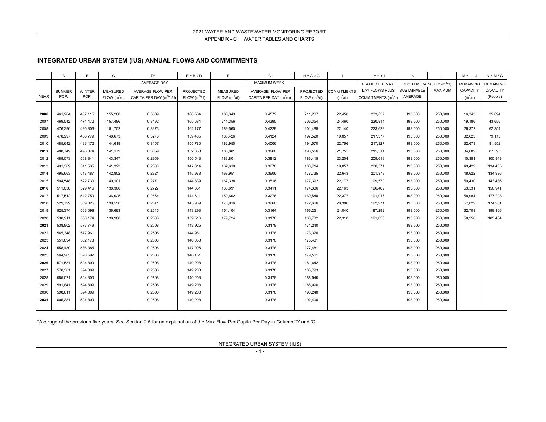#### **INTEGRATED URBAN SYSTEM (IUS) ANNUAL FLOWS AND COMMITMENTS**

|             | A             | B             | C                        | $\mathsf{D}^\star$                   | $E = B \times D$         | E                        | $G^{\star}$                          | $H = A \times G$         |                    | $J = H + I$                     | Κ           |                                     | $M = L - J$      | $N = M / G$      |
|-------------|---------------|---------------|--------------------------|--------------------------------------|--------------------------|--------------------------|--------------------------------------|--------------------------|--------------------|---------------------------------|-------------|-------------------------------------|------------------|------------------|
|             |               |               |                          | AVERAGE DAY                          |                          |                          | MAXIMUM WEEK                         |                          |                    | PROJECTED MAX                   |             | SYSTEM CAPACITY (m <sup>3</sup> /d) | <b>REMAINING</b> | <b>REMAINING</b> |
|             | <b>SUMMER</b> | <b>WINTER</b> | <b>MEASURED</b>          | AVERAGE FLOW PER                     | PROJECTED                | <b>MEASURED</b>          | AVERAGE FLOW PER                     | <b>PROJECTED</b>         | <b>COMMITMENTS</b> | DAY FLOWS PLUS                  | SUSTAINABLE | MAXIMUM                             | CAPACITY         | CAPACITY         |
| <b>YEAR</b> | POP.          | POP.          | FLOW (m <sup>3</sup> /d) | CAPITA PER DAY (m <sup>3</sup> /c/d) | FLOW (m <sup>3</sup> /d) | FLOW (m <sup>3</sup> /d) | CAPITA PER DAY (m <sup>3</sup> /c/d) | FLOW (m <sup>3</sup> /d) | $(m^3/d)$          | COMMITMENTS (m <sup>3</sup> /d) | AVERAGE     |                                     | $(m^3/d)$        | (People)         |
|             |               |               |                          |                                      |                          |                          |                                      |                          |                    |                                 |             |                                     |                  |                  |
| 2006        | 461,284       | 467,115       | 155,260                  | 0.3609                               | 168,564                  | 185,343                  | 0.4579                               | 211,207                  | 22,450             | 233,657                         | 193,000     | 250,000                             | 16,343           | 35,694           |
| 2007        | 469.542       | 474.472       | 157,486                  | 0.3492                               | 165,684                  | 211,356                  | 0.4395                               | 206,354                  | 24,460             | 230,814                         | 193,000     | 250,000                             | 19.186           | 43,656           |
| 2008        | 476,396       | 480,806       | 151,752                  | 0.3373                               | 162,177                  | 189,560                  | 0.4229                               | 201,488                  | 22,140             | 223,628                         | 193,000     | 250,000                             | 26,372           | 62,354           |
| 2009        | 478,997       | 486,779       | 148,673                  | 0.3276                               | 159,465                  | 180,426                  | 0.4124                               | 197,520                  | 19,857             | 217,377                         | 193,000     | 250,000                             | 32,623           | 79,113           |
| 2010        | 485.642       | 493,472       | 144,619                  | 0.3157                               | 155,780                  | 182,950                  | 0.4006                               | 194,570                  | 22,756             | 217,327                         | 193,000     | 250,000                             | 32.673           | 81,552           |
| 2011        | 488,749       | 498,074       | 141,179                  | 0.3059                               | 152,358                  | 185,081                  | 0.3960                               | 193,556                  | 21,755             | 215,311                         | 193,000     | 250,000                             | 34,689           | 87,593           |
| 2012        | 489,073       | 508,841       | 143,347                  | 0.2959                               | 150,543                  | 183,801                  | 0.3812                               | 186,415                  | 23,204             | 209,619                         | 193,000     | 250,000                             | 40,381           | 105,943          |
| 2013        | 491.389       | 511.535       | 141,323                  | 0.2880                               | 147,314                  | 162,610                  | 0.3678                               | 180,714                  | 19.857             | 200,571                         | 193,000     | 250,000                             | 49.429           | 134,405          |
| 2014        | 495,663       | 517,487       | 142,802                  | 0.2821                               | 145,978                  | 168,951                  | 0.3606                               | 178,735                  | 22,643             | 201,378                         | 193,000     | 250,000                             | 48,622           | 134,836          |
| 2015        | 504,548       | 522,730       | 140,101                  | 0.2771                               | 144,839                  | 167,338                  | 0.3516                               | 177,392                  | 22,177             | 199,570                         | 193,000     | 250,000                             | 50,430           | 143,436          |
| 2016        | 511.030       | 529,416       | 138,360                  | 0.2727                               | 144,351                  | 166,691                  | 0.3411                               | 174,306                  | 22,163             | 196,469                         | 193,000     | 250,000                             | 53,531           | 156,941          |
| 2017        | 517,512       | 542,750       | 136,025                  | 0.2664                               | 144,611                  | 159,602                  | 0.3276                               | 169,540                  | 22,377             | 191,916                         | 193,000     | 250,000                             | 58.084           | 177,298          |
| 2018        | 529.729       | 559.025       | 139.550                  | 0.2611                               | 145.969                  | 170,916                  | 0.3260                               | 172,666                  | 20,306             | 192,971                         | 193,000     | 250,000                             | 57.029           | 174.961          |
| 2019        | 525,374       | 563,098       | 136,693                  | 0.2545                               | 143,293                  | 154,104                  | 0.3164                               | 166,251                  | 21,040             | 187,292                         | 193,000     | 250,000                             | 62,708           | 198,166          |
| 2020        | 530,911       | 556,174       | 138,988                  | 0.2508                               | 139,516                  | 179,724                  | 0.3178                               | 168,732                  | 22,318             | 191,050                         | 193,000     | 250,000                             | 58.950           | 185,484          |
| 2021        | 538,802       | 573,749       |                          | 0.2508                               | 143,925                  |                          | 0.3178                               | 171,240                  |                    |                                 | 193,000     | 250,000                             |                  |                  |
| 2022        | 545.348       | 577,961       |                          | 0.2508                               | 144,981                  |                          | 0.3178                               | 173,320                  |                    |                                 | 193,000     | 250,000                             |                  |                  |
| 2023        | 551,894       | 582,173       |                          | 0.2508                               | 146,038                  |                          | 0.3178                               | 175,401                  |                    |                                 | 193,000     | 250,000                             |                  |                  |
| 2024        | 558,439       | 586,385       |                          | 0.2508                               | 147,095                  |                          | 0.3178                               | 177,481                  |                    |                                 | 193,000     | 250,000                             |                  |                  |
| 2025        | 564,985       | 590,597       |                          | 0.2508                               | 148,151                  |                          | 0.3178                               | 179,561                  |                    |                                 | 193,000     | 250,000                             |                  |                  |
| 2026        | 571,531       | 594,809       |                          | 0.2508                               | 149,208                  |                          | 0.3178                               | 181,642                  |                    |                                 | 193,000     | 250,000                             |                  |                  |
| 2027        | 578,301       | 594,809       |                          | 0.2508                               | 149,208                  |                          | 0.3178                               | 183,793                  |                    |                                 | 193,000     | 250,000                             |                  |                  |
| 2028        | 585,071       | 594,809       |                          | 0.2508                               | 149,208                  |                          | 0.3178                               | 185,945                  |                    |                                 | 193,000     | 250,000                             |                  |                  |
| 2029        | 591,841       | 594,809       |                          | 0.2508                               | 149,208                  |                          | 0.3178                               | 188,096                  |                    |                                 | 193,000     | 250,000                             |                  |                  |
| 2030        | 598,611       | 594,809       |                          | 0.2508                               | 149,208                  |                          | 0.3178                               | 190,248                  |                    |                                 | 193,000     | 250,000                             |                  |                  |
| 2031        | 605,381       | 594,809       |                          | 0.2508                               | 149,208                  |                          | 0.3178                               | 192,400                  |                    |                                 | 193,000     | 250,000                             |                  |                  |
|             |               |               |                          |                                      |                          |                          |                                      |                          |                    |                                 |             |                                     |                  |                  |

\*Average of the previous five years. See Section 2.5 for an explanation of the Max Flow Per Capita Per Day in Column 'D' and 'G'

INTEGRATED URBAN SYSTEM (IUS)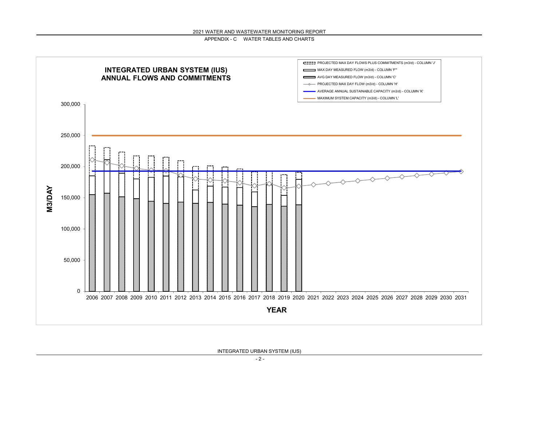

INTEGRATED URBAN SYSTEM (IUS)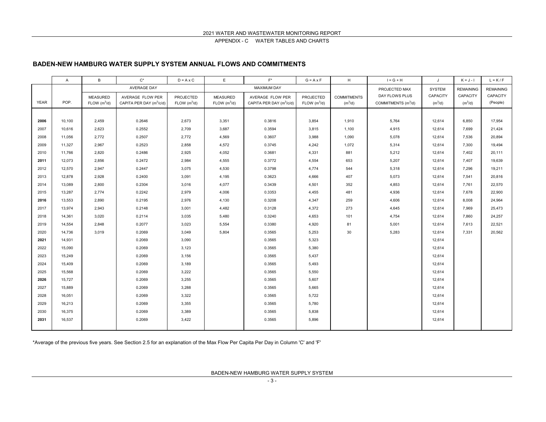#### **BADEN-NEW HAMBURG WATER SUPPLY SYSTEM ANNUAL FLOWS AND COMMITMENTS**

|             | A      | B                        | $C^*$                                | $D = A \times C$           | E                        | $F^*$                                | $G = A \times F$         | H                  | $I = G + H$                     | J               | $K = J - I$      | $L = K/F$        |
|-------------|--------|--------------------------|--------------------------------------|----------------------------|--------------------------|--------------------------------------|--------------------------|--------------------|---------------------------------|-----------------|------------------|------------------|
|             |        |                          | <b>AVERAGE DAY</b>                   |                            |                          | <b>MAXIMUM DAY</b>                   |                          |                    | PROJECTED MAX                   | <b>SYSTEM</b>   | <b>REMAINING</b> | <b>REMAINING</b> |
|             |        | <b>MEASURED</b>          | AVERAGE FLOW PER                     | <b>PROJECTED</b>           | <b>MEASURED</b>          | AVERAGE FLOW PER                     | PROJECTED                | <b>COMMITMENTS</b> | DAY FLOWS PLUS                  | <b>CAPACITY</b> | <b>CAPACITY</b>  | CAPACITY         |
| <b>YEAR</b> | POP.   | FLOW (m <sup>3</sup> /d) | CAPITA PER DAY (m <sup>3</sup> /c/d) | $FLOW$ (m <sup>3</sup> /d) | FLOW (m <sup>3</sup> /d) | CAPITA PER DAY (m <sup>3</sup> /c/d) | FLOW (m <sup>3</sup> /d) | $(m^3/d)$          | COMMITMENTS (m <sup>3</sup> /d) | $(m^3/d)$       | $(m^3/d)$        | (People)         |
|             |        |                          |                                      |                            |                          |                                      |                          |                    |                                 |                 |                  |                  |
| 2006        | 10,100 | 2,459                    | 0.2646                               | 2,673                      | 3,351                    | 0.3816                               | 3,854                    | 1,910              | 5,764                           | 12,614          | 6,850            | 17,954           |
| 2007        | 10.616 | 2,623                    | 0.2552                               | 2,709                      | 3,687                    | 0.3594                               | 3,815                    | 1,100              | 4,915                           | 12,614          | 7.699            | 21,424           |
| 2008        | 11,056 | 2,772                    | 0.2507                               | 2,772                      | 4,569                    | 0.3607                               | 3,988                    | 1,090              | 5,078                           | 12,614          | 7,536            | 20,894           |
| 2009        | 11,327 | 2,967                    | 0.2523                               | 2,858                      | 4,572                    | 0.3745                               | 4,242                    | 1,072              | 5,314                           | 12,614          | 7,300            | 19,494           |
| 2010        | 11,766 | 2,820                    | 0.2486                               | 2,925                      | 4,052                    | 0.3681                               | 4,331                    | 881                | 5,212                           | 12,614          | 7,402            | 20,111           |
| 2011        | 12,073 | 2,856                    | 0.2472                               | 2,984                      | 4,555                    | 0.3772                               | 4,554                    | 653                | 5,207                           | 12,614          | 7,407            | 19,639           |
| 2012        | 12,570 | 2,947                    | 0.2447                               | 3,075                      | 4,530                    | 0.3798                               | 4,774                    | 544                | 5,318                           | 12,614          | 7,296            | 19,211           |
| 2013        | 12,878 | 2,928                    | 0.2400                               | 3,091                      | 4,195                    | 0.3623                               | 4,666                    | 407                | 5,073                           | 12,614          | 7.541            | 20,816           |
| 2014        | 13,089 | 2,800                    | 0.2304                               | 3,016                      | 4,077                    | 0.3439                               | 4,501                    | 352                | 4,853                           | 12,614          | 7,761            | 22,570           |
| 2015        | 13,287 | 2,774                    | 0.2242                               | 2,979                      | 4,006                    | 0.3353                               | 4,455                    | 481                | 4,936                           | 12,614          | 7,678            | 22,900           |
| 2016        | 13,553 | 2,890                    | 0.2195                               | 2,976                      | 4,130                    | 0.3208                               | 4,347                    | 259                | 4,606                           | 12,614          | 8,008            | 24,964           |
| 2017        | 13,974 | 2,943                    | 0.2148                               | 3,001                      | 4,482                    | 0.3128                               | 4,372                    | 273                | 4,645                           | 12,614          | 7,969            | 25,473           |
| 2018        | 14,361 | 3,020                    | 0.2114                               | 3,035                      | 5,480                    | 0.3240                               | 4,653                    | 101                | 4,754                           | 12,614          | 7,860            | 24,257           |
| 2019        | 14,554 | 2,848                    | 0.2077                               | 3,023                      | 5,554                    | 0.3380                               | 4,920                    | 81                 | 5,001                           | 12,614          | 7,613            | 22,521           |
| 2020        | 14,736 | 3,019                    | 0.2069                               | 3,049                      | 5,804                    | 0.3565                               | 5,253                    | 30                 | 5,283                           | 12,614          | 7,331            | 20,562           |
| 2021        | 14.931 |                          | 0.2069                               | 3,090                      |                          | 0.3565                               | 5,323                    |                    |                                 | 12,614          |                  |                  |
| 2022        | 15,090 |                          | 0.2069                               | 3,123                      |                          | 0.3565                               | 5,380                    |                    |                                 | 12,614          |                  |                  |
| 2023        | 15,249 |                          | 0.2069                               | 3,156                      |                          | 0.3565                               | 5,437                    |                    |                                 | 12,614          |                  |                  |
| 2024        | 15.409 |                          | 0.2069                               | 3,189                      |                          | 0.3565                               | 5,493                    |                    |                                 | 12,614          |                  |                  |
| 2025        | 15,568 |                          | 0.2069                               | 3,222                      |                          | 0.3565                               | 5,550                    |                    |                                 | 12,614          |                  |                  |
| 2026        | 15,727 |                          | 0.2069                               | 3,255                      |                          | 0.3565                               | 5,607                    |                    |                                 | 12,614          |                  |                  |
| 2027        | 15,889 |                          | 0.2069                               | 3,288                      |                          | 0.3565                               | 5,665                    |                    |                                 | 12,614          |                  |                  |
| 2028        | 16,051 |                          | 0.2069                               | 3,322                      |                          | 0.3565                               | 5,722                    |                    |                                 | 12,614          |                  |                  |
| 2029        | 16,213 |                          | 0.2069                               | 3,355                      |                          | 0.3565                               | 5,780                    |                    |                                 | 12,614          |                  |                  |
| 2030        | 16,375 |                          | 0.2069                               | 3,389                      |                          | 0.3565                               | 5,838                    |                    |                                 | 12,614          |                  |                  |
| 2031        | 16,537 |                          | 0.2069                               | 3,422                      |                          | 0.3565                               | 5,896                    |                    |                                 | 12,614          |                  |                  |
|             |        |                          |                                      |                            |                          |                                      |                          |                    |                                 |                 |                  |                  |

\*Average of the previous five years. See Section 2.5 for an explanation of the Max Flow Per Capita Per Day in Column 'C' and 'F'

BADEN-NEW HAMBURG WATER SUPPLY SYSTEM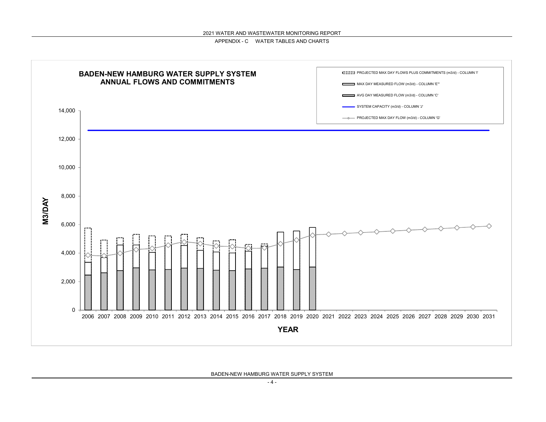

BADEN-NEW HAMBURG WATER SUPPLY SYSTEM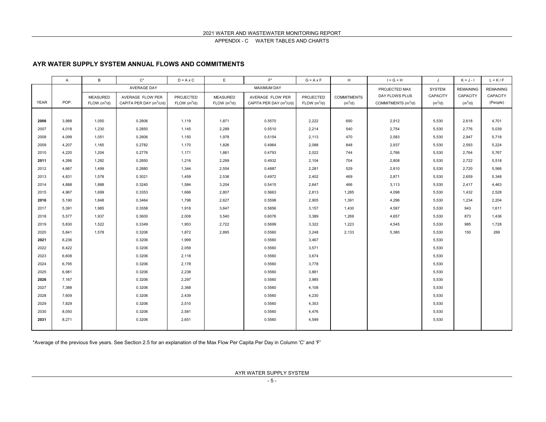### **AYR WATER SUPPLY SYSTEM ANNUAL FLOWS AND COMMITMENTS**

|             | A     | B                        | $C^*$                                | $D = A \times C$         | E                        | $F^*$                                | $G = A \times F$         | H                  | $I = G + H$                     | J               | $K = J - I$      | $L = K/F$        |
|-------------|-------|--------------------------|--------------------------------------|--------------------------|--------------------------|--------------------------------------|--------------------------|--------------------|---------------------------------|-----------------|------------------|------------------|
|             |       |                          | <b>AVERAGE DAY</b>                   |                          |                          | <b>MAXIMUM DAY</b>                   |                          |                    | PROJECTED MAX                   | <b>SYSTEM</b>   | <b>REMAINING</b> | <b>REMAINING</b> |
|             |       | <b>MEASURED</b>          | AVERAGE FLOW PER                     | <b>PROJECTED</b>         | <b>MEASURED</b>          | AVERAGE FLOW PER                     | PROJECTED                | <b>COMMITMENTS</b> | DAY FLOWS PLUS                  | <b>CAPACITY</b> | CAPACITY         | CAPACITY         |
| <b>YEAR</b> | POP.  | FLOW (m <sup>3</sup> /d) | CAPITA PER DAY (m <sup>3</sup> /c/d) | FLOW (m <sup>3</sup> /d) | FLOW (m <sup>3</sup> /d) | CAPITA PER DAY (m <sup>3</sup> /c/d) | FLOW (m <sup>3</sup> /d) | $(m^3/d)$          | COMMITMENTS (m <sup>3</sup> /d) | $(m^3/d)$       | $(m^3/d)$        | (People)         |
|             |       |                          |                                      |                          |                          |                                      |                          |                    |                                 |                 |                  |                  |
| 2006        | 3,988 | 1,050                    | 0.2806                               | 1,119                    | 1,871                    | 0.5570                               | 2,222                    | 690                | 2,912                           | 5,530           | 2,618            | 4,701            |
| 2007        | 4.018 | 1,230                    | 0.2850                               | 1,145                    | 2,289                    | 0.5510                               | 2,214                    | 540                | 2,754                           | 5,530           | 2,776            | 5,039            |
| 2008        | 4,099 | 1,051                    | 0.2806                               | 1,150                    | 1,978                    | 0.5154                               | 2,113                    | 470                | 2,583                           | 5,530           | 2,947            | 5,718            |
| 2009        | 4,207 | 1,165                    | 0.2782                               | 1,170                    | 1,826                    | 0.4964                               | 2,088                    | 848                | 2,937                           | 5,530           | 2,593            | 5,224            |
| 2010        | 4,220 | 1,204                    | 0.2776                               | 1,171                    | 1,861                    | 0.4793                               | 2,022                    | 744                | 2,766                           | 5,530           | 2,764            | 5,767            |
| 2011        | 4,266 | 1,282                    | 0.2850                               | 1,216                    | 2,299                    | 0.4932                               | 2,104                    | 704                | 2,808                           | 5,530           | 2,722            | 5,518            |
| 2012        | 4,667 | 1,499                    | 0.2880                               | 1,344                    | 2,554                    | 0.4887                               | 2,281                    | 529                | 2,810                           | 5,530           | 2,720            | 5,566            |
| 2013        | 4,831 | 1,578                    | 0.3021                               | 1,459                    | 2,536                    | 0.4972                               | 2,402                    | 469                | 2,871                           | 5,530           | 2,659            | 5,348            |
| 2014        | 4,888 | 1,888                    | 0.3240                               | 1,584                    | 3,204                    | 0.5415                               | 2,647                    | 466                | 3,113                           | 5,530           | 2,417            | 4,463            |
| 2015        | 4,967 | 1,699                    | 0.3353                               | 1,666                    | 2,807                    | 0.5663                               | 2,813                    | 1,285              | 4,098                           | 5,530           | 1,432            | 2,528            |
| 2016        | 5,190 | 1,848                    | 0.3464                               | 1,798                    | 2,627                    | 0.5598                               | 2,905                    | 1,391              | 4,296                           | 5,530           | 1,234            | 2,204            |
| 2017        | 5,391 | 1,985                    | 0.3558                               | 1,918                    | 3,647                    | 0.5856                               | 3,157                    | 1,430              | 4,587                           | 5,530           | 943              | 1,611            |
| 2018        | 5,577 | 1,937                    | 0.3600                               | 2,008                    | 3,540                    | 0.6076                               | 3,389                    | 1,269              | 4,657                           | 5,530           | 873              | 1,436            |
| 2019        | 5,830 | 1,522                    | 0.3349                               | 1,953                    | 2,722                    | 0.5699                               | 3,322                    | 1,223              | 4,545                           | 5,530           | 985              | 1,728            |
| 2020        | 5,841 | 1,578                    | 0.3206                               | 1,872                    | 2,895                    | 0.5560                               | 3,248                    | 2,133              | 5,380                           | 5,530           | 150              | 269              |
| 2021        | 6,236 |                          | 0.3206                               | 1,999                    |                          | 0.5560                               | 3,467                    |                    |                                 | 5,530           |                  |                  |
| 2022        | 6,422 |                          | 0.3206                               | 2,059                    |                          | 0.5560                               | 3,571                    |                    |                                 | 5,530           |                  |                  |
| 2023        | 6,608 |                          | 0.3206                               | 2,118                    |                          | 0.5560                               | 3,674                    |                    |                                 | 5,530           |                  |                  |
| 2024        | 6.795 |                          | 0.3206                               | 2,178                    |                          | 0.5560                               | 3,778                    |                    |                                 | 5,530           |                  |                  |
| 2025        | 6,981 |                          | 0.3206                               | 2,238                    |                          | 0.5560                               | 3,881                    |                    |                                 | 5,530           |                  |                  |
| 2026        | 7,167 |                          | 0.3206                               | 2,297                    |                          | 0.5560                               | 3,985                    |                    |                                 | 5,530           |                  |                  |
| 2027        | 7,388 |                          | 0.3206                               | 2,368                    |                          | 0.5560                               | 4,108                    |                    |                                 | 5,530           |                  |                  |
| 2028        | 7,609 |                          | 0.3206                               | 2,439                    |                          | 0.5560                               | 4,230                    |                    |                                 | 5,530           |                  |                  |
| 2029        | 7,829 |                          | 0.3206                               | 2,510                    |                          | 0.5560                               | 4,353                    |                    |                                 | 5,530           |                  |                  |
| 2030        | 8,050 |                          | 0.3206                               | 2,581                    |                          | 0.5560                               | 4,476                    |                    |                                 | 5,530           |                  |                  |
| 2031        | 8,271 |                          | 0.3206                               | 2,651                    |                          | 0.5560                               | 4,599                    |                    |                                 | 5,530           |                  |                  |
|             |       |                          |                                      |                          |                          |                                      |                          |                    |                                 |                 |                  |                  |

\*Average of the previous five years. See Section 2.5 for an explanation of the Max Flow Per Capita Per Day in Column 'C' and 'F'

AYR WATER SUPPLY SYSTEM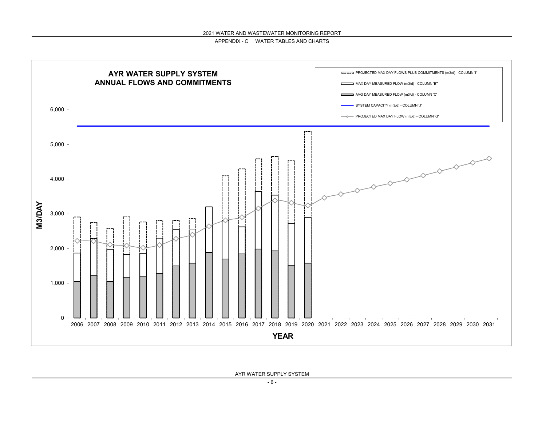

AYR WATER SUPPLY SYSTEM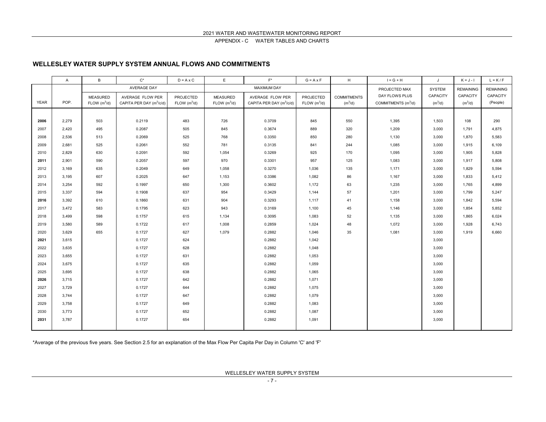### **WELLESLEY WATER SUPPLY SYSTEM ANNUAL FLOWS AND COMMITMENTS**

|             | A     | $\overline{B}$           | $C^*$                                | $D = A \times C$           | E                        | $F^*$                                | $G = A \times F$         | H                  | $I = G + H$                     | J                   | $K = J - I$      | $L = K/F$        |
|-------------|-------|--------------------------|--------------------------------------|----------------------------|--------------------------|--------------------------------------|--------------------------|--------------------|---------------------------------|---------------------|------------------|------------------|
|             |       |                          | AVERAGE DAY                          |                            |                          | <b>MAXIMUM DAY</b>                   |                          |                    | PROJECTED MAX                   | <b>SYSTEM</b>       | <b>REMAINING</b> | <b>REMAINING</b> |
|             |       | <b>MEASURED</b>          | AVERAGE FLOW PER                     | PROJECTED                  | <b>MEASURED</b>          | AVERAGE FLOW PER                     | PROJECTED                | <b>COMMITMENTS</b> | DAY FLOWS PLUS                  | CAPACITY            | CAPACITY         | CAPACITY         |
| <b>YEAR</b> | POP.  | FLOW (m <sup>3</sup> /d) | CAPITA PER DAY (m <sup>3</sup> /c/d) | $FLOW$ (m <sup>3</sup> /d) | FLOW (m <sup>3</sup> /d) | CAPITA PER DAY (m <sup>3</sup> /c/d) | FLOW (m <sup>3</sup> /d) | $(m^3/d)$          | COMMITMENTS (m <sup>3</sup> /d) | (m <sup>3</sup> /d) | $(m^3/d)$        | (People)         |
|             |       |                          |                                      |                            |                          |                                      |                          |                    |                                 |                     |                  |                  |
| 2006        | 2,279 | 503                      | 0.2119                               | 483                        | 726                      | 0.3709                               | 845                      | 550                | 1,395                           | 1,503               | 108              | 290              |
| 2007        | 2,420 | 495                      | 0.2087                               | 505                        | 845                      | 0.3674                               | 889                      | 320                | 1,209                           | 3,000               | 1,791            | 4,875            |
| 2008        | 2,536 | 513                      | 0.2069                               | 525                        | 768                      | 0.3350                               | 850                      | 280                | 1,130                           | 3,000               | 1,870            | 5,583            |
| 2009        | 2,681 | 525                      | 0.2061                               | 552                        | 781                      | 0.3135                               | 841                      | 244                | 1,085                           | 3,000               | 1,915            | 6,109            |
| 2010        | 2,829 | 630                      | 0.2091                               | 592                        | 1,054                    | 0.3269                               | 925                      | 170                | 1,095                           | 3,000               | 1,905            | 5,828            |
| 2011        | 2,901 | 590                      | 0.2057                               | 597                        | 970                      | 0.3301                               | 957                      | 125                | 1,083                           | 3,000               | 1,917            | 5,808            |
| 2012        | 3,169 | 635                      | 0.2049                               | 649                        | 1,058                    | 0.3270                               | 1,036                    | 135                | 1,171                           | 3,000               | 1,829            | 5,594            |
| 2013        | 3,195 | 607                      | 0.2025                               | 647                        | 1,153                    | 0.3386                               | 1,082                    | 86                 | 1,167                           | 3,000               | 1,833            | 5,412            |
| 2014        | 3,254 | 592                      | 0.1997                               | 650                        | 1,300                    | 0.3602                               | 1,172                    | 63                 | 1,235                           | 3,000               | 1,765            | 4,899            |
| 2015        | 3,337 | 594                      | 0.1908                               | 637                        | 954                      | 0.3429                               | 1,144                    | 57                 | 1,201                           | 3,000               | 1,799            | 5,247            |
| 2016        | 3,392 | 610                      | 0.1860                               | 631                        | 904                      | 0.3293                               | 1,117                    | 41                 | 1,158                           | 3,000               | 1,842            | 5,594            |
| 2017        | 3,472 | 583                      | 0.1795                               | 623                        | 943                      | 0.3169                               | 1,100                    | 45                 | 1,146                           | 3,000               | 1,854            | 5,852            |
| 2018        | 3,499 | 598                      | 0.1757                               | 615                        | 1,134                    | 0.3095                               | 1,083                    | 52                 | 1,135                           | 3,000               | 1,865            | 6,024            |
| 2019        | 3,580 | 589                      | 0.1722                               | 617                        | 1,008                    | 0.2859                               | 1,024                    | 48                 | 1,072                           | 3,000               | 1,928            | 6,743            |
| 2020        | 3,629 | 655                      | 0.1727                               | 627                        | 1,079                    | 0.2882                               | 1,046                    | 35                 | 1,081                           | 3,000               | 1,919            | 6,660            |
| 2021        | 3,615 |                          | 0.1727                               | 624                        |                          | 0.2882                               | 1,042                    |                    |                                 | 3,000               |                  |                  |
| 2022        | 3,635 |                          | 0.1727                               | 628                        |                          | 0.2882                               | 1,048                    |                    |                                 | 3,000               |                  |                  |
| 2023        | 3,655 |                          | 0.1727                               | 631                        |                          | 0.2882                               | 1,053                    |                    |                                 | 3,000               |                  |                  |
| 2024        | 3,675 |                          | 0.1727                               | 635                        |                          | 0.2882                               | 1,059                    |                    |                                 | 3,000               |                  |                  |
| 2025        | 3,695 |                          | 0.1727                               | 638                        |                          | 0.2882                               | 1,065                    |                    |                                 | 3,000               |                  |                  |
| 2026        | 3,715 |                          | 0.1727                               | 642                        |                          | 0.2882                               | 1,071                    |                    |                                 | 3,000               |                  |                  |
| 2027        | 3,729 |                          | 0.1727                               | 644                        |                          | 0.2882                               | 1,075                    |                    |                                 | 3,000               |                  |                  |
| 2028        | 3,744 |                          | 0.1727                               | 647                        |                          | 0.2882                               | 1,079                    |                    |                                 | 3,000               |                  |                  |
| 2029        | 3,758 |                          | 0.1727                               | 649                        |                          | 0.2882                               | 1,083                    |                    |                                 | 3,000               |                  |                  |
| 2030        | 3,773 |                          | 0.1727                               | 652                        |                          | 0.2882                               | 1,087                    |                    |                                 | 3,000               |                  |                  |
| 2031        | 3,787 |                          | 0.1727                               | 654                        |                          | 0.2882                               | 1,091                    |                    |                                 | 3,000               |                  |                  |
|             |       |                          |                                      |                            |                          |                                      |                          |                    |                                 |                     |                  |                  |

\*Average of the previous five years. See Section 2.5 for an explanation of the Max Flow Per Capita Per Day in Column 'C' and 'F'

WELLESLEY WATER SUPPLY SYSTEM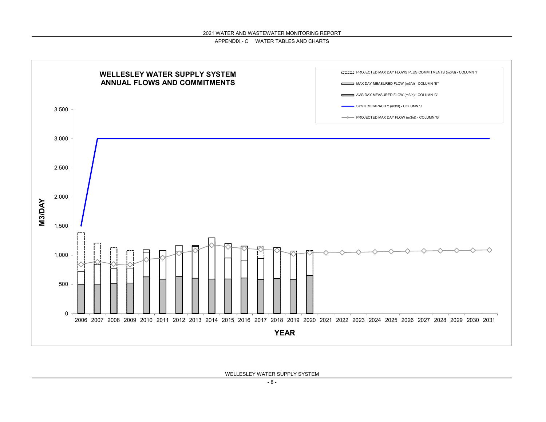

WELLESLEY WATER SUPPLY SYSTEM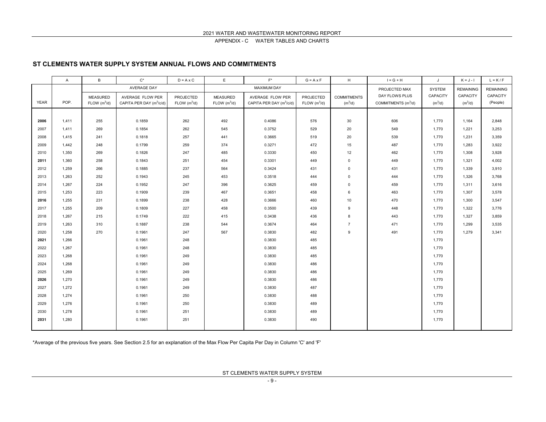### **ST CLEMENTS WATER SUPPLY SYSTEM ANNUAL FLOWS AND COMMITMENTS**

|             | A     | B                        | $C^*$                                | $D = A \times C$           | E                        | $F^*$                                | $G = A \times F$         | H                   | $\mathsf{I} = \mathsf{G} + \mathsf{H}$ | $\mathsf{J}$        | $K = J - I$      | $L = K / F$      |
|-------------|-------|--------------------------|--------------------------------------|----------------------------|--------------------------|--------------------------------------|--------------------------|---------------------|----------------------------------------|---------------------|------------------|------------------|
|             |       |                          | AVERAGE DAY                          |                            |                          | <b>MAXIMUM DAY</b>                   |                          |                     | PROJECTED MAX                          | SYSTEM              | <b>REMAINING</b> | <b>REMAINING</b> |
|             |       | <b>MEASURED</b>          | AVERAGE FLOW PER                     | <b>PROJECTED</b>           | <b>MEASURED</b>          | AVERAGE FLOW PER                     | PROJECTED                | <b>COMMITMENTS</b>  | DAY FLOWS PLUS                         | CAPACITY            | CAPACITY         | CAPACITY         |
| <b>YEAR</b> | POP.  | FLOW (m <sup>3</sup> /d) | CAPITA PER DAY (m <sup>3</sup> /c/d) | $FLOW$ (m <sup>3</sup> /d) | FLOW (m <sup>3</sup> /d) | CAPITA PER DAY (m <sup>3</sup> /c/d) | FLOW (m <sup>3</sup> /d) | (m <sup>3</sup> /d) | COMMITMENTS (m <sup>3</sup> /d)        | (m <sup>3</sup> /d) | $(m^3/d)$        | (People)         |
|             |       |                          |                                      |                            |                          |                                      |                          |                     |                                        |                     |                  |                  |
| 2006        | 1,411 | 255                      | 0.1859                               | 262                        | 492                      | 0.4086                               | 576                      | 30                  | 606                                    | 1,770               | 1,164            | 2,848            |
| 2007        | 1.411 | 269                      | 0.1854                               | 262                        | 545                      | 0.3752                               | 529                      | 20                  | 549                                    | 1,770               | 1,221            | 3,253            |
| 2008        | 1,415 | 241                      | 0.1818                               | 257                        | 441                      | 0.3665                               | 519                      | 20                  | 539                                    | 1,770               | 1,231            | 3,359            |
| 2009        | 1,442 | 248                      | 0.1799                               | 259                        | 374                      | 0.3271                               | 472                      | 15                  | 487                                    | 1,770               | 1,283            | 3,922            |
| 2010        | 1,350 | 269                      | 0.1826                               | 247                        | 485                      | 0.3330                               | 450                      | 12                  | 462                                    | 1,770               | 1,308            | 3,928            |
| 2011        | 1,360 | 258                      | 0.1843                               | 251                        | 454                      | 0.3301                               | 449                      | $\mathsf 0$         | 449                                    | 1,770               | 1,321            | 4,002            |
| 2012        | 1,259 | 266                      | 0.1885                               | 237                        | 564                      | 0.3424                               | 431                      | $\mathsf 0$         | 431                                    | 1,770               | 1,339            | 3,910            |
| 2013        | 1,263 | 252                      | 0.1943                               | 245                        | 453                      | 0.3518                               | 444                      | $\mathsf 0$         | 444                                    | 1,770               | 1,326            | 3,768            |
| 2014        | 1,267 | 224                      | 0.1952                               | 247                        | 396                      | 0.3625                               | 459                      | $\mathbf 0$         | 459                                    | 1,770               | 1,311            | 3,616            |
| 2015        | 1,253 | 223                      | 0.1909                               | 239                        | 467                      | 0.3651                               | 458                      | 6                   | 463                                    | 1,770               | 1,307            | 3,578            |
| 2016        | 1,255 | 231                      | 0.1899                               | 238                        | 428                      | 0.3666                               | 460                      | 10                  | 470                                    | 1,770               | 1,300            | 3,547            |
| 2017        | 1,255 | 209                      | 0.1809                               | 227                        | 458                      | 0.3500                               | 439                      | 9                   | 448                                    | 1,770               | 1,322            | 3,776            |
| 2018        | 1,267 | 215                      | 0.1749                               | 222                        | 415                      | 0.3438                               | 436                      | 8                   | 443                                    | 1,770               | 1,327            | 3,859            |
| 2019        | 1,263 | 310                      | 0.1887                               | 238                        | 544                      | 0.3674                               | 464                      | $\overline{7}$      | 471                                    | 1,770               | 1,299            | 3,535            |
| 2020        | 1,258 | 270                      | 0.1961                               | 247                        | 567                      | 0.3830                               | 482                      | 9                   | 491                                    | 1,770               | 1,279            | 3,341            |
| 2021        | 1,266 |                          | 0.1961                               | 248                        |                          | 0.3830                               | 485                      |                     |                                        | 1,770               |                  |                  |
| 2022        | 1,267 |                          | 0.1961                               | 248                        |                          | 0.3830                               | 485                      |                     |                                        | 1,770               |                  |                  |
| 2023        | 1,268 |                          | 0.1961                               | 249                        |                          | 0.3830                               | 485                      |                     |                                        | 1,770               |                  |                  |
| 2024        | 1,268 |                          | 0.1961                               | 249                        |                          | 0.3830                               | 486                      |                     |                                        | 1,770               |                  |                  |
| 2025        | 1,269 |                          | 0.1961                               | 249                        |                          | 0.3830                               | 486                      |                     |                                        | 1,770               |                  |                  |
| 2026        | 1,270 |                          | 0.1961                               | 249                        |                          | 0.3830                               | 486                      |                     |                                        | 1,770               |                  |                  |
| 2027        | 1,272 |                          | 0.1961                               | 249                        |                          | 0.3830                               | 487                      |                     |                                        | 1,770               |                  |                  |
| 2028        | 1,274 |                          | 0.1961                               | 250                        |                          | 0.3830                               | 488                      |                     |                                        | 1,770               |                  |                  |
| 2029        | 1,276 |                          | 0.1961                               | 250                        |                          | 0.3830                               | 489                      |                     |                                        | 1,770               |                  |                  |
| 2030        | 1,278 |                          | 0.1961                               | 251                        |                          | 0.3830                               | 489                      |                     |                                        | 1,770               |                  |                  |
| 2031        | 1,280 |                          | 0.1961                               | 251                        |                          | 0.3830                               | 490                      |                     |                                        | 1,770               |                  |                  |
|             |       |                          |                                      |                            |                          |                                      |                          |                     |                                        |                     |                  |                  |

\*Average of the previous five years. See Section 2.5 for an explanation of the Max Flow Per Capita Per Day in Column 'C' and 'F'

ST CLEMENTS WATER SUPPLY SYSTEM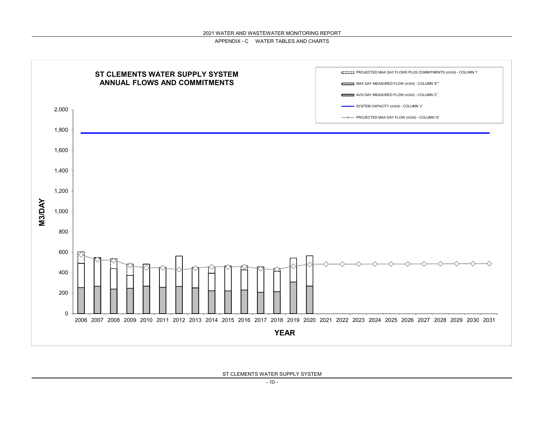

ST CLEMENTS WATER SUPPLY SYSTEM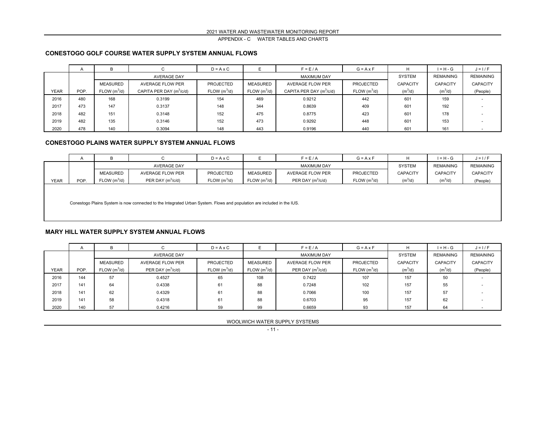#### **CONESTOGO GOLF COURSE WATER SUPPLY SYSTEM ANNUAL FLOWS**

|             | $\mathsf{A}$ | D                        |                                      | $D = A \times C$         |                          | $F = E/A$                  | $G = A \times F$         |                 | $I = H - G$      | $J = I / F$      |
|-------------|--------------|--------------------------|--------------------------------------|--------------------------|--------------------------|----------------------------|--------------------------|-----------------|------------------|------------------|
|             |              |                          | <b>AVERAGE DAY</b>                   |                          |                          | <b>MAXIMUM DAY</b>         |                          | <b>SYSTEM</b>   | <b>REMAINING</b> | <b>REMAINING</b> |
|             |              | <b>MEASURED</b>          | AVERAGE FLOW PER                     | <b>PROJECTED</b>         | MEASURED                 | AVERAGE FLOW PER           | PROJECTED                | <b>CAPACITY</b> | <b>CAPACITY</b>  | <b>CAPACITY</b>  |
| <b>YEAR</b> | POP.         | FLOW (m <sup>3</sup> /d) | CAPITA PER DAY (m <sup>3</sup> /c/d) | FLOW (m <sup>3</sup> /d) | FLOW (m <sup>3</sup> /d) | CAPITA PER DAY $(m^3/c/d)$ | FLOW (m <sup>3</sup> /d) | $(m^3/d)$       | $(m^3/d)$        | (People)         |
| 2016        | 480          | 168                      | 0.3199                               | 154                      | 469                      | 0.9212                     | 442                      | 601             | 159              |                  |
| 2017        | 473          | 147                      | 0.3137                               | 148                      | 344                      | 0.8639                     | 409                      | 601             | 192              |                  |
| 2018        | 482          | 151                      | 0.3148                               | 152                      | 475                      | 0.8775                     | 423                      | 601             | 178              |                  |
| 2019        | 482          | 135                      | 0.3146                               | 152                      | 473                      | 0.9292                     | 448                      | 601             | 153              |                  |
| 2020        | 478          | 140                      | 0.3094                               | 148                      | 443                      | 0.9196                     | 440                      | 601             | 161              |                  |

#### **CONESTOGO PLAINS WATER SUPPLY SYSTEM ANNUAL FLOWS**

|             | $\overline{A}$                                                                                                         | B                       |                         | $D = A \times C$ |               | $F = E/A$               | $G = A \times F$         |                 | $I = H - G$     | $J = I / F$      |  |  |  |
|-------------|------------------------------------------------------------------------------------------------------------------------|-------------------------|-------------------------|------------------|---------------|-------------------------|--------------------------|-----------------|-----------------|------------------|--|--|--|
|             |                                                                                                                        |                         | <b>AVERAGE DAY</b>      |                  |               | <b>MAXIMUM DAY</b>      |                          | <b>SYSTEM</b>   | REMAINING       | <b>REMAINING</b> |  |  |  |
|             |                                                                                                                        | <b>MEASURED</b>         | <b>AVERAGE FLOW PER</b> | <b>PROJECTED</b> | MEASURED      | <b>AVERAGE FLOW PER</b> | PROJECTED                | <b>CAPACITY</b> | <b>CAPACITY</b> | <b>CAPACITY</b>  |  |  |  |
| <b>YEAR</b> | POP.                                                                                                                   | FLOW(m <sup>3</sup> /d) | PER DAY $(m^3/c/d)$     | FLOW $(m^3/d)$   | $FLOW(m^3/d)$ | PER DAY $(m^3/c/d)$     | FLOW (m <sup>3</sup> /d) | $(m^3/d)$       | $(m^3/d)$       | (People)         |  |  |  |
|             |                                                                                                                        |                         |                         |                  |               |                         |                          |                 |                 |                  |  |  |  |
|             |                                                                                                                        |                         |                         |                  |               |                         |                          |                 |                 |                  |  |  |  |
|             | Conestogo Plains System is now connected to the Integrated Urban System. Flows and population are included in the IUS. |                         |                         |                  |               |                         |                          |                 |                 |                  |  |  |  |

#### **MARY HILL WATER SUPPLY SYSTEM ANNUAL FLOWS**

|             | $\overline{A}$ |                          |                         | $D = A \times C$         |                          | $F = E/A$               | $G = A \times F$         |                 | $I = H - G$      | $J = I/F$        |
|-------------|----------------|--------------------------|-------------------------|--------------------------|--------------------------|-------------------------|--------------------------|-----------------|------------------|------------------|
|             |                |                          | <b>AVERAGE DAY</b>      |                          |                          | <b>MAXIMUM DAY</b>      |                          | <b>SYSTEM</b>   | <b>REMAINING</b> | <b>REMAINING</b> |
|             |                | <b>MEASURED</b>          | <b>AVERAGE FLOW PER</b> | <b>PROJECTED</b>         | <b>MEASURED</b>          | <b>AVERAGE FLOW PER</b> | <b>PROJECTED</b>         | <b>CAPACITY</b> | <b>CAPACITY</b>  | <b>CAPACITY</b>  |
| <b>YEAR</b> | POP.           | FLOW (m <sup>3</sup> /d) | PER DAY $(m^3/c/d)$     | FLOW (m <sup>3</sup> /d) | FLOW (m <sup>3</sup> /d) | PER DAY $(m^3/c/d)$     | FLOW (m <sup>3</sup> /d) | $(m^3/d)$       | $(m^3/d)$        | (People)         |
| 2016        | 144            | 57                       | 0.4527                  | 65                       | 108                      | 0.7422                  | 107                      | 157             | 50               |                  |
| 2017        | 141            | 64                       | 0.4338                  | 61                       | 88                       | 0.7248                  | 102                      | 157             | 55               |                  |
| 2018        | 141            | 62                       | 0.4329                  | 61                       | 88                       | 0.7066                  | 100                      | 157             | 57               |                  |
| 2019        | 141            | 58                       | 0.4318                  | 61                       | 88                       | 0.6703                  | 95                       | 157             | 62               |                  |
| 2020        | 140            | 57                       | 0.4216                  | 59                       | 99                       | 0.6659                  | 93                       | 157             | 64               |                  |

WOOLWICH WATER SUPPLY SYSTEMS

- 11 -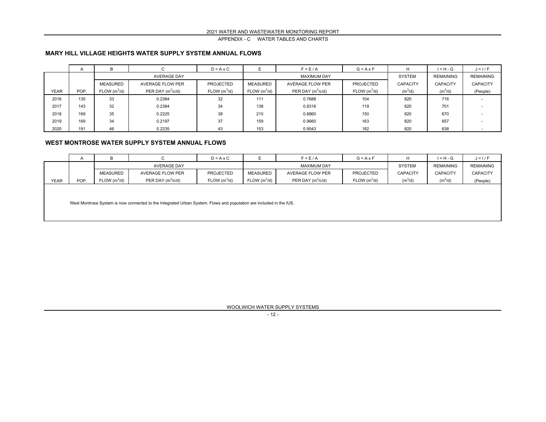#### **MARY HILL VILLAGE HEIGHTS WATER SUPPLY SYSTEM ANNUAL FLOWS**

|             | $\mathsf{A}$ | D                        |                     | $D = A \times C$         |                          | $F = E/A$           | $G = A \times F$         |                 | $I = H - G$      | $J = I / F$      |
|-------------|--------------|--------------------------|---------------------|--------------------------|--------------------------|---------------------|--------------------------|-----------------|------------------|------------------|
|             |              |                          | <b>AVERAGE DAY</b>  |                          |                          | <b>MAXIMUM DAY</b>  |                          | <b>SYSTEM</b>   | <b>REMAINING</b> | <b>REMAINING</b> |
|             |              | <b>MEASURED</b>          | AVERAGE FLOW PER    | <b>PROJECTED</b>         | MEASURED                 | AVERAGE FLOW PER    | <b>PROJECTED</b>         | <b>CAPACITY</b> | <b>CAPACITY</b>  | <b>CAPACITY</b>  |
| <b>YEAR</b> | POP.         | FLOW (m <sup>3</sup> /d) | PER DAY $(m^3/c/d)$ | FLOW (m <sup>3</sup> /d) | FLOW (m <sup>3</sup> /d) | PER DAY $(m^3/c/d)$ | FLOW (m <sup>3</sup> /d) | $(m^3/d)$       | $(m^3/d)$        | (People)         |
| 2016        | 135          | 33                       | 0.2384              | 32                       | 111                      | 0.7688              | 104                      | 820             | 716              |                  |
| 2017        | 143          | 32                       | 0.2384              | 34                       | 138                      | 0.8316              | 119                      | 820             | 701              |                  |
| 2018        | 169          | 35                       | 0.2225              | 38                       | 210                      | 0.8860              | 150                      | 820             | 670              |                  |
| 2019        | 169          | 34                       | 0.2197              | 37                       | 159                      | 0.9660              | 163                      | 820             | 657              |                  |
| 2020        | 191          | 46                       | 0.2235              | 43                       | 153                      | 0.9543              | 182                      | 820             | 638              |                  |

#### **WEST MONTROSE WATER SUPPLY SYSTEM ANNUAL FLOWS**

|             | <sup>n</sup> |                          |                     | $D = A \times C$         |                          | $F = E/A$           | $G = A \times F$         |                     | $I = H - G$      | $J = I / F$      |
|-------------|--------------|--------------------------|---------------------|--------------------------|--------------------------|---------------------|--------------------------|---------------------|------------------|------------------|
|             |              |                          | <b>AVERAGE DAY</b>  |                          |                          | <b>MAXIMUM DAY</b>  |                          | <b>SYSTEM</b>       | <b>REMAINING</b> | <b>REMAINING</b> |
|             |              | <b>MEASURED</b>          | AVERAGE FLOW PER    | <b>PROJECTED</b>         | MEASURED                 | AVERAGE FLOW PER    | <b>PROJECTED</b>         | <b>CAPACITY</b>     | <b>CAPACITY</b>  | <b>CAPACITY</b>  |
| <b>YEAR</b> | POP.         | FLOW (m <sup>3</sup> /d) | PER DAY $(m^3/c/d)$ | FLOW (m <sup>3</sup> /d) | FLOW (m <sup>3</sup> /d) | PER DAY $(m^3/c/d)$ | FLOW (m <sup>3</sup> /d) | (m <sup>3</sup> /d) | $(m^3/d)$        | (People)         |
|             |              |                          |                     |                          |                          |                     |                          |                     |                  |                  |
|             |              |                          |                     |                          |                          |                     |                          |                     |                  |                  |

West Montrose System is now connected to the Integrated Urban System. Flows and population are included in the IUS.

WOOLWICH WATER SUPPLY SYSTEMS

- 12 -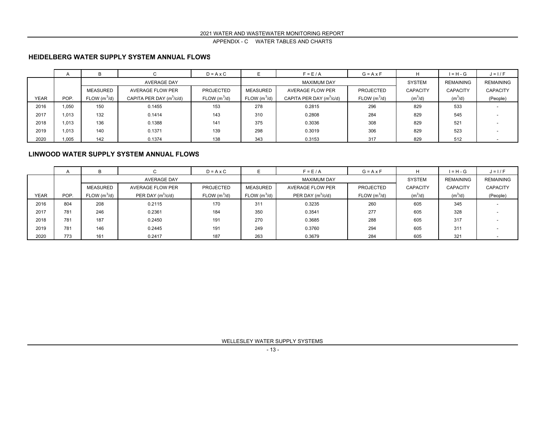#### **HEIDELBERG WATER SUPPLY SYSTEM ANNUAL FLOWS**

|             | $\overline{ }$ |                          |                            | $D = A \times C$ |                          | $F = E/A$                  | $G = A \times F$         | н               | $I = H - G$      | $J = I/F$                |
|-------------|----------------|--------------------------|----------------------------|------------------|--------------------------|----------------------------|--------------------------|-----------------|------------------|--------------------------|
|             |                |                          | <b>AVERAGE DAY</b>         |                  |                          | <b>MAXIMUM DAY</b>         |                          | <b>SYSTEM</b>   | <b>REMAINING</b> | <b>REMAINING</b>         |
|             |                | <b>MEASURED</b>          | <b>AVERAGE FLOW PER</b>    | <b>PROJECTED</b> | <b>MEASURED</b>          | AVERAGE FLOW PER           | <b>PROJECTED</b>         | <b>CAPACITY</b> | <b>CAPACITY</b>  | <b>CAPACITY</b>          |
| <b>YEAR</b> | POP.           | FLOW (m <sup>3</sup> /d) | CAPITA PER DAY $(m^3/c/d)$ | FLOW $(m^3/d)$   | FLOW (m <sup>3</sup> /d) | CAPITA PER DAY $(m^3/c/d)$ | FLOW (m <sup>3</sup> /d) | $(m^3/d)$       | $(m^3/d)$        | (People)                 |
| 2016        | 1,050          | 150                      | 0.1455                     | 153              | 278                      | 0.2815                     | 296                      | 829             | 533              |                          |
| 2017        | 1.013          | 132                      | 0.1414                     | 143              | 310                      | 0.2808                     | 284                      | 829             | 545              |                          |
| 2018        | 1.013          | 136                      | 0.1388                     | 141              | 375                      | 0.3036                     | 308                      | 829             | 521              |                          |
| 2019        | 1.013          | 140                      | 0.1371                     | 139              | 298                      | 0.3019                     | 306                      | 829             | 523              |                          |
| 2020        | 1,005          | 142                      | 0.1374                     | 138              | 343                      | 0.3153                     | 317                      | 829             | 512              | $\overline{\phantom{0}}$ |

#### **LINWOOD WATER SUPPLY SYSTEM ANNUAL FLOWS**

|             | $\overline{A}$ | в                        |                         | $D = A \times C$ |                 | $F = E/A$               | $G = A \times F$         | н               | $I = H - G$      | $J = I/F$        |
|-------------|----------------|--------------------------|-------------------------|------------------|-----------------|-------------------------|--------------------------|-----------------|------------------|------------------|
|             |                |                          | <b>AVERAGE DAY</b>      |                  |                 | <b>MAXIMUM DAY</b>      |                          | SYSTEM          | <b>REMAINING</b> | <b>REMAINING</b> |
|             |                | <b>MEASURED</b>          | <b>AVERAGE FLOW PER</b> | <b>PROJECTED</b> | <b>MEASURED</b> | <b>AVERAGE FLOW PER</b> | <b>PROJECTED</b>         | <b>CAPACITY</b> | <b>CAPACITY</b>  | <b>CAPACITY</b>  |
| <b>YEAR</b> | POP.           | FLOW (m <sup>3</sup> /d) | PER DAY $(m^3/c/d)$     | FLOW $(m^3/d)$   | FLOW $(m^3/d)$  | PER DAY $(m^3/c/d)$     | FLOW (m <sup>3</sup> /d) | $(m^3/d)$       | $(m^3/d)$        | (People)         |
| 2016        | 804            | 208                      | 0.2115                  | 170              | 311             | 0.3235                  | 260                      | 605             | 345              |                  |
| 2017        | 781            | 246                      | 0.2361                  | 184              | 350             | 0.3541                  | 277                      | 605             | 328              |                  |
| 2018        | 781            | 187                      | 0.2450                  | 191              | 270             | 0.3685                  | 288                      | 605             | 317              |                  |
| 2019        | 781            | 146                      | 0.2445                  | 191              | 249             | 0.3760                  | 294                      | 605             | 311              |                  |
| 2020        | 773            | 161                      | 0.2417                  | 187              | 263             | 0.3679                  | 284                      | 605             | 321              |                  |

WELLESLEY WATER SUPPLY SYSTEMS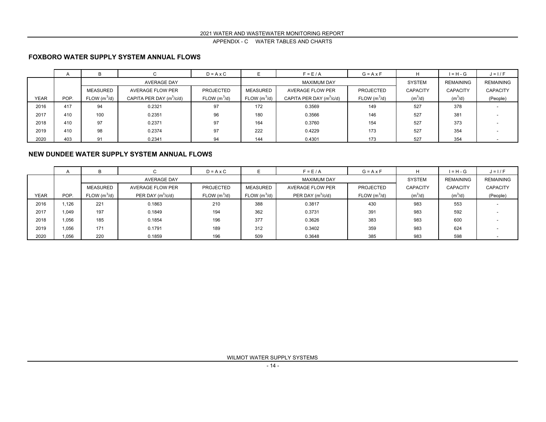#### 2021 WATER AND WASTEWATER MONITORING REPORT

APPENDIX - C WATER TABLES AND CHARTS

#### **FOXBORO WATER SUPPLY SYSTEM ANNUAL FLOWS**

|      | $\mathsf{A}$ | в                        |                            | $D = A \times C$ |                         | $F = E/A$                  | $G = A \times F$         | н               | $I = H - G$      | $J = I/F$                |
|------|--------------|--------------------------|----------------------------|------------------|-------------------------|----------------------------|--------------------------|-----------------|------------------|--------------------------|
|      |              |                          | AVERAGE DAY                |                  |                         | <b>MAXIMUM DAY</b>         |                          | <b>SYSTEM</b>   | <b>REMAINING</b> | <b>REMAINING</b>         |
|      |              | <b>MEASURED</b>          | AVERAGE FLOW PER           | <b>PROJECTED</b> | MEASURED                | <b>AVERAGE FLOW PER</b>    | <b>PROJECTED</b>         | <b>CAPACITY</b> | <b>CAPACITY</b>  | <b>CAPACITY</b>          |
| YEAR | POP.         | FLOW (m <sup>3</sup> /d) | CAPITA PER DAY $(m^3/c/d)$ | FLOW $(m^3/d)$   | FLOW(m <sup>3</sup> /d) | CAPITA PER DAY $(m^3/c/d)$ | FLOW (m <sup>3</sup> /d) | $(m^3/d)$       | $(m^3/d)$        | (People)                 |
| 2016 | 417          | 94                       | 0.2321                     | 97               | 172                     | 0.3569                     | 149                      | 527             | 378              |                          |
| 2017 | 410          | 100                      | 0.2351                     | 96               | 180                     | 0.3566                     | 146                      | 527             | 381              |                          |
| 2018 | 410          | 97                       | 0.2371                     | 97               | 164                     | 0.3760                     | 154                      | 527             | 373              |                          |
| 2019 | 410          | 98                       | 0.2374                     | 97               | 222                     | 0.4229                     | 173                      | 527             | 354              |                          |
| 2020 | 403          | 91                       | 0.2341                     | 94               | 144                     | 0.4301                     | 173                      | 527             | 354              | $\overline{\phantom{0}}$ |

#### **NEW DUNDEE WATER SUPPLY SYSTEM ANNUAL FLOWS**

|             | $\mathsf{A}$ | B.                       |                     | $D = A \times C$         |                 | $F = E/A$               | $G = A \times F$         |                     | $I = H - G$         | $J = I/F$        |
|-------------|--------------|--------------------------|---------------------|--------------------------|-----------------|-------------------------|--------------------------|---------------------|---------------------|------------------|
|             |              |                          | <b>AVERAGE DAY</b>  |                          |                 | <b>MAXIMUM DAY</b>      |                          | <b>SYSTEM</b>       | REMAINING           | <b>REMAINING</b> |
|             |              | MEASURED                 | AVERAGE FLOW PER    | <b>PROJECTED</b>         | <b>MEASURED</b> | <b>AVERAGE FLOW PER</b> | <b>PROJECTED</b>         | <b>CAPACITY</b>     | <b>CAPACITY</b>     | <b>CAPACITY</b>  |
| <b>YEAR</b> | POP.         | FLOW (m <sup>3</sup> /d) | PER DAY $(m^3/c/d)$ | FLOW (m <sup>3</sup> /d) | FLOW $(m^3/d)$  | PER DAY $(m^3/c/d)$     | FLOW (m <sup>3</sup> /d) | (m <sup>3</sup> /d) | (m <sup>3</sup> /d) | (People)         |
| 2016        | 1,126        | 221                      | 0.1863              | 210                      | 388             | 0.3817                  | 430                      | 983                 | 553                 |                  |
| 2017        | 1.049        | 197                      | 0.1849              | 194                      | 362             | 0.3731                  | 391                      | 983                 | 592                 |                  |
| 2018        | 1,056        | 185                      | 0.1854              | 196                      | 377             | 0.3626                  | 383                      | 983                 | 600                 |                  |
| 2019        | 1,056        | 171                      | 0.1791              | 189                      | 312             | 0.3402                  | 359                      | 983                 | 624                 |                  |
| 2020        | 1,056        | 220                      | 0.1859              | 196                      | 509             | 0.3648                  | 385                      | 983                 | 598                 |                  |

WILMOT WATER SUPPLY SYSTEMS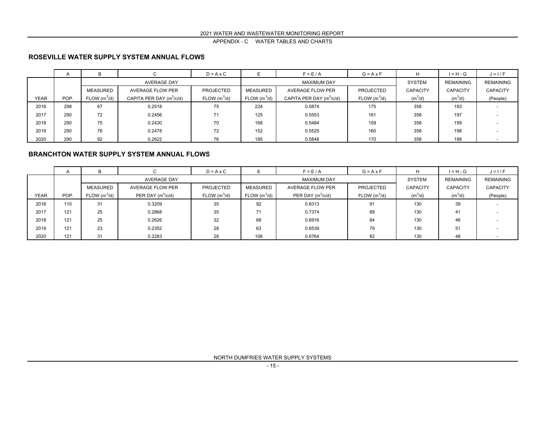#### **ROSEVILLE WATER SUPPLY SYSTEM ANNUAL FLOWS**

|      | $\mathsf{A}$ | в                        |                            | $D = A \times C$ |                         | $F = E/A$                  | $G = A \times F$         | н               | $I = H - G$      | $J = I/F$                |
|------|--------------|--------------------------|----------------------------|------------------|-------------------------|----------------------------|--------------------------|-----------------|------------------|--------------------------|
|      |              |                          | <b>AVERAGE DAY</b>         |                  |                         | <b>MAXIMUM DAY</b>         |                          | <b>SYSTEM</b>   | <b>REMAINING</b> | <b>REMAINING</b>         |
|      |              | <b>MEASURED</b>          | AVERAGE FLOW PER           | <b>PROJECTED</b> | MEASURED                | <b>AVERAGE FLOW PER</b>    | <b>PROJECTED</b>         | <b>CAPACITY</b> | <b>CAPACITY</b>  | <b>CAPACITY</b>          |
| YEAR | POP.         | FLOW (m <sup>3</sup> /d) | CAPITA PER DAY $(m^3/c/d)$ | FLOW $(m^3/d)$   | FLOW(m <sup>3</sup> /d) | CAPITA PER DAY $(m^3/c/d)$ | FLOW (m <sup>3</sup> /d) | $(m^3/d)$       | $(m^3/d)$        | (People)                 |
| 2016 | 298          | 67                       | 0.2518                     | 75               | 224                     | 0.5874                     | 175                      | 358             | 183              |                          |
| 2017 | 290          | 72                       | 0.2456                     | 71               | 125                     | 0.5553                     | 161                      | 358             | 197              |                          |
| 2018 | 290          | 75                       | 0.2430                     | 70               | 168                     | 0.5484                     | 159                      | 358             | 199              |                          |
| 2019 | 290          | 76                       | 0.2478                     | 72               | 152                     | 0.5525                     | 160                      | 358             | 198              |                          |
| 2020 | 290          | 92                       | 0.2622                     | 76               | 185                     | 0.5848                     | 170                      | 358             | 188              | $\overline{\phantom{0}}$ |

#### **BRANCHTON WATER SUPPLY SYSTEM ANNUAL FLOWS**

|             | $\mathsf{A}$ | в                        |                     | $D = A \times C$ |                          | $F = E/A$           | $G = A \times F$         |                     | $I = H - G$     | $J = I/F$        |
|-------------|--------------|--------------------------|---------------------|------------------|--------------------------|---------------------|--------------------------|---------------------|-----------------|------------------|
|             |              |                          | <b>AVERAGE DAY</b>  |                  |                          | <b>MAXIMUM DAY</b>  |                          | <b>SYSTEM</b>       | REMAINING       | <b>REMAINING</b> |
|             |              | MEASURED                 | AVERAGE FLOW PER    | <b>PROJECTED</b> | <b>MEASURED</b>          | AVERAGE FLOW PER    | <b>PROJECTED</b>         | <b>CAPACITY</b>     | <b>CAPACITY</b> | <b>CAPACITY</b>  |
| <b>YEAR</b> | POP.         | FLOW (m <sup>3</sup> /d) | PER DAY $(m^3/c/d)$ | FLOW $(m^3/d)$   | FLOW (m <sup>3</sup> /d) | PER DAY $(m^3/c/d)$ | FLOW (m <sup>3</sup> /d) | (m <sup>3</sup> /d) | $(m^3/d)$       | (People)         |
| 2016        | 110          | 31                       | 0.3209              | 35               | 92                       | 0.8313              | 91                       | 130                 | 39              |                  |
| 2017        | 121          | 25                       | 0.2868              | 35               | 71                       | 0.7374              | 89                       | 130                 | 41              |                  |
| 2018        | 121          | 25                       | 0.2626              | 32               | 68                       | 0.6916              | 84                       | 130                 | 46              |                  |
| 2019        | 121          | 23                       | 0.2352              | 28               | 63                       | 0.6539              | 79                       | 130                 | 51              |                  |
| 2020        | 121          | 31                       | 0.2283              | 28               | 106                      | 0.6764              | 82                       | 130                 | 48              |                  |

NORTH DUMFRIES WATER SUPPLY SYSTEMS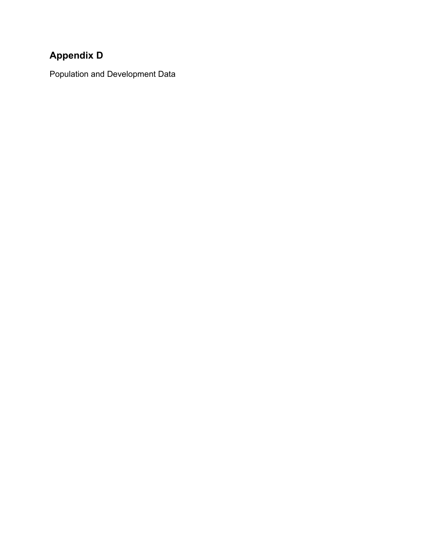### **Appendix D**

Population and Development Data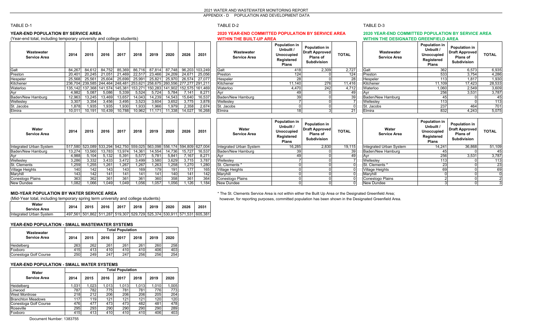#### 2021 WATER AND WASTEWATER MONITORING REPORT

APPENDIX - D POPULATION AND DEVELOPMENT DATA

#### TABLE D-1

#### **YEAR-END POPULATION BY SERVICE AREA**

(Year-end total, including temporary university and college students) **WITHIN THE BUILT-UP AREA WITHIN THE DESIGNATED GREENFIELD AREA**

| Wastewater<br><b>Service Area</b> | 2014   | 2015   | 2016   | 2017          | 2018                                                                    | 2019   | 2020   | 2026   | 2031    | Wastewater<br><b>Service Area</b> | Population in<br>Unbuilt /<br><b>Unoccupied</b><br>Registered<br>Plans | <b>Population in</b><br><b>Draft Approved</b><br><b>Plans of</b><br><b>Subdivision</b> | <b>TOTAL</b> | Wastewater<br><b>Service Area</b> | <b>Population in</b><br>Unbuilt /<br><b>Unoccupied</b><br>Registered<br>Plans | <b>Population in</b><br><b>Draft Approved</b><br><b>Plans of</b><br>Subdivision | <b>TOTAL</b> |
|-----------------------------------|--------|--------|--------|---------------|-------------------------------------------------------------------------|--------|--------|--------|---------|-----------------------------------|------------------------------------------------------------------------|----------------------------------------------------------------------------------------|--------------|-----------------------------------|-------------------------------------------------------------------------------|---------------------------------------------------------------------------------|--------------|
| Galt                              | 84.267 | 84.612 | 84.752 | 85,369        | 86,716                                                                  | 87.814 | 87.748 | 96,203 | 103,249 | Galt                              | 418                                                                    | 2,309                                                                                  | 2,727        | Galt                              | 362                                                                           | 6,573                                                                           | 6,935        |
| Preston                           | 20,401 | 20,245 |        | 21,051 21,469 | 22,517                                                                  | 23,466 | 24,209 | 24,671 | 25,056  | Preston                           | 124.                                                                   |                                                                                        | 124          | Preston                           | 533                                                                           | 3,754                                                                           | 4,286        |
| Hespeler                          | 25,568 | 25.561 | 25.604 | 25,699        | 25,991                                                                  | 25,821 | 25.970 | 26.574 | 27,077  | Hespeler                          |                                                                        |                                                                                        | 28           | Hespeler                          | 113                                                                           | 1,817                                                                           | 1,930        |
| Kitchener                         |        |        |        |               | 236,704 239,585 244,464 248,481 253,621 258,675 260,556 277,277 291,211 |        |        |        |         | Kitchener                         | 11,140                                                                 | 276                                                                                    | 11,416       | Kitchener                         | 11,109                                                                        | 17,423                                                                          | 28,533       |
| Waterloo                          |        |        |        |               | 135,142 137,368 141,574 145,381 153,271 150,283 141,902 152,575 161,469 |        |        |        |         | Waterloo                          | 4,470                                                                  | 242                                                                                    | 4.712        | Waterloo                          | 1,060                                                                         | 2,549                                                                           | 3,609        |
| Avr                               | 4,982  | 5,087  | 5.086  | 5,339         | 5.524                                                                   | 5,724  | 5,784  | 7,141  | 8,271   | Avr                               |                                                                        |                                                                                        |              | Avr                               | 256                                                                           | 3,531                                                                           | 3,787        |
| Baden/New Hamburg                 | 12,96  | 13,245 | 13.469 | 13,657        | 14,043                                                                  | 14,239 | 14,543 | 15,640 | 16,537  | Baden/New Hamburg                 |                                                                        |                                                                                        | 39           | Baden/New Hamburg                 |                                                                               |                                                                                 | 45           |
| Wellesley                         | 3,307  | 3,354  | 3.456  | 3.495         | 3.523                                                                   | 3,604  | 3,652  | 3.775  | 3,878   | Wellesley                         |                                                                        |                                                                                        |              | Wellesley                         | 113                                                                           |                                                                                 | 113          |
| St. Jacobs                        | 1.878  | 1,935  | 1,935  | 1,930         | 1,933                                                                   | 1,966  | 1.979  | 2,358  | 2,674   | St. Jacobs                        |                                                                        |                                                                                        |              | St. Jacobs                        | 237                                                                           | 46                                                                              | 701          |
| Elmira                            | 10,01  | 10,191 | 10.439 | 10,788        | 10,962                                                                  | 11.171 | 11,338 | 14,027 | 16,268  | Elmira                            |                                                                        |                                                                                        | 21           | Elmira                            | 832                                                                           | 4,243                                                                           | 5,075        |

#### TABLE D-2 TABLE D-3

### **2020 YEAR-END COMMITTED POPULATION BY SERVICE AREA 2020 YEAR-END COMMITTED POPULATION BY SERVICE AREA**

| Wastewater<br><b>Service Area</b> | Population in<br>Unbuilt /<br><b>Unoccupied</b><br>Registered<br><b>Plans</b> | <b>Population in</b><br><b>Draft Approved</b><br>Plans of<br><b>Subdivision</b> | <b>TOTAL</b> |
|-----------------------------------|-------------------------------------------------------------------------------|---------------------------------------------------------------------------------|--------------|
| Galt                              | 418                                                                           | 2,309                                                                           | 2,727        |
| Preston                           | 124                                                                           |                                                                                 | 124          |
| Hespeler                          | 28                                                                            | O                                                                               | 28           |
| Kitchener                         | 11,140                                                                        | 276                                                                             | 11,416       |
| Waterloo                          | 4.470                                                                         | 242                                                                             | 4,712        |
| Ayr                               | 49                                                                            |                                                                                 | 49           |
| Baden/New Hamburg                 | 39                                                                            | ŋ                                                                               | 39           |
| Welleslev                         |                                                                               | ŋ                                                                               |              |
| St. Jacobs                        | 0                                                                             | 0                                                                               |              |
| Elmira                            | 18                                                                            | 3                                                                               | 21           |

| L               | Wastewater<br><b>Service Area</b> | Population in<br>Unbuilt /<br><b>Unoccupied</b><br>Registered<br><b>Plans</b> | Population in<br><b>Draft Approved</b><br>Plans of<br><b>Subdivision</b> | <b>TOTAL</b> |
|-----------------|-----------------------------------|-------------------------------------------------------------------------------|--------------------------------------------------------------------------|--------------|
| ,727            | Galt                              | 362                                                                           | 6,573                                                                    | 6,935        |
| 124             | Preston                           | 533                                                                           | 3,754                                                                    | 4,286        |
| $\overline{28}$ | Hespeler                          | 113                                                                           | 1.817                                                                    | 1,930        |
| ,416            | Kitchener                         | 11,109                                                                        | 17,423                                                                   | 28,533       |
| ,712            | Waterloo                          | 1.060                                                                         | 2,549                                                                    | 3,609        |
| 49              | Ayr                               | 256                                                                           | 3,531                                                                    | 3,787        |
| 39              | Baden/New Hamburg                 | 45                                                                            |                                                                          | 45           |
|                 | Welleslev                         | 113                                                                           |                                                                          | 113          |
| $\Omega$        | St. Jacobs                        | 237                                                                           | 464                                                                      | 701          |
| 21              | Elmira                            | 832                                                                           | 4.243                                                                    | 5.075        |

| Water<br><b>Service Area</b> | 2014   | 2015   | 2016   | 2017   | 2018   | 2019   | 2020                                                                    | 2026   | 2031   | Water<br><b>Service Area</b>  |
|------------------------------|--------|--------|--------|--------|--------|--------|-------------------------------------------------------------------------|--------|--------|-------------------------------|
| Integrated Urban System      |        |        |        |        |        |        | 517,580 523,089 533,294 542,750 559,025 563,098 556,174 594,809 627,004 |        |        | <b>Integrated Urban Syste</b> |
| Baden/New Hamburg            | 13.274 | 13.560 | 13.783 | 13.974 | 14.361 | 14.554 | 14.736                                                                  | 15.727 | 16,537 | Baden/New Hamburg             |
| Ayr                          | 4.988  | 5.104  | 5,132  | 5.391  | 5,577  | 5.781  | 5.841                                                                   | 7.167  | 8,271  | Ayr                           |
| Welleslev                    | 3.286  | 3,332  | 3,433  | 3.472  | 3.499  | 3,580  | 3,629                                                                   | 3,715  | 3.787  | Welleslev                     |
| St. Clements                 | .259   | 1.255  | .261   | 1.267  | .267   | .263   | .258                                                                    | 1,270  | 1,280  | St. Clements *                |
| Village Heights              | 140    | 142    | 143    | 143    | 169    | 179    | 191                                                                     | 177    | 165    | <b>Village Heights</b>        |
| Maryhill                     | 143    | 142    | 141    | 141    | 141    | 141    | 140                                                                     | 141    | 142    | Maryhill                      |
| Conestogo Plains             | 363    | 362    | 361    | 361    | 361    | 360    | 358                                                                     | 361    | 364    | Conestogo Plains              |
| New Dundee                   | .082   | 0.066  | .049   | 1.049  | 1.056  | .057   | .056                                                                    | 1.126  | 1.184  | <b>New Dundee</b>             |

| Water<br><b>Service Area</b> | 2014   | 2015   | 2016                                                                    | 2017             | 2018             | 2019   | 2020   | 2026   | 2031   | Water<br><b>Service Area</b> | <b>Population in</b><br>Unbuilt /<br>Unoccupied<br>Registered<br><b>Plans</b> | <b>Population in</b><br>Draft Approved<br><b>Plans of</b><br>Subdivision | <b>TOTAL</b>    | Water<br><b>Service Area</b> | <b>Population in</b><br>Unbuilt /<br><b>Unoccupied</b><br>Registered<br><b>Plans</b> | <b>Population in</b><br><b>Draft Approved</b><br><b>Plans of</b><br><b>Subdivision</b> | <b>TOTAL</b> |
|------------------------------|--------|--------|-------------------------------------------------------------------------|------------------|------------------|--------|--------|--------|--------|------------------------------|-------------------------------------------------------------------------------|--------------------------------------------------------------------------|-----------------|------------------------------|--------------------------------------------------------------------------------------|----------------------------------------------------------------------------------------|--------------|
| Integrated Urban System      |        |        | 517,580 523,089 533,294 542,750 559,025 563,098 556,174 594,809 627,004 |                  |                  |        |        |        |        | Integrated Urban System      | 16,285                                                                        | 2,830                                                                    | 19,115          | Integrated Urban System      | 14,241                                                                               | 36,868                                                                                 | 51,109       |
| Baden/New Hamburg            | 13,274 | 13,560 | 13,783                                                                  | 13,974           | 14,361           | 14,554 | 14,736 | 15,727 | 16,537 | Baden/New Hamburg            |                                                                               |                                                                          | 39 <sup>°</sup> | Baden/New Hamburg            |                                                                                      |                                                                                        | 45           |
|                              | 4,988  | 5.104  | 5,132                                                                   | 5,391            | 5,577            | 5.781  | 5,841  | 7,167  | 8,271  |                              |                                                                               |                                                                          | 49              |                              | 256                                                                                  | 3,531                                                                                  | 3,787        |
| Wellesley                    | 3,286  | 3,332  | 3,433                                                                   | 3,472            | 3,499            | 3,580  | 3,629  | 3.715  | 3,787  | Wellesley                    |                                                                               |                                                                          |                 | Wellesley                    | 113                                                                                  |                                                                                        | 113          |
| St. Clements                 | 1,259  | 1,255  | 1,261                                                                   | ,267             | 1,267            | .263   | 1,258  | .270   | 1.280  | St. Clements *               |                                                                               |                                                                          |                 | St. Clements *               | 23 <sub>1</sub>                                                                      |                                                                                        | 23           |
| Village Heights              | 1401   | 142    | 143 I                                                                   | 143 <sub>l</sub> | 1691             | 179    | 1911   | 177    | 165.   | <b>Village Heights</b>       |                                                                               |                                                                          |                 | Village Heights              | 69                                                                                   |                                                                                        | 69           |
| Maryhill                     | 1431   | 142    | 141 I                                                                   | 1411             | 1411             | 141    | 140    | 141    | 142.   | Maryhil.                     |                                                                               |                                                                          |                 | Marvhill                     |                                                                                      |                                                                                        |              |
| Conestogo Plains             | 363    | 362    | 361                                                                     | 361              | 361 <sub>1</sub> | 360    | 358    | 361    | 364    | Conestogo Plains             |                                                                               |                                                                          |                 | Conestogo Plains             |                                                                                      |                                                                                        |              |
| New Dundee                   | 1,082  | 1,066  | .049.                                                                   | .049             | ,056             | .057   | .056   | 126    | 1.184  | New Dundee                   |                                                                               |                                                                          |                 | New Dundee                   |                                                                                      |                                                                                        |              |

#### **MID-YEAR POPULATION BY WATER SERVICE AREA**

(Mid-Year total, including temporary spring term university and college students) however, for reporting purposes, committed population has been shown in the Designated Greenfield Area.

| Water<br><b>Service Area</b> | 2014                                                                              | 2015 | 2016 | 2017 | 2018 | 2019 | 2020 | 2026 | 2031 |
|------------------------------|-----------------------------------------------------------------------------------|------|------|------|------|------|------|------|------|
| Integrated Urban System      | l 497,561  501,862  511,287  519,307  529,729  525,374  530,911  571,531  605,381 |      |      |      |      |      |      |      |      |

#### **YEAR-END POPULATION - SMALL WASTEWATER SYSTEMS**

| Wastewater            | <b>Total Population</b> |      |      |      |      |      |      |  |  |  |
|-----------------------|-------------------------|------|------|------|------|------|------|--|--|--|
| <b>Service Area</b>   | 2014                    | 2015 | 2016 | 2017 | 2018 | 2019 | 2020 |  |  |  |
| Heidelberg            | 263                     | 262  | 261  | 261  | 261  | 260  | 258  |  |  |  |
| Foxboro               | 415                     | 413  | 410  | 410  | 410  | 406  | 403  |  |  |  |
| Conestoga Golf Course | 250                     | 249  | 247  | 247  | 256  | 256  | 254  |  |  |  |

#### **YEAR-END POPULATION - SMALL WATER SYSTEMS**

| Water                    |       | <b>Total Population</b> |       |       |       |       |       |  |  |  |  |  |
|--------------------------|-------|-------------------------|-------|-------|-------|-------|-------|--|--|--|--|--|
| <b>Service Area</b>      | 2014  | 2015                    | 2016  | 2017  | 2018  | 2019  | 2020  |  |  |  |  |  |
| Heidelberg               | 1.031 | 1.023                   | 1.013 | 1.013 | 1.013 | 1.010 | 1,005 |  |  |  |  |  |
| Linwood                  | 787   | 782                     | 775   | 781   | 781   | 776   | 773   |  |  |  |  |  |
| <b>West Montrose</b>     | 218   | 212                     | 206   | 206   | 206   | 205   | 204   |  |  |  |  |  |
| <b>Branchton Meadows</b> | 117   | 119                     | 121   | 121   | 121   | 120   | 120   |  |  |  |  |  |
| Conestoga Golf Course    | 476   | 477                     | 473   | 473   | 482   | 481   | 478   |  |  |  |  |  |
| Roseville                | 295   | 293                     | 290   | 290   | 290   | 290   | 289   |  |  |  |  |  |
| Foxboro                  | 415   | 413                     | 410   | 410   | 410   | 406   | 403   |  |  |  |  |  |

Document Number: 1383755

\* The St. Clements Service Area is not within either the Built Up Area or the Designated Greenfield Area;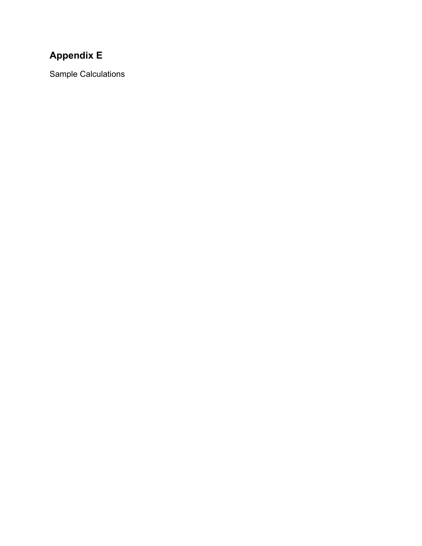### **Appendix E**

Sample Calculations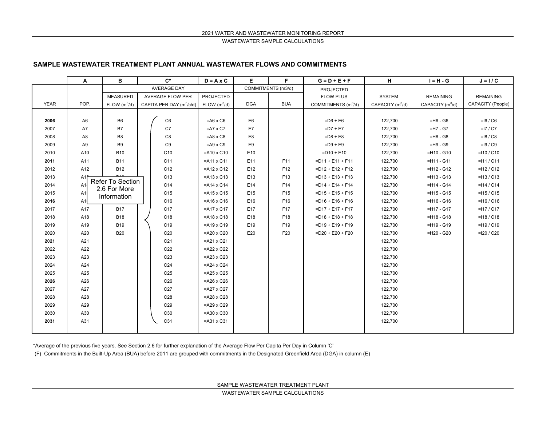WASTEWATER SAMPLE CALCULATIONS

#### **SAMPLE WASTEWATER TREATMENT PLANT ANNUAL WASTEWATER FLOWS AND COMMITMENTS**

|             | A              | B                                | $C^*$                      | $D = A \times C$   | E.             | F.                 | $G = D + E + F$                                         | H                  | $I = H - G$        | $J = I / C$       |
|-------------|----------------|----------------------------------|----------------------------|--------------------|----------------|--------------------|---------------------------------------------------------|--------------------|--------------------|-------------------|
|             |                |                                  | <b>AVERAGE DAY</b>         |                    |                | COMMITMENTS (m3/d) | <b>PROJECTED</b>                                        |                    |                    |                   |
|             |                | <b>MEASURED</b>                  | <b>AVERAGE FLOW PER</b>    | PROJECTED          |                |                    | <b>FLOW PLUS</b>                                        | <b>SYSTEM</b>      | <b>REMAINING</b>   | <b>REMAINING</b>  |
| <b>YEAR</b> | POP.           | FLOW $(m^3/d)$                   | CAPITA PER DAY $(m^3/c/d)$ | FLOW $(m^3/d)$     | <b>DGA</b>     | <b>BUA</b>         | COMMITMENTS $(m^3/d)$                                   | CAPACITY $(m^3/d)$ | CAPACITY $(m^3/d)$ | CAPACITY (People) |
|             |                |                                  |                            |                    |                |                    |                                                         |                    |                    |                   |
| 2006        | A <sub>6</sub> | B <sub>6</sub>                   | C6                         | $= A6 \times C6$   | E <sub>6</sub> |                    | $=$ D6 + E6                                             | 122,700            | $=$ H6 - G6        | $=16 / C6$        |
| 2007        | A7             | <b>B7</b>                        | C7                         | $= A7 \times C7$   | E7             |                    | $= D7 + E7$                                             | 122,700            | $=$ H7 - G7        | $=17 / C7$        |
| 2008        | A <sub>8</sub> | B <sub>8</sub>                   | C <sub>8</sub>             | $= A8 \times C8$   | E8             |                    | $= D8 + E8$                                             | 122,700            | $=$ H8 - G8        | $=18 / C8$        |
| 2009        | A <sub>9</sub> | B <sub>9</sub>                   | C9                         | $=$ A9 x C9        | E9             |                    | $=$ D $9 + E9$                                          | 122,700            | $=$ H9 - G9        | $=19/°C9$         |
| 2010        | A10            | <b>B10</b>                       | C10                        | $=$ A10 x C10      | E10            |                    | $=$ D10 + E10                                           | 122,700            | $=$ H10 - G10      | $=110 / C10$      |
| 2011        | A11            | <b>B11</b>                       | C11                        | $=$ A11 x C11      | E11            | F11                | $=$ D11 + E11 + F11                                     | 122,700            | $=$ H11 - G11      | $=111 / C11$      |
| 2012        | A12            | <b>B12</b>                       | C <sub>12</sub>            | $=$ A12 x C12      | E12            | F <sub>12</sub>    | $=$ D12 + E12 + F12                                     | 122,700            | $=$ H12 - G12      | $=112 / C12$      |
| 2013        | A1f            |                                  | C <sub>13</sub>            | $=$ A13 x C13      | E13            | F13                | $=$ D13 + E13 + F13                                     | 122,700            | $=$ H13 - G13      | $=113 / C13$      |
| 2014        | A1             | Refer To Section<br>2.6 For More | C <sub>14</sub>            | $=$ A14 x C14      | E14            | F14                | $= D14 + E14 + F14$                                     | 122,700            | $=$ H14 - G14      | $=114 / C14$      |
| 2015        | A1             | Information                      | C <sub>15</sub>            | $=$ A15 x C15      | E15            | F <sub>15</sub>    | $=$ D <sub>15</sub> + E <sub>15</sub> + F <sub>15</sub> | 122,700            | $=$ H15 - G15      | $=115 / C15$      |
| 2016        | A1             |                                  | C16                        | $=$ A16 x C16      | E16            | F16                | $=$ D16 + E16 + F16                                     | 122,700            | $=$ H16 - G16      | $=116 / C16$      |
| 2017        | A17            | <b>B17</b>                       | C <sub>17</sub>            | $=$ A17 x C17      | E17            | F17                | $=$ D17 + E17 + F17                                     | 122,700            | $=$ H17 - G17      | $=117 / C17$      |
| 2018        | A18            | <b>B18</b>                       | C18                        | $=$ A18 x C18      | E18            | F18                | $=$ D18 + E18 + F18                                     | 122,700            | $=$ H18 - G18      | $=118 / C18$      |
| 2019        | A19            | <b>B19</b>                       | C <sub>19</sub>            | $=$ A19 x C19      | E19            | F19                | $=$ D19 + E19 + F19                                     | 122,700            | $=$ H19 - G19      | $=119 / C19$      |
| 2020        | A20            | <b>B20</b>                       | C <sub>20</sub>            | $=$ A20 x C20      | E20            | F20                | $=$ D20 + E20 + F20                                     | 122,700            | $=$ H20 - G20      | $=120 / C20$      |
| 2021        | A21            |                                  | C <sub>21</sub>            | $=$ A21 x C21      |                |                    |                                                         | 122,700            |                    |                   |
| 2022        | A22            |                                  | C <sub>22</sub>            | $=$ A22 x C22      |                |                    |                                                         | 122,700            |                    |                   |
| 2023        | A23            |                                  | C <sub>23</sub>            | $=$ A23 x C23      |                |                    |                                                         | 122,700            |                    |                   |
| 2024        | A24            |                                  | C <sub>24</sub>            | $=$ A24 x C24      |                |                    |                                                         | 122,700            |                    |                   |
| 2025        | A25            |                                  | C <sub>25</sub>            | $=$ A25 x C25      |                |                    |                                                         | 122,700            |                    |                   |
| 2026        | A26            |                                  | C <sub>26</sub>            | $=$ A26 x C26      |                |                    |                                                         | 122,700            |                    |                   |
| 2027        | A27            |                                  | C <sub>27</sub>            | $=$ A27 x C27      |                |                    |                                                         | 122,700            |                    |                   |
| 2028        | A28            |                                  | C28                        | $=$ A28 x C28      |                |                    |                                                         | 122,700            |                    |                   |
| 2029        | A29            |                                  | C <sub>29</sub>            | $=$ A29 x C29      |                |                    |                                                         | 122,700            |                    |                   |
| 2030        | A30            |                                  | C30                        | $= A30 \times C30$ |                |                    |                                                         | 122,700            |                    |                   |
| 2031        | A31            |                                  | C31                        | $=$ A31 x C31      |                |                    |                                                         | 122,700            |                    |                   |
|             |                |                                  |                            |                    |                |                    |                                                         |                    |                    |                   |

\*Average of the previous five years. See Section 2.6 for further explanation of the Average Flow Per Capita Per Day in Column 'C'

(F) Commitments in the Built-Up Area (BUA) before 2011 are grouped with commitments in the Designated Greenfield Area (DGA) in column (E)

SAMPLE WASTEWATER TREATMENT PLANT

WASTEWATER SAMPLE CALCULATIONS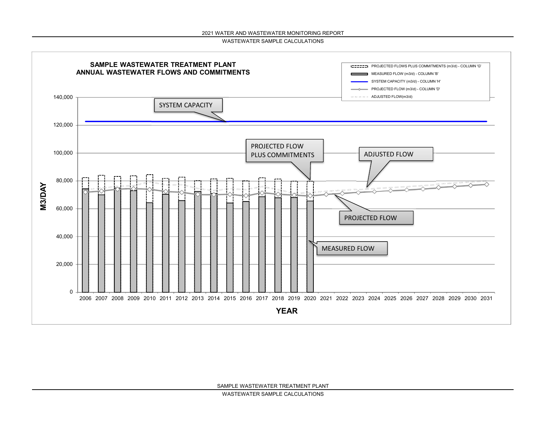WASTEWATER SAMPLE CALCULATIONS

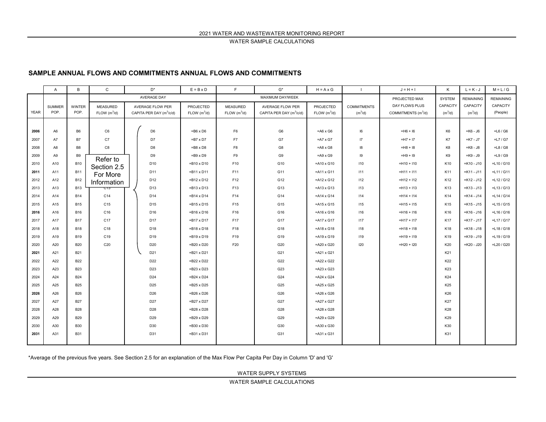WATER SAMPLE CALCULATIONS

### **SAMPLE ANNUAL FLOWS AND COMMITMENTS ANNUAL FLOWS AND COMMITMENTS**

|             | A               | B              | $\mathtt{C}$             |  | $D^*$                                | $E = B \times D$         | F.               | $G^*$                                | $H = A \times G$   |                    | $J = H + I$                     | Κ                | $L = K - J$      | $M = L/G$     |
|-------------|-----------------|----------------|--------------------------|--|--------------------------------------|--------------------------|------------------|--------------------------------------|--------------------|--------------------|---------------------------------|------------------|------------------|---------------|
|             |                 |                | AVERAGE DAY              |  |                                      |                          | MAXIMUM DAY/WEEK |                                      |                    | PROJECTED MAX      | <b>SYSTEM</b>                   | <b>REMAINING</b> | <b>REMAINING</b> |               |
|             | <b>SUMMER</b>   | <b>WINTER</b>  | <b>MEASURED</b>          |  | AVERAGE FLOW PER                     | PROJECTED                | <b>MEASURED</b>  | <b>AVERAGE FLOW PER</b>              | PROJECTED          | <b>COMMITMENTS</b> | DAY FLOWS PLUS                  | CAPACITY         | CAPACITY         | CAPACITY      |
| <b>YEAR</b> | POP.            | POP.           | FLOW (m <sup>3</sup> /d) |  | CAPITA PER DAY (m <sup>3</sup> /c/d) | FLOW (m <sup>3</sup> /d) | FLOW $(m^3/d)$   | CAPITA PER DAY (m <sup>3</sup> /c/d) | FLOW $(m^3/d)$     | $(m^3/d)$          | COMMITMENTS (m <sup>3</sup> /d) | $(m^3/d)$        | $(m^3/d)$        | (People)      |
|             |                 |                |                          |  |                                      |                          |                  |                                      |                    |                    |                                 |                  |                  |               |
| 2006        | A <sub>6</sub>  | B <sub>6</sub> | C6                       |  | D <sub>6</sub>                       | $=$ B6 x D6              | F <sub>6</sub>   | G <sub>6</sub>                       | $= A6 \times G6$   | 16                 | $= H6 + 16$                     | K <sub>6</sub>   | $=$ K $6 - J6$   | $=$ L6 / G6   |
| 2007        | A7              | <b>B7</b>      | C7                       |  | D7                                   | $= B7 \times D7$         | F7               | G7                                   | $= A7 \times G7$   | 17                 | $= H7 + 17$                     | K7               | $=K7 - J7$       | $=$ L7 / G7   |
| 2008        | A <sub>8</sub>  | B <sub>8</sub> | C8                       |  | D <sub>8</sub>                       | $=$ B8 x D8              | F8               | G8                                   | $= A8 \times G8$   | 18                 | $=$ $H8 + 18$                   | K8               | $=K8 - J8$       | $=$ L8 / G8   |
| 2009        | A <sub>9</sub>  | <b>B9</b>      | Refer to                 |  | D <sub>9</sub>                       | $=$ B9 x D9              | F9               | G9                                   | $= A9 \times G9$   | 19                 | $=$ H9 + I9                     | K9               | $=$ K $9 - J9$   | $=$ L $9/GB$  |
| 2010        | A10             | <b>B10</b>     | Section 2.5              |  | D <sub>10</sub>                      | $= B10 \times D10$       | F10              | G10                                  | $=$ A10 x G10      | 110                | $=$ H10 + I10                   | K10              | $=$ K10 - J10    | $=$ L10 / G10 |
| 2011        | A11             | <b>B11</b>     | For More                 |  | D11                                  | $= B11 \times D11$       | F11              | G11                                  | $=$ A11 x G11      | 111                | $=$ H11 + I11                   | K11              | $=$ K11 - J11    | $=$ L11 / G11 |
| 2012        | A12             | <b>B12</b>     | Information              |  | D <sub>12</sub>                      | $= B12 \times D12$       | F12              | G12                                  | $=$ A12 x G12      | 112                | $=$ H12 + I12                   | K12              | $=$ K12 - J12    | $=$ L12 / G12 |
| 2013        | A13             | <b>B13</b>     |                          |  | D <sub>13</sub>                      | $= B13 \times D13$       | F13              | G13                                  | $=$ A13 x G13      | 113                | $=$ H13 + I13                   | K13              | $=$ K13 - J13    | $=$ L13 / G13 |
| 2014        | A14             | <b>B14</b>     | C14                      |  | D <sub>14</sub>                      | $= B14 \times D14$       | F14              | G14                                  | $=$ A14 x G14      | 114                | $=$ H14 + I14                   | K14              | $=$ K14 - J14    | $=$ L14 / G14 |
| 2015        | A <sub>15</sub> | <b>B15</b>     | C <sub>15</sub>          |  | D <sub>15</sub>                      | $= B15 \times D15$       | F15              | G15                                  | $=$ A15 x G15      | 115                | $=$ H15 + I15                   | K15              | $=$ K15 - J15    | $=$ L15 / G15 |
| 2016        | A16             | <b>B16</b>     | C16                      |  | D <sub>16</sub>                      | $= B16 \times D16$       | F16              | G16                                  | $=$ A16 x G16      | 116                | $=$ H16 + I16                   | K16              | $=$ K16 - J16    | $=$ L16 / G16 |
| 2017        | A17             | <b>B17</b>     | C17                      |  | D <sub>17</sub>                      | $= B17 \times D17$       | F17              | G17                                  | $=$ A17 x G17      | 117                | $=$ H17 + I17                   | K17              | $=$ K17 - J17    | $=$ L17 / G17 |
| 2018        | A18             | <b>B18</b>     | C18                      |  | D18                                  | $= B18 \times D18$       | F18              | G18                                  | $=$ A18 x G18      | 118                | $=$ H18 + I18                   | K18              | $=$ K18 - J18    | $=$ L18 / G18 |
| 2019        | A19             | <b>B19</b>     | C19                      |  | D19                                  | $= B19 \times D19$       | F19              | G19                                  | $=$ A19 x G19      | 119                | $=$ H19 + I19                   | K19              | $=$ K19 - J19    | $=$ L19 / G19 |
| 2020        | A20             | <b>B20</b>     | C <sub>20</sub>          |  | D <sub>20</sub>                      | $= B20 \times D20$       | F20              | G20                                  | =A20 x G20         | 120                | $=$ H20 + I20                   | K20              | $=K20 - J20$     | $=$ L20 / G20 |
| 2021        | A21             | B21            |                          |  | D <sub>21</sub>                      | $= B21 \times D21$       |                  | G21                                  | $=$ A21 x G21      |                    |                                 | K21              |                  |               |
| 2022        | A22             | <b>B22</b>     |                          |  | D22                                  | $=$ B22 x D22            |                  | G22                                  | $=$ A22 x G22      |                    |                                 | K22              |                  |               |
| 2023        | A23             | <b>B23</b>     |                          |  | D <sub>23</sub>                      | $= B23 \times D23$       |                  | G23                                  | $=$ A23 x G23      |                    |                                 | K23              |                  |               |
| 2024        | A24             | <b>B24</b>     |                          |  | D24                                  | $= B24 \times D24$       |                  | G24                                  | $=$ A24 x G24      |                    |                                 | K24              |                  |               |
| 2025        | A25             | <b>B25</b>     |                          |  | D <sub>25</sub>                      | $= B25 \times D25$       |                  | G25                                  | $=$ A25 x G25      |                    |                                 | K25              |                  |               |
| 2026        | A26             | <b>B26</b>     |                          |  | D <sub>26</sub>                      | $= B26 \times D26$       |                  | G26                                  | $=$ A26 x G26      |                    |                                 | K26              |                  |               |
| 2027        | A27             | <b>B27</b>     |                          |  | D27                                  | $= B27 \times D27$       |                  | G27                                  | =A27 x G27         |                    |                                 | K27              |                  |               |
| 2028        | A28             | <b>B28</b>     |                          |  | D28                                  | $= B28 \times D28$       |                  | G28                                  | $=$ A28 x G28      |                    |                                 | K28              |                  |               |
| 2029        | A29             | <b>B29</b>     |                          |  | D <sub>29</sub>                      | $= B29 \times D29$       |                  | G29                                  | $=$ A29 x G29      |                    |                                 | K29              |                  |               |
| 2030        | A30             | <b>B30</b>     |                          |  | D30                                  | $= B30 \times D30$       |                  | G30                                  | $= A30 \times G30$ |                    |                                 | K30              |                  |               |
| 2031        | A31             | <b>B31</b>     |                          |  | D31                                  | $= B31 \times D31$       |                  | G31                                  | $=$ A31 x G31      |                    |                                 | K31              |                  |               |
|             |                 |                |                          |  |                                      |                          |                  |                                      |                    |                    |                                 |                  |                  |               |

\*Average of the previous five years. See Section 2.5 for an explanation of the Max Flow Per Capita Per Day in Column 'D' and 'G'

WATER SUPPLY SYSTEMS

WATER SAMPLE CALCULATIONS